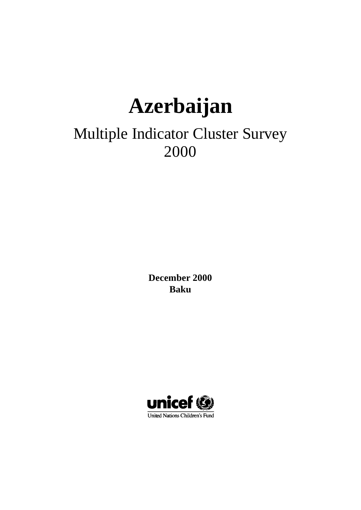# **Azerbaijan**

## Multiple Indicator Cluster Survey 2000

**December 2000 Baku**

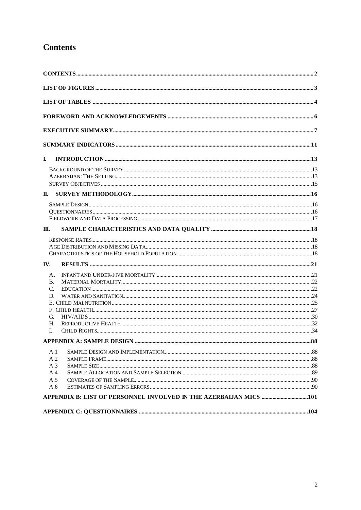### **Contents**

| L             |     |
|---------------|-----|
|               |     |
|               |     |
|               |     |
| П.            |     |
|               |     |
|               |     |
|               |     |
| M.            |     |
|               |     |
|               |     |
|               |     |
| IV.           |     |
| A.            |     |
| B.            |     |
| $\mathcal{C}$ |     |
| D.            |     |
|               |     |
|               |     |
| G.<br>Н.      |     |
| L             |     |
|               | .88 |
| A.1           |     |
| A.2           |     |
| A.3           |     |
| A.4           |     |
| A.5           |     |
| A.6           |     |
|               |     |
|               |     |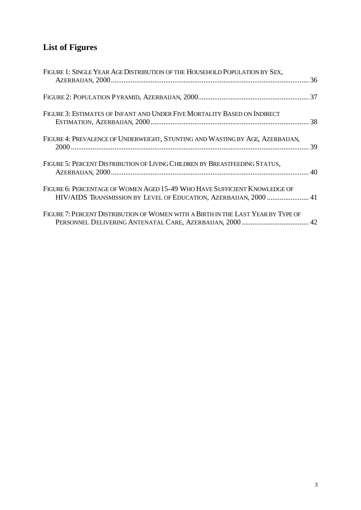## **List of Figures**

| FIGURE 1: SINGLE YEAR AGE DISTRIBUTION OF THE HOUSEHOLD POPULATION BY SEX,                                                                     |  |
|------------------------------------------------------------------------------------------------------------------------------------------------|--|
|                                                                                                                                                |  |
| FIGURE 3: ESTIMATES OF INFANT AND UNDER FIVE MORTALITY BASED ON INDIRECT                                                                       |  |
| FIGURE 4: PREVALENCE OF UNDERWEIGHT, STUNTING AND WASTING BY AGE, AZERBAIJAN,                                                                  |  |
| FIGURE 5: PERCENT DISTRIBUTION OF LIVING CHILDREN BY BREASTFEEDING STATUS,                                                                     |  |
| FIGURE 6: PERCENTAGE OF WOMEN AGED 15-49 WHO HAVE SUFFICIENT KNOWLEDGE OF<br>HIV/AIDS TRANSMISSION BY LEVEL OF EDUCATION, AZERBAIJAN, 2000  41 |  |
| FIGURE 7: PERCENT DISTRIBUTION OF WOMEN WITH A BIRTH IN THE LAST YEAR BY TYPE OF                                                               |  |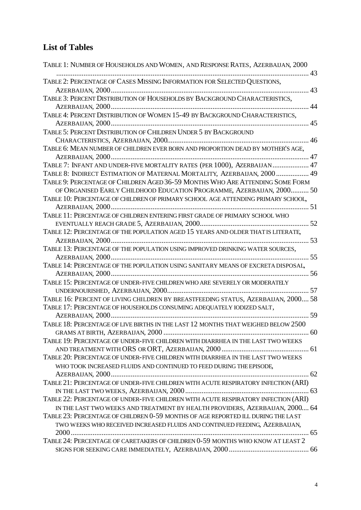## **List of Tables**

| TABLE 1: NUMBER OF HOUSEHOLDS AND WOMEN, AND RESPONSE RATES, AZERBAIJAN, 2000      |    |
|------------------------------------------------------------------------------------|----|
| TABLE 2: PERCENTAGE OF CASES MISSING INFORMATION FOR SELECTED QUESTIONS,           |    |
|                                                                                    |    |
| TABLE 3: PERCENT DISTRIBUTION OF HOUSEHOLDS BY BACKGROUND CHARACTERISTICS,         |    |
|                                                                                    | 44 |
| TABLE 4: PERCENT DISTRIBUTION OF WOMEN 15-49 BY BACKGROUND CHARACTERISTICS,        |    |
|                                                                                    |    |
| TABLE 5: PERCENT DISTRIBUTION OF CHILDREN UNDER 5 BY BACKGROUND                    |    |
|                                                                                    |    |
| TABLE 6: MEAN NUMBER OF CHILDREN EVER BORN AND PROPORTION DEAD BY MOTHER'S AGE,    |    |
|                                                                                    |    |
| TABLE 7: INFANT AND UNDER-FIVE MORTALITY RATES (PER 1000), AZERBAIJAN 47           |    |
| TABLE 8: INDIRECT ESTIMATION OF MATERNAL MORTALITY, AZERBAIJAN, 2000  49           |    |
| TABLE 9: PERCENTAGE OF CHILDREN AGED 36-59 MONTHS WHO ARE ATTENDING SOME FORM      |    |
| OF ORGANISED EARLY CHILDHOOD EDUCATION PROGRAMME, AZERBAIJAN, 2000 50              |    |
| TABLE 10: PERCENTAGE OF CHILDREN OF PRIMARY SCHOOL AGE ATTENDING PRIMARY SCHOOL,   |    |
|                                                                                    |    |
| TABLE 11: PERCENTAGE OF CHILDREN ENTERING FIRST GRADE OF PRIMARY SCHOOL WHO        |    |
|                                                                                    |    |
| TABLE 12: PERCENTAGE OF THE POPULATION AGED 15 YEARS AND OLDER THAT IS LITERATE,   |    |
|                                                                                    |    |
| TABLE 13: PERCENTAGE OF THE POPULATION USING IMPROVED DRINKING WATER SOURCES,      |    |
|                                                                                    |    |
| TABLE 14: PERCENTAGE OF THE POPULATION USING SANITARY MEANS OF EXCRETA DISPOSAL,   |    |
|                                                                                    |    |
| TABLE 15: PERCENTAGE OF UNDER-FIVE CHILDREN WHO ARE SEVERELY OR MODERATELY         |    |
|                                                                                    |    |
| TABLE 16: PERCENT OF LIVING CHILDREN BY BREASTFEEDING STATUS, AZERBAIJAN, 2000 58  |    |
| TABLE 17: PERCENTAGE OF HOUSEHOLDS CONSUMING ADEQUATELY IODIZED SALT,              |    |
|                                                                                    |    |
| TABLE 18: PERCENTAGE OF LIVE BIRTHS IN THE LAST 12 MONTHS THAT WEIGHED BELOW 2500  |    |
|                                                                                    | 60 |
| TABLE 19: PERCENTAGE OF UNDER-FIVE CHILDREN WITH DIARRHEA IN THE LAST TWO WEEKS    |    |
|                                                                                    |    |
| TABLE 20: PERCENTAGE OF UNDER-FIVE CHILDREN WITH DIARRHEA IN THE LAST TWO WEEKS    |    |
| WHO TOOK INCREASED FLUIDS AND CONTINUED TO FEED DURING THE EPISODE,                |    |
|                                                                                    |    |
| TABLE 21: PERCENTAGE OF UNDER-FIVE CHILDREN WITH ACUTE RESPIRATORY INFECTION (ARI) |    |
|                                                                                    |    |
| TABLE 22: PERCENTAGE OF UNDER-FIVE CHILDREN WITH ACUTE RESPIRATORY INFECTION (ARI) |    |
| IN THE LAST TWO WEEKS AND TREATMENT BY HEALTH PROVIDERS, AZERBAIJAN, 2000 64       |    |
| TABLE 23: PERCENTAGE OF CHILDREN 0-59 MONTHS OF AGE REPORTED ILL DURING THE LAST   |    |
| TWO WEEKS WHO RECEIVED INCREASED FLUIDS AND CONTINUED FEEDING, AZERBAIJAN,         |    |
|                                                                                    |    |
| TABLE 24: PERCENTAGE OF CARETAKERS OF CHILDREN 0-59 MONTHS WHO KNOW AT LEAST 2     |    |
|                                                                                    |    |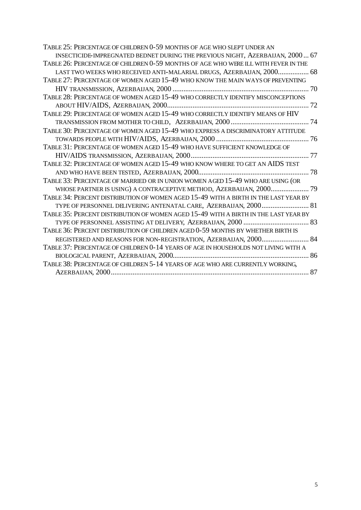| TABLE 25: PERCENTAGE OF CHILDREN 0-59 MONTHS OF AGE WHO SLEPT UNDER AN              |  |
|-------------------------------------------------------------------------------------|--|
| INSECTICIDE-IMPREGNATED BEDNET DURING THE PREVIOUS NIGHT, AZERBAIJAN, 2000 67       |  |
| TABLE 26: PERCENTAGE OF CHILDREN 0-59 MONTHS OF AGE WHO WERE ILL WITH FEVER IN THE  |  |
| LAST TWO WEEKS WHO RECEIVED ANTI-MALARIAL DRUGS, AZERBAIJAN, 2000 68                |  |
| TABLE 27: PERCENTAGE OF WOMEN AGED 15-49 WHO KNOW THE MAIN WAYS OF PREVENTING       |  |
|                                                                                     |  |
| TABLE 28: PERCENTAGE OF WOMEN AGED 15-49 WHO CORRECTLY IDENTIFY MISCONCEPTIONS      |  |
|                                                                                     |  |
| TABLE 29: PERCENTAGE OF WOMEN AGED 15-49 WHO CORRECTLY IDENTIFY MEANS OF HIV        |  |
|                                                                                     |  |
| TABLE 30: PERCENTAGE OF WOMEN AGED 15-49 WHO EXPRESS A DISCRIMINATORY ATTITUDE      |  |
|                                                                                     |  |
| TABLE 31: PERCENTAGE OF WOMEN AGED 15-49 WHO HAVE SUFFICIENT KNOWLEDGE OF           |  |
|                                                                                     |  |
| TABLE 32: PERCENTAGE OF WOMEN AGED 15-49 WHO KNOW WHERE TO GET AN AIDS TEST         |  |
|                                                                                     |  |
| TABLE 33: PERCENTAGE OF MARRIED OR IN UNION WOMEN AGED 15-49 WHO ARE USING (OR      |  |
| WHOSE PARTNER IS USING) A CONTRACEPTIVE METHOD, AZERBAIJAN, 2000 79                 |  |
| TABLE 34: PERCENT DISTRIBUTION OF WOMEN AGED 15-49 WITH A BIRTH IN THE LAST YEAR BY |  |
|                                                                                     |  |
| TABLE 35: PERCENT DISTRIBUTION OF WOMEN AGED 15-49 WITH A BIRTH IN THE LAST YEAR BY |  |
|                                                                                     |  |
| TABLE 36: PERCENT DISTRIBUTION OF CHILDREN AGED 0-59 MONTHS BY WHETHER BIRTH IS     |  |
| REGISTERED AND REASONS FOR NON-REGISTRATION, AZERBAIJAN, 2000 84                    |  |
| TABLE 37: PERCENTAGE OF CHILDREN 0-14 YEARS OF AGE IN HOUSEHOLDS NOT LIVING WITH A  |  |
|                                                                                     |  |
| TABLE 38: PERCENTAGE OF CHILDREN 5-14 YEARS OF AGE WHO ARE CURRENTLY WORKING,       |  |
|                                                                                     |  |
|                                                                                     |  |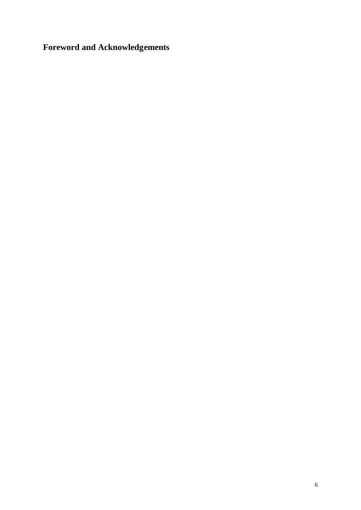**Foreword and Acknowledgements**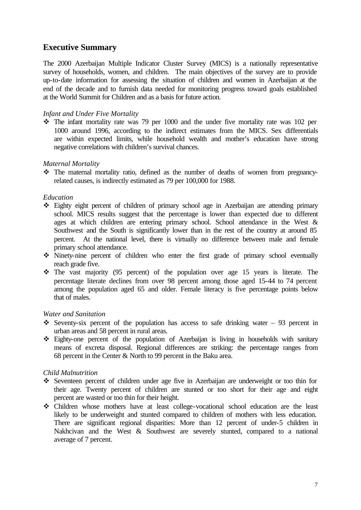#### **Executive Summary**

The 2000 Azerbaijan Multiple Indicator Cluster Survey (MICS) is a nationally representative survey of households, women, and children. The main objectives of the survey are to provide up-to-date information for assessing the situation of children and women in Azerbaijan at the end of the decade and to furnish data needed for monitoring progress toward goals established at the World Summit for Children and as a basis for future action.

#### *Infant and Under Five Mortality*

 $\cdot$  The infant mortality rate was 79 per 1000 and the under five mortality rate was 102 per 1000 around 1996, according to the indirect estimates from the MICS. Sex differentials are within expected limits, while household wealth and mother's education have strong negative correlations with children's survival chances.

#### *Maternal Mortality*

 $\cdot \cdot$  The maternal mortality ratio, defined as the number of deaths of women from pregnancyrelated causes, is indirectly estimated as 79 per 100,000 for 1988.

#### *Education*

- v Eighty eight percent of children of primary school age in Azerbaijan are attending primary school. MICS results suggest that the percentage is lower than expected due to different ages at which children are entering primary school. School attendance in the West & Southwest and the South is significantly lower than in the rest of the country at around 85 percent. At the national level, there is virtually no difference between male and female primary school attendance.
- v Ninety-nine percent of children who enter the first grade of primary school eventually reach grade five.
- $\cdot \cdot$  The vast majority (95 percent) of the population over age 15 years is literate. The percentage literate declines from over 98 percent among those aged 15-44 to 74 percent among the population aged 65 and older. Female literacy is five percentage points below that of males.

#### *Water and Sanitation*

- Seventy-six percent of the population has access to safe drinking water 93 percent in urban areas and 58 percent in rural areas.
- v Eighty-one percent of the population of Azerbaijan is living in households with sanitary means of excreta disposal. Regional differences are striking: the percentage ranges from 68 percent in the Center & North to 99 percent in the Baku area.

#### *Child Malnutrition*

- v Seventeen percent of children under age five in Azerbaijan are underweight or too thin for their age. Twenty percent of children are stunted or too short for their age and eight percent are wasted or too thin for their height.
- v Children whose mothers have at least college-vocational school education are the least likely to be underweight and stunted compared to children of mothers with less education. There are significant regional disparities: More than 12 percent of under-5 children in Nakhcivan and the West & Southwest are severely stunted, compared to a national average of 7 percent.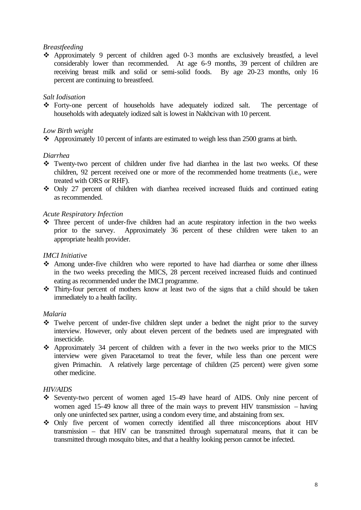#### *Breastfeeding*

v Approximately 9 percent of children aged 0-3 months are exclusively breastfed, a level considerably lower than recommended. At age 6-9 months, 39 percent of children are receiving breast milk and solid or semi-solid foods. By age 20-23 months, only 16 percent are continuing to breastfeed.

#### *Salt Iodisation*

v Forty-one percent of households have adequately iodized salt. The percentage of households with adequately iodized salt is lowest in Nakhcivan with 10 percent.

#### *Low Birth weight*

 $\triangle$  Approximately 10 percent of infants are estimated to weigh less than 2500 grams at birth.

#### *Diarrhea*

- $\cdot \cdot$  Twenty-two percent of children under five had diarrhea in the last two weeks. Of these children, 92 percent received one or more of the recommended home treatments (i.e., were treated with ORS or RHF).
- Only 27 percent of children with diarrhea received increased fluids and continued eating as recommended.

#### *Acute Respiratory Infection*

 $\cdot \cdot$  Three percent of under-five children had an acute respiratory infection in the two weeks prior to the survey. Approximately 36 percent of these children were taken to an appropriate health provider.

#### *IMCI Initiative*

- Among under-five children who were reported to have had diarrhea or some other illness in the two weeks preceding the MICS, 28 percent received increased fluids and continued eating as recommended under the IMCI programme.
- $\cdot \cdot$  Thirty-four percent of mothers know at least two of the signs that a child should be taken immediately to a health facility.

#### *Malaria*

- $\cdot \cdot$  Twelve percent of under-five children slept under a bednet the night prior to the survey interview. However, only about eleven percent of the bednets used are impregnated with insecticide.
- $\triangle$  Approximately 34 percent of children with a fever in the two weeks prior to the MICS interview were given Paracetamol to treat the fever, while less than one percent were given Primachin. A relatively large percentage of children (25 percent) were given some other medicine.

#### *HIV/AIDS*

- v Seventy-two percent of women aged 15-49 have heard of AIDS. Only nine percent of women aged 15-49 know all three of the main ways to prevent HIV transmission – having only one uninfected sex partner, using a condom every time, and abstaining from sex.
- $\div$  Only five percent of women correctly identified all three misconceptions about HIV transmission – that HIV can be transmitted through supernatural means, that it can be transmitted through mosquito bites, and that a healthy looking person cannot be infected.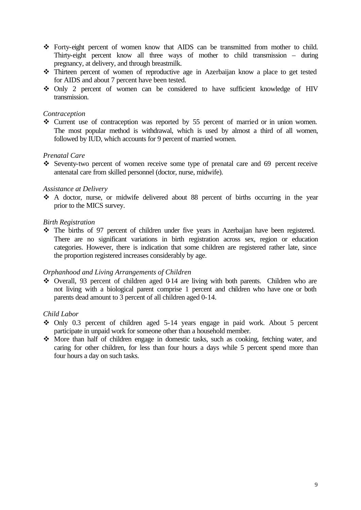- v Forty-eight percent of women know that AIDS can be transmitted from mother to child. Thirty-eight percent know all three ways of mother to child transmission – during pregnancy, at delivery, and through breastmilk.
- v Thirteen percent of women of reproductive age in Azerbaijan know a place to get tested for AIDS and about 7 percent have been tested.
- Only 2 percent of women can be considered to have sufficient knowledge of HIV transmission.

#### *Contraception*

• Current use of contraception was reported by 55 percent of married or in union women. The most popular method is withdrawal, which is used by almost a third of all women, followed by IUD, which accounts for 9 percent of married women.

#### *Prenatal Care*

 $\cdot$  Seventy-two percent of women receive some type of prenatal care and 69 percent receive antenatal care from skilled personnel (doctor, nurse, midwife).

#### *Assistance at Delivery*

\* A doctor, nurse, or midwife delivered about 88 percent of births occurring in the year prior to the MICS survey.

#### *Birth Registration*

• The births of 97 percent of children under five years in Azerbaijan have been registered. There are no significant variations in birth registration across sex, region or education categories. However, there is indication that some children are registered rather late, since the proportion registered increases considerably by age.

#### *Orphanhood and Living Arrangements of Children*

 $\div$  Overall, 93 percent of children aged 0-14 are living with both parents. Children who are not living with a biological parent comprise 1 percent and children who have one or both parents dead amount to 3 percent of all children aged 0-14.

#### *Child Labor*

- $\div$  Only 0.3 percent of children aged 5-14 years engage in paid work. About 5 percent participate in unpaid work for someone other than a household member.
- More than half of children engage in domestic tasks, such as cooking, fetching water, and caring for other children, for less than four hours a days while 5 percent spend more than four hours a day on such tasks.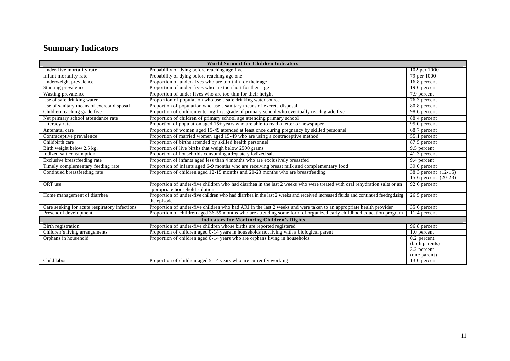## **Summary Indicators**

| <b>World Summit for Children Indicators</b>   |                                                                                                                                                             |                      |
|-----------------------------------------------|-------------------------------------------------------------------------------------------------------------------------------------------------------------|----------------------|
| Under-five mortality rate                     | Probability of dying before reaching age five                                                                                                               | 102 per 1000         |
| Infant mortality rate                         | Probability of dying before reaching age one                                                                                                                | 79 per 1000          |
| Underweight prevalence                        | Proportion of under-fives who are too thin for their age                                                                                                    | 16.8 percent         |
| Stunting prevalence                           | Proportion of under-fives who are too short for their age                                                                                                   | 19.6 percent         |
| Wasting prevalence                            | Proportion of under fives who are too thin for their height                                                                                                 | 7.9 percent          |
| Use of safe drinking water                    | Proportion of population who use a safe drinking water source                                                                                               | 76.3 percent         |
| Use of sanitary means of excreta disposal     | Proportion of population who use a sanitary means of excreta disposal                                                                                       | 80.8 percent         |
| Children reaching grade five                  | Proportion of children entering first grade of primary school who eventually reach grade five                                                               | 98.6 percent         |
| Net primary school attendance rate            | Proportion of children of primary school age attending primary school                                                                                       | 88.4 percent         |
| Literacy rate                                 | Proportion of population aged 15+ years who are able to read a letter or newspaper                                                                          | 95.0 percent         |
| Antenatal care                                | Proportion of women aged 15-49 attended at least once during pregnancy by skilled personnel                                                                 | 68.7 percent         |
| Contraceptive prevalence                      | Proportion of married women aged 15-49 who are using a contraceptive method                                                                                 | $55.1$ percent       |
| Childbirth care                               | Proportion of births attended by skilled health personnel                                                                                                   | 87.5 percent         |
| Birth weight below 2.5 kg.                    | Proportion of live births that weigh below 2500 grams                                                                                                       | $9.5$ percent        |
| Iodized salt consumption                      | Proportion of households consuming adequately iodized salt                                                                                                  | 41.3 percent         |
| Exclusive breastfeeding rate                  | Proportion of infants aged less than 4 months who are exclusively breastfed                                                                                 | 9.4 percent          |
| Timely complementary feeding rate             | Proportion of infants aged 6-9 months who are receiving breast milk and complementary food                                                                  | 39.0 percent         |
| Continued breastfeeding rate                  | Proportion of children aged 12-15 months and 20-23 months who are breastfeeding                                                                             | 38.3 percent (12-15) |
|                                               |                                                                                                                                                             | 15.6 percent (20-23) |
| ORT use                                       | Proportion of under-five children who had diarrhea in the last 2 weeks who were treated with oral rehydration salts or an<br>appropriate household solution | 92.6 percent         |
| Home management of diarrhea                   | Proportion of under-five children who had diarrhea in the last 2 weeks and received increased fluids and continued feeding during<br>the episode            | 26.5 percent         |
| Care seeking for acute respiratory infections | Proportion of under-five children who had ARI in the last 2 weeks and were taken to an appropriate health provider                                          | 35.6 percent         |
| Preschool development                         | Proportion of children aged 36-59 months who are attending some form of organized early childhood education program                                         | 11.4 percent         |
|                                               | <b>Indicators for Monitoring Children's Rights</b>                                                                                                          |                      |
| Birth registration                            | Proportion of under-five children whose births are reported registered                                                                                      | 96.8 percent         |
| Children's living arrangements                | Proportion of children aged 0-14 years in households not living with a biological parent                                                                    | 1.0 percent          |
| Orphans in household                          | Proportion of children aged 0-14 years who are orphans living in households                                                                                 | $0.2$ percent        |
|                                               |                                                                                                                                                             | (both parents)       |
|                                               |                                                                                                                                                             | 3.2 percent          |
|                                               |                                                                                                                                                             | (one parent)         |
| Child labor                                   | Proportion of children aged 5-14 years who are currently working                                                                                            | 13.0 percent         |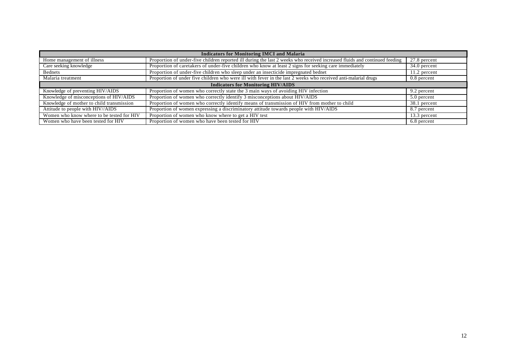| <b>Indicators for Monitoring IMCI and Malaria</b> |                                                                                                                            |                           |
|---------------------------------------------------|----------------------------------------------------------------------------------------------------------------------------|---------------------------|
| Home management of illness                        | Proportion of under-five children reported ill during the last 2 weeks who received increased fluids and continued feeding | $\overline{27.8}$ percent |
| Care seeking knowledge                            | Proportion of caretakers of under-five children who know at least 2 signs for seeking care immediately                     | 34.0 percent              |
| <b>Bednets</b>                                    | Proportion of under-five children who sleep under an insecticide impregnated bednet                                        | 11.2 percent              |
| Malaria treatment                                 | Proportion of under five children who were ill with fever in the last 2 weeks who received anti-malarial drugs             | 0.8 percent               |
| <b>Indicators for Monitoring HIV/AIDS</b>         |                                                                                                                            |                           |
| Knowledge of preventing HIV/AIDS                  | Proportion of women who correctly state the 3 main ways of avoiding HIV infection                                          | 9.2 percent               |
| Knowledge of misconceptions of HIV/AIDS           | Proportion of women who correctly identify 3 misconceptions about HIV/AIDS                                                 | 5.0 percent               |
| Knowledge of mother to child transmission         | Proportion of women who correctly identify means of transmission of HIV from mother to child                               | 38.1 percent              |
| Attitude to people with HIV//AIDS                 | Proportion of women expressing a discriminatory attitude towards people with HIV/AIDS                                      | 8.7 percent               |
| Women who know where to be tested for HIV         | Proportion of women who know where to get a HIV test                                                                       | 13.3 percent              |
| Women who have been tested for HIV                | Proportion of women who have been tested for HIV                                                                           | 6.8 percent               |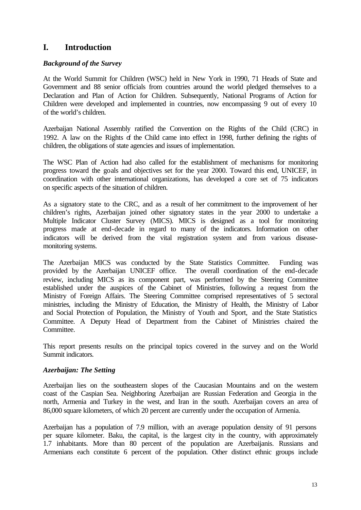#### **I. Introduction**

#### *Background of the Survey*

At the World Summit for Children (WSC) held in New York in 1990, 71 Heads of State and Government and 88 senior officials from countries around the world pledged themselves to a Declaration and Plan of Action for Children. Subsequently, National Programs of Action for Children were developed and implemented in countries, now encompassing 9 out of every 10 of the world's children.

Azerbaijan National Assembly ratified the Convention on the Rights of the Child (CRC) in 1992. A law on the Rights of the Child came into effect in 1998, further defining the rights of children, the obligations of state agencies and issues of implementation.

The WSC Plan of Action had also called for the establishment of mechanisms for monitoring progress toward the goals and objectives set for the year 2000. Toward this end, UNICEF, in coordination with other international organizations, has developed a core set of 75 indicators on specific aspects of the situation of children.

As a signatory state to the CRC, and as a result of her commitment to the improvement of her children's rights, Azerbaijan joined other signatory states in the year 2000 to undertake a Multiple Indicator Cluster Survey (MICS). MICS is designed as a tool for monitoring progress made at end-decade in regard to many of the indicators. Information on other indicators will be derived from the vital registration system and from various diseasemonitoring systems.

The Azerbaijan MICS was conducted by the State Statistics Committee. Funding was provided by the Azerbaijan UNICEF office. The overall coordination of the end-decade review, including MICS as its component part, was performed by the Steering Committee established under the auspices of the Cabinet of Ministries, following a request from the Ministry of Foreign Affairs. The Steering Committee comprised representatives of 5 sectoral ministries, including the Ministry of Education, the Ministry of Health, the Ministry of Labor and Social Protection of Population, the Ministry of Youth and Sport, and the State Statistics Committee. A Deputy Head of Department from the Cabinet of Ministries chaired the Committee.

This report presents results on the principal topics covered in the survey and on the World Summit indicators.

#### *Azerbaijan: The Setting*

Azerbaijan lies on the southeastern slopes of the Caucasian Mountains and on the western coast of the Caspian Sea. Neighboring Azerbaijan are Russian Federation and Georgia in the north, Armenia and Turkey in the west, and Iran in the south. Azerbaijan covers an area of 86,000 square kilometers, of which 20 percent are currently under the occupation of Armenia.

Azerbaijan has a population of 7.9 million, with an average population density of 91 persons per square kilometer. Baku, the capital, is the largest city in the country, with approximately 1.7 inhabitants. More than 80 percent of the population are Azerbaijanis. Russians and Armenians each constitute 6 percent of the population. Other distinct ethnic groups include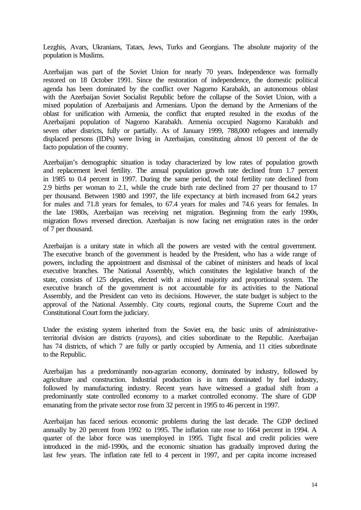Lezghis, Avars, Ukranians, Tatars, Jews, Turks and Georgians. The absolute majority of the population is Muslims.

Azerbaijan was part of the Soviet Union for nearly 70 years. Independence was formally restored on 18 October 1991. Since the restoration of independence, the domestic political agenda has been dominated by the conflict over Nagorno Karabakh, an autonomous oblast with the Azerbaijan Soviet Socialist Republic before the collapse of the Soviet Union, with a mixed population of Azerbaijanis and Armenians. Upon the demand by the Armenians of the oblast for unification with Armenia, the conflict that erupted resulted in the exodus of the Azerbaijani population of Nagorno Karabakh. Armenia occupied Nagorno Karabakh and seven other districts, fully or partially. As of January 1999, 788,000 refugees and internally displaced persons (IDPs) were living in Azerbaijan, constituting almost 10 percent of the de facto population of the country.

Azerbaijan's demographic situation is today characterized by low rates of population growth and replacement level fertility. The annual population growth rate declined from 1.7 percent in 1985 to 0.4 percent in 1997. During the same period, the total fertility rate declined from 2.9 births per woman to 2.1, while the crude birth rate declined from 27 per thousand to 17 per thousand. Between 1980 and 1997, the life expectancy at birth increased from 64.2 years for males and 71.8 years for females, to 67.4 years for males and 74.6 years for females. In the late 1980s, Azerbaijan was receiving net migration. Beginning from the early 1990s, migration flows reversed direction. Azerbaijan is now facing net emigration rates in the order of 7 per thousand.

Azerbaijan is a unitary state in which all the powers are vested with the central government. The executive branch of the government is headed by the President, who has a wide range of powers, including the appointment and dismissal of the cabinet of ministers and heads of local executive branches. The National Assembly, which constitutes the legislative branch of the state, consists of 125 deputies, elected with a mixed majority and proportional system. The executive branch of the government is not accountable for its activities to the National Assembly, and the President can veto its decisions. However, the state budget is subject to the approval of the National Assembly. City courts, regional courts, the Supreme Court and the Constitutional Court form the judiciary.

Under the existing system inherited from the Soviet era, the basic units of administrativeterritorial division are districts (*rayon*s), and cities subordinate to the Republic. Azerbaijan has 74 districts, of which 7 are fully or partly occupied by Armenia, and 11 cities subordinate to the Republic.

Azerbaijan has a predominantly non-agrarian economy, dominated by industry, followed by agriculture and construction. Industrial production is in turn dominated by fuel industry, followed by manufacturing industry. Recent years have witnessed a gradual shift from a predominantly state controlled economy to a market controlled economy. The share of GDP emanating from the private sector rose from 32 percent in 1995 to 46 percent in 1997.

Azerbaijan has faced serious economic problems during the last decade. The GDP declined annually by 20 percent from 1992 to 1995. The inflation rate rose to 1664 percent in 1994. A quarter of the labor force was unemployed in 1995. Tight fiscal and credit policies were introduced in the mid-1990s, and the economic situation has gradually improved during the last few years. The inflation rate fell to 4 percent in 1997, and per capita income increased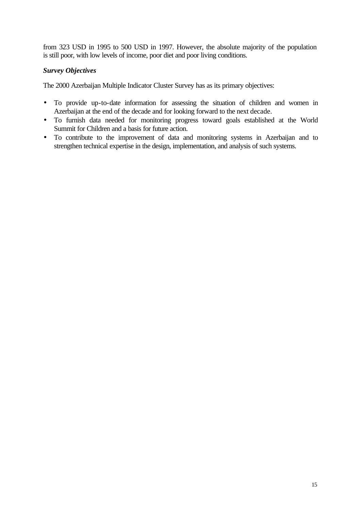from 323 USD in 1995 to 500 USD in 1997. However, the absolute majority of the population is still poor, with low levels of income, poor diet and poor living conditions.

#### *Survey Objectives*

The 2000 Azerbaijan Multiple Indicator Cluster Survey has as its primary objectives:

- To provide up-to-date information for assessing the situation of children and women in Azerbaijan at the end of the decade and for looking forward to the next decade.
- To furnish data needed for monitoring progress toward goals established at the World Summit for Children and a basis for future action.
- To contribute to the improvement of data and monitoring systems in Azerbaijan and to strengthen technical expertise in the design, implementation, and analysis of such systems.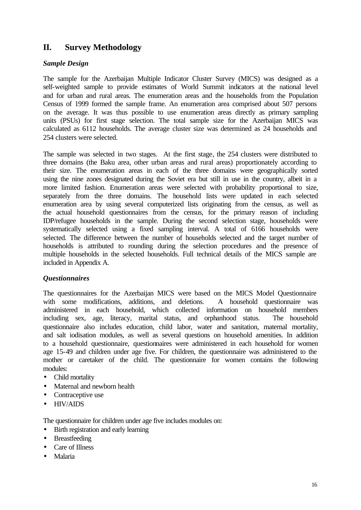#### **II. Survey Methodology**

#### *Sample Design*

The sample for the Azerbaijan Multiple Indicator Cluster Survey (MICS) was designed as a self-weighted sample to provide estimates of World Summit indicators at the national level and for urban and rural areas. The enumeration areas and the households from the Population Census of 1999 formed the sample frame. An enumeration area comprised about 507 persons on the average. It was thus possible to use enumeration areas directly as primary sampling units (PSUs) for first stage selection. The total sample size for the Azerbaijan MICS was calculated as 6112 households. The average cluster size was determined as 24 households and 254 clusters were selected.

The sample was selected in two stages. At the first stage, the 254 clusters were distributed to three domains (the Baku area, other urban areas and rural areas) proportionately according to their size. The enumeration areas in each of the three domains were geographically sorted using the nine zones designated during the Soviet era but still in use in the country, albeit in a more limited fashion. Enumeration areas were selected with probability proportional to size, separately from the three domains. The household lists were updated in each selected enumeration area by using several computerized lists originating from the census, as well as the actual household questionnaires from the census, for the primary reason of including IDP/refugee households in the sample. During the second selection stage, households were systematically selected using a fixed sampling interval. A total of 6166 households were selected. The difference between the number of households selected and the target number of households is attributed to rounding during the selection procedures and the presence of multiple households in the selected households. Full technical details of the MICS sample are included in Appendix A.

#### *Questionnaires*

The questionnaires for the Azerbaijan MICS were based on the MICS Model Questionnaire with some modifications, additions, and deletions. A household questionnaire was administered in each household, which collected information on household members including sex, age, literacy, marital status, and orphanhood status. The household questionnaire also includes education, child labor, water and sanitation, maternal mortality, and salt iodisation modules, as well as several questions on household amenities. In addition to a household questionnaire, questionnaires were administered in each household for women age 15-49 and children under age five. For children, the questionnaire was administered to the mother or caretaker of the child. The questionnaire for women contains the following modules:

- Child mortality
- Maternal and newborn health
- Contraceptive use
- HIV/AIDS

The questionnaire for children under age five includes modules on:

- Birth registration and early learning
- Breastfeeding
- Care of Illness
- Malaria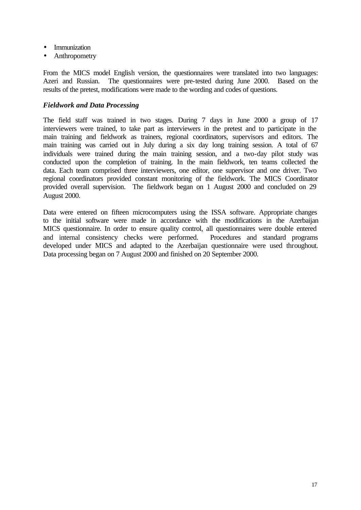- Immunization
- Anthropometry

From the MICS model English version, the questionnaires were translated into two languages: Azeri and Russian. The questionnaires were pre-tested during June 2000. Based on the results of the pretest, modifications were made to the wording and codes of questions.

#### *Fieldwork and Data Processing*

The field staff was trained in two stages. During 7 days in June 2000 a group of 17 interviewers were trained, to take part as interviewers in the pretest and to participate in the main training and fieldwork as trainers, regional coordinators, supervisors and editors. The main training was carried out in July during a six day long training session. A total of 67 individuals were trained during the main training session, and a two-day pilot study was conducted upon the completion of training. In the main fieldwork, ten teams collected the data. Each team comprised three interviewers, one editor, one supervisor and one driver. Two regional coordinators provided constant monitoring of the fieldwork. The MICS Coordinator provided overall supervision. The fieldwork began on 1 August 2000 and concluded on 29 August 2000.

Data were entered on fifteen microcomputers using the ISSA software. Appropriate changes to the initial software were made in accordance with the modifications in the Azerbaijan MICS questionnaire. In order to ensure quality control, all questionnaires were double entered and internal consistency checks were performed. Procedures and standard programs developed under MICS and adapted to the Azerbaijan questionnaire were used throughout. Data processing began on 7 August 2000 and finished on 20 September 2000.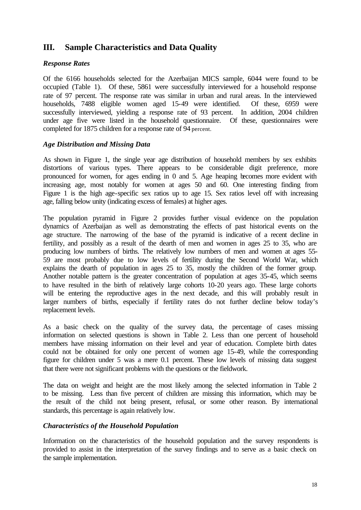#### **III. Sample Characteristics and Data Quality**

#### *Response Rates*

Of the 6166 households selected for the Azerbaijan MICS sample, 6044 were found to be occupied (Table 1). Of these, 5861 were successfully interviewed for a household response rate of 97 percent. The response rate was similar in urban and rural areas. In the interviewed households, 7488 eligible women aged 15-49 were identified. Of these, 6959 were successfully interviewed, yielding a response rate of 93 percent. In addition, 2004 children under age five were listed in the household questionnaire. Of these, questionnaires were completed for 1875 children for a response rate of 94 percent.

#### *Age Distribution and Missing Data*

As shown in Figure 1, the single year age distribution of household members by sex exhibits distortions of various types. There appears to be considerable digit preference, more pronounced for women, for ages ending in 0 and 5. Age heaping becomes more evident with increasing age, most notably for women at ages 50 and 60. One interesting finding from Figure 1 is the high age-specific sex ratios up to age 15. Sex ratios level off with increasing age, falling below unity (indicating excess of females) at higher ages.

The population pyramid in Figure 2 provides further visual evidence on the population dynamics of Azerbaijan as well as demonstrating the effects of past historical events on the age structure. The narrowing of the base of the pyramid is indicative of a recent decline in fertility, and possibly as a result of the dearth of men and women in ages 25 to 35, who are producing low numbers of births. The relatively low numbers of men and women at ages 55- 59 are most probably due to low levels of fertility during the Second World War, which explains the dearth of population in ages 25 to 35, mostly the children of the former group. Another notable pattern is the greater concentration of population at ages 35-45, which seems to have resulted in the birth of relatively large cohorts 10-20 years ago. These large cohorts will be entering the reproductive ages in the next decade, and this will probably result in larger numbers of births, especially if fertility rates do not further decline below today's replacement levels.

As a basic check on the quality of the survey data, the percentage of cases missing information on selected questions is shown in Table 2. Less than one percent of household members have missing information on their level and year of education. Complete birth dates could not be obtained for only one percent of women age 15-49, while the corresponding figure for children under 5 was a mere 0.1 percent. These low levels of missing data suggest that there were not significant problems with the questions or the fieldwork.

The data on weight and height are the most likely among the selected information in Table 2 to be missing. Less than five percent of children are missing this information, which may be the result of the child not being present, refusal, or some other reason. By international standards, this percentage is again relatively low.

#### *Characteristics of the Household Population*

Information on the characteristics of the household population and the survey respondents is provided to assist in the interpretation of the survey findings and to serve as a basic check on the sample implementation.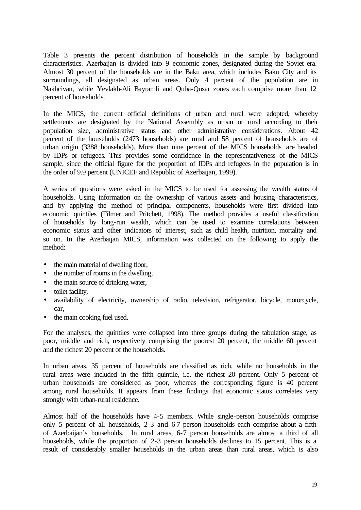Table 3 presents the percent distribution of households in the sample by background characteristics. Azerbaijan is divided into 9 economic zones, designated during the Soviet era. Almost 30 percent of the households are in the Baku area, which includes Baku City and its surroundings, all designated as urban areas. Only 4 percent of the population are in Nakhcivan, while Yevlakh-Ali Bayramli and Quba-Qusar zones each comprise more than 12 percent of households.

In the MICS, the current official definitions of urban and rural were adopted, whereby settlements are designated by the National Assembly as urban or rural according to their population size, administrative status and other administrative considerations. About 42 percent of the households (2473 households) are rural and 58 percent of households are of urban origin (3388 households). More than nine percent of the MICS households are headed by IDPs or refugees. This provides some confidence in the representativeness of the MICS sample, since the official figure for the proportion of IDPs and refugees in the population is in the order of 9.9 percent (UNICEF and Republic of Azerbaijan, 1999).

A series of questions were asked in the MICS to be used for assessing the wealth status of households. Using information on the ownership of various assets and housing characteristics, and by applying the method of principal components, households were first divided into economic quintiles (Filmer and Pritchett, 1998). The method provides a useful classification of households by long-run wealth, which can be used to examine correlations between economic status and other indicators of interest, such as child health, nutrition, mortality and so on. In the Azerbaijan MICS, information was collected on the following to apply the method:

- the main material of dwelling floor,
- the number of rooms in the dwelling,
- the main source of drinking water,
- toilet facility,
- availability of electricity, ownership of radio, television, refrigerator, bicycle, motorcycle, car,
- the main cooking fuel used.

For the analyses, the quintiles were collapsed into three groups during the tabulation stage, as poor, middle and rich, respectively comprising the poorest 20 percent, the middle 60 percent and the richest 20 percent of the households.

In urban areas, 35 percent of households are classified as rich, while no households in the rural areas were included in the fifth quintile, i.e. the richest 20 percent. Only 5 percent of urban households are considered as poor, whereas the corresponding figure is 40 percent among rural households. It appears from these findings that economic status correlates very strongly with urban-rural residence.

Almost half of the households have 4-5 members. While single-person households comprise only 5 percent of all households, 2-3 and 6-7 person households each comprise about a fifth of Azerbaijan's households. In rural areas, 6-7 person households are almost a third of all households, while the proportion of 2-3 person households declines to 15 percent. This is a result of considerably smaller households in the urban areas than rural areas, which is also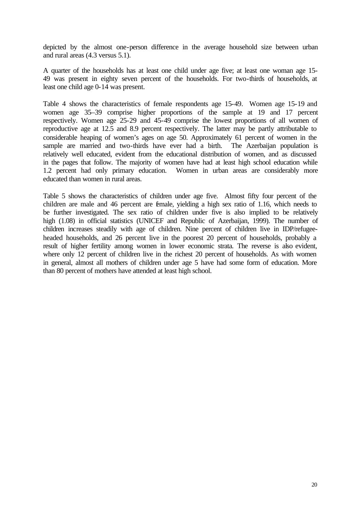depicted by the almost one-person difference in the average household size between urban and rural areas (4.3 versus 5.1).

A quarter of the households has at least one child under age five; at least one woman age 15- 49 was present in eighty seven percent of the households. For two-thirds of households, at least one child age 0-14 was present.

Table 4 shows the characteristics of female respondents age 15-49. Women age 15-19 and women age 35–39 comprise higher proportions of the sample at 19 and 17 percent respectively. Women age 25-29 and 45-49 comprise the lowest proportions of all women of reproductive age at 12.5 and 8.9 percent respectively. The latter may be partly attributable to considerable heaping of women's ages on age 50. Approximately 61 percent of women in the sample are married and two-thirds have ever had a birth. The Azerbaijan population is relatively well educated, evident from the educational distribution of women, and as discussed in the pages that follow. The majority of women have had at least high school education while 1.2 percent had only primary education. Women in urban areas are considerably more educated than women in rural areas.

Table 5 shows the characteristics of children under age five. Almost fifty four percent of the children are male and 46 percent are female, yielding a high sex ratio of 1.16, which needs to be further investigated. The sex ratio of children under five is also implied to be relatively high (1.08) in official statistics (UNICEF and Republic of Azerbaijan, 1999). The number of children increases steadily with age of children. Nine percent of children live in IDP/refugeeheaded households, and 26 percent live in the poorest 20 percent of households, probably a result of higher fertility among women in lower economic strata. The reverse is also evident, where only 12 percent of children live in the richest 20 percent of households. As with women in general, almost all mothers of children under age 5 have had some form of education. More than 80 percent of mothers have attended at least high school.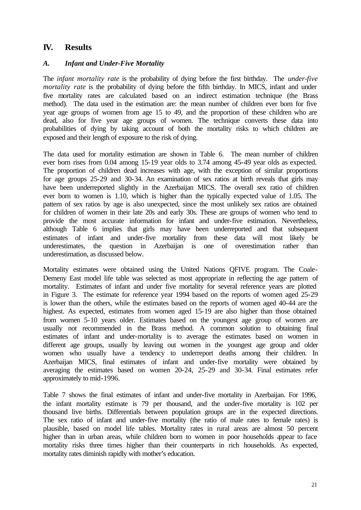#### **IV. Results**

#### *A. Infant and Under-Five Mortality*

The *infant mortality rate* is the probability of dying before the first birthday. The *under-five mortality rate* is the probability of dying before the fifth birthday. In MICS, infant and under five mortality rates are calculated based on an indirect estimation technique (the Brass method). The data used in the estimation are: the mean number of children ever born for five year age groups of women from age 15 to 49, and the proportion of these children who are dead, also for five year age groups of women. The technique converts these data into probabilities of dying by taking account of both the mortality risks to which children are exposed and their length of exposure to the risk of dying.

The data used for mortality estimation are shown in Table 6. The mean number of children ever born rises from 0.04 among 15-19 year olds to 3.74 among 45-49 year olds as expected. The proportion of children dead increases with age, with the exception of similar proportions for age groups 25-29 and 30-34. An examination of sex ratios at birth reveals that girls may have been underreported slightly in the Azerbaijan MICS. The overall sex ratio of children ever born to women is 1.10, which is higher than the typically expected value of 1.05. The pattern of sex ratios by age is also unexpected, since the most unlikely sex ratios are obtained for children of women in their late 20s and early 30s. These are groups of women who tend to provide the most accurate information for infant and under-five estimation. Nevertheless, although Table 6 implies that girls may have been underreported and that subsequent estimates of infant and under-five mortality from these data will most likely be underestimates, the question in Azerbaijan is one of overestimation rather than underestimation, as discussed below.

Mortality estimates were obtained using the United Nations QFIVE program. The Coale-Demeny East model life table was selected as most appropriate in reflecting the age pattern of mortality. Estimates of infant and under five mortality for several reference years are plotted in Figure 3. The estimate for reference year 1994 based on the reports of women aged 25-29 is lower than the others, while the estimates based on the reports of women aged 40-44 are the highest. As expected, estimates from women aged 15-19 are also higher than those obtained from women 5-10 years older. Estimates based on the youngest age group of women are usually not recommended in the Brass method. A common solution to obtaining final estimates of infant and under-mortality is to average the estimates based on women in different age groups, usually by leaving out women in the youngest age group and older women who usually have a tendency to underreport deaths among their children. In Azerbaijan MICS, final estimates of infant and under-five mortality were obtained by averaging the estimates based on women 20-24, 25-29 and 30-34. Final estimates refer approximately to mid-1996.

Table 7 shows the final estimates of infant and under-five mortality in Azerbaijan. For 1996, the infant mortality estimate is 79 per thousand, and the under-five mortality is 102 per thousand live births. Differentials between population groups are in the expected directions. The sex ratio of infant and under-five mortality (the ratio of male rates to female rates) is plausible, based on model life tables. Mortality rates in rural areas are almost 50 percent higher than in urban areas, while children born to women in poor households appear to face mortality risks three times higher than their counterparts in rich households. As expected, mortality rates diminish rapidly with mother's education.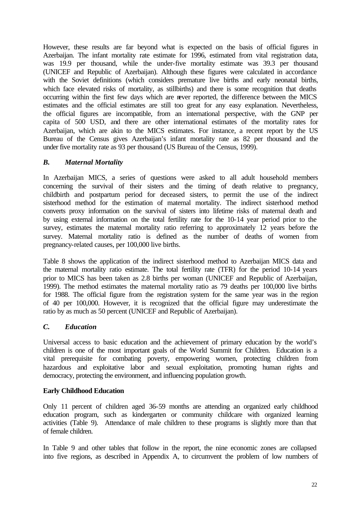However, these results are far beyond what is expected on the basis of official figures in Azerbaijan. The infant mortality rate estimate for 1996, estimated from vital registration data, was 19.9 per thousand, while the under-five mortality estimate was 39.3 per thousand (UNICEF and Republic of Azerbaijan). Although these figures were calculated in accordance with the Soviet definitions (which considers premature live births and early neonatal births, which face elevated risks of mortality, as stillbirths) and there is some recognition that deaths occurring within the first few days which are never reported, the difference between the MICS estimates and the official estimates are still too great for any easy explanation. Nevertheless, the official figures are incompatible, from an international perspective, with the GNP per capita of 500 USD, and there are other international estimates of the mortality rates for Azerbaijan, which are akin to the MICS estimates. For instance, a recent report by the US Bureau of the Census gives Azerbaijan's infant mortality rate as 82 per thousand and the under five mortality rate as 93 per thousand (US Bureau of the Census, 1999).

#### *B. Maternal Mortality*

In Azerbaijan MICS, a series of questions were asked to all adult household members concerning the survival of their sisters and the timing of death relative to pregnancy, childbirth and postpartum period for deceased sisters, to permit the use of the indirect sisterhood method for the estimation of maternal mortality. The indirect sisterhood method converts proxy information on the survival of sisters into lifetime risks of maternal death and by using external information on the total fertility rate for the 10-14 year period prior to the survey, estimates the maternal mortality ratio referring to approximately 12 years before the survey. Maternal mortality ratio is defined as the number of deaths of women from pregnancy-related causes, per 100,000 live births.

Table 8 shows the application of the indirect sisterhood method to Azerbaijan MICS data and the maternal mortality ratio estimate. The total fertility rate (TFR) for the period 10-14 years prior to MICS has been taken as 2.8 births per woman (UNICEF and Republic of Azerbaijan, 1999). The method estimates the maternal mortality ratio as 79 deaths per 100,000 live births for 1988. The official figure from the registration system for the same year was in the region of 40 per 100,000. However, it is recognized that the official figure may underestimate the ratio by as much as 50 percent (UNICEF and Republic of Azerbaijan).

#### *C. Education*

Universal access to basic education and the achievement of primary education by the world's children is one of the most important goals of the World Summit for Children. Education is a vital prerequisite for combating poverty, empowering women, protecting children from hazardous and exploitative labor and sexual exploitation, promoting human rights and democracy, protecting the environment, and influencing population growth.

#### **Early Childhood Education**

Only 11 percent of children aged 36-59 months are attending an organized early childhood education program, such as kindergarten or community childcare with organized learning activities (Table 9). Attendance of male children to these programs is slightly more than that of female children.

In Table 9 and other tables that follow in the report, the nine economic zones are collapsed into five regions, as described in Appendix A, to circumvent the problem of low numbers of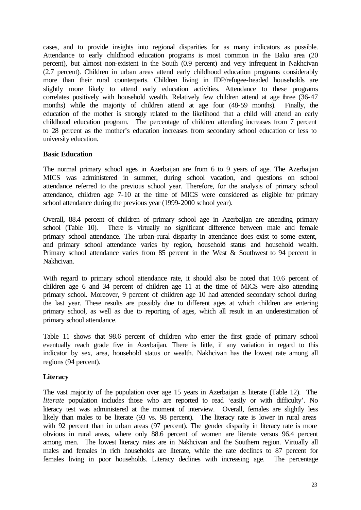cases, and to provide insights into regional disparities for as many indicators as possible. Attendance to early childhood education programs is most common in the Baku area (20 percent), but almost non-existent in the South (0.9 percent) and very infrequent in Nakhcivan (2.7 percent). Children in urban areas attend early childhood education programs considerably more than their rural counterparts. Children living in IDP/refugee-headed households are slightly more likely to attend early education activities. Attendance to these programs correlates positively with household wealth. Relatively few children attend at age hree (36-47 months) while the majority of children attend at age four (48-59 months). Finally, the education of the mother is strongly related to the likelihood that a child will attend an early childhood education program. The percentage of children attending increases from 7 percent to 28 percent as the mother's education increases from secondary school education or less to university education.

#### **Basic Education**

The normal primary school ages in Azerbaijan are from 6 to 9 years of age. The Azerbaijan MICS was administered in summer, during school vacation, and questions on school attendance referred to the previous school year. Therefore, for the analysis of primary school attendance, children age 7-10 at the time of MICS were considered as eligible for primary school attendance during the previous year (1999-2000 school year).

Overall, 88.4 percent of children of primary school age in Azerbaijan are attending primary school (Table 10). There is virtually no significant difference between male and female primary school attendance. The urban–rural disparity in attendance does exist to some extent, and primary school attendance varies by region, household status and household wealth. Primary school attendance varies from 85 percent in the West & Southwest to 94 percent in Nakhcivan.

With regard to primary school attendance rate, it should also be noted that 10.6 percent of children age 6 and 34 percent of children age 11 at the time of MICS were also attending primary school. Moreover, 9 percent of children age 10 had attended secondary school during the last year. These results are possibly due to different ages at which children are entering primary school, as well as due to reporting of ages, which all result in an underestimation of primary school attendance.

Table 11 shows that 98.6 percent of children who enter the first grade of primary school eventually reach grade five in Azerbaijan. There is little, if any variation in regard to this indicator by sex, area, household status or wealth. Nakhcivan has the lowest rate among all regions (94 percent).

#### **Literacy**

The vast majority of the population over age 15 years in Azerbaijan is literate (Table 12). The *literate* population includes those who are reported to read 'easily or with difficulty'. No literacy test was administered at the moment of interview. Overall, females are slightly less likely than males to be literate (93 vs. 98 percent). The literacy rate is lower in rural areas with 92 percent than in urban areas (97 percent). The gender disparity in literacy rate is more obvious in rural areas, where only 88.6 percent of women are literate versus 96.4 percent among men. The lowest literacy rates are in Nakhcivan and the Southern region. Virtually all males and females in rich households are literate, while the rate declines to 87 percent for females living in poor households. Literacy declines with increasing age. The percentage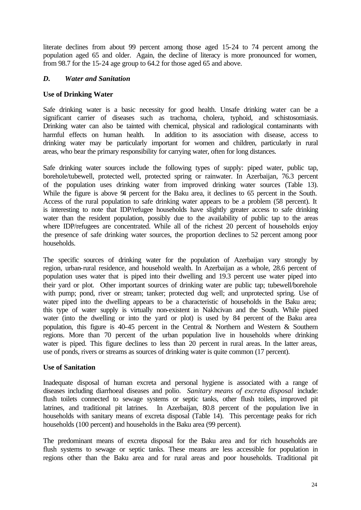literate declines from about 99 percent among those aged 15-24 to 74 percent among the population aged 65 and older. Again, the decline of literacy is more pronounced for women, from 98.7 for the 15-24 age group to 64.2 for those aged 65 and above.

#### *D. Water and Sanitation*

#### **Use of Drinking Water**

Safe drinking water is a basic necessity for good health. Unsafe drinking water can be a significant carrier of diseases such as trachoma, cholera, typhoid, and schistosomiasis. Drinking water can also be tainted with chemical, physical and radiological contaminants with harmful effects on human health. In addition to its association with disease, access to drinking water may be particularly important for women and children, particularly in rural areas, who bear the primary responsibility for carrying water, often for long distances.

Safe drinking water sources include the following types of supply: piped water, public tap, borehole/tubewell, protected well, protected spring or rainwater. In Azerbaijan, 76.3 percent of the population uses drinking water from improved drinking water sources (Table 13). While the figure is above 94 percent for the Baku area, it declines to 65 percent in the South. Access of the rural population to safe drinking water appears to be a problem (58 percent). It is interesting to note that IDP/refugee households have slightly greater access to safe drinking water than the resident population, possibly due to the availability of public tap to the areas where IDP/refugees are concentrated. While all of the richest 20 percent of households enjoy the presence of safe drinking water sources, the proportion declines to 52 percent among poor households.

The specific sources of drinking water for the population of Azerbaijan vary strongly by region, urban-rural residence, and household wealth. In Azerbaijan as a whole, 28.6 percent of population uses water that is piped into their dwelling and 19.3 percent use water piped into their yard or plot. Other important sources of drinking water are public tap; tubewell/borehole with pump; pond, river or stream; tanker; protected dug well; and unprotected spring. Use of water piped into the dwelling appears to be a characteristic of households in the Baku area; this type of water supply is virtually non-existent in Nakhcivan and the South. While piped water (into the dwelling or into the yard or plot) is used by 84 percent of the Baku area population, this figure is 40-45 percent in the Central & Northern and Western & Southern regions. More than 70 percent of the urban population live in households where drinking water is piped. This figure declines to less than 20 percent in rural areas. In the latter areas, use of ponds, rivers or streams as sources of drinking water is quite common (17 percent).

#### **Use of Sanitation**

Inadequate disposal of human excreta and personal hygiene is associated with a range of diseases including diarrhoeal diseases and polio. *Sanitary means of excreta disposal* include: flush toilets connected to sewage systems or septic tanks, other flush toilets, improved pit latrines, and traditional pit latrines. In Azerbaijan, 80.8 percent of the population live in households with sanitary means of excreta disposal (Table 14). This percentage peaks for rich households (100 percent) and households in the Baku area (99 percent).

The predominant means of excreta disposal for the Baku area and for rich households are flush systems to sewage or septic tanks. These means are less accessible for population in regions other than the Baku area and for rural areas and poor households. Traditional pit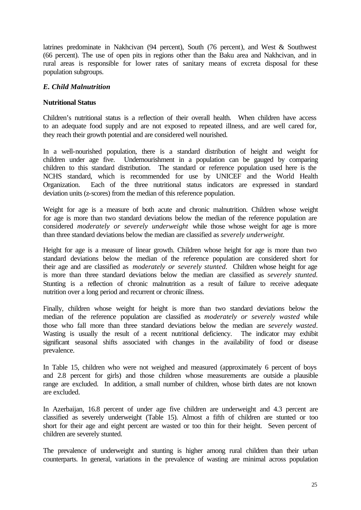latrines predominate in Nakhcivan (94 percent), South (76 percent), and West & Southwest (66 percent). The use of open pits in regions other than the Baku area and Nakhcivan, and in rural areas is responsible for lower rates of sanitary means of excreta disposal for these population subgroups.

#### *E. Child Malnutrition*

#### **Nutritional Status**

Children's nutritional status is a reflection of their overall health. When children have access to an adequate food supply and are not exposed to repeated illness, and are well cared for, they reach their growth potential and are considered well nourished.

In a well-nourished population, there is a standard distribution of height and weight for children under age five. Undernourishment in a population can be gauged by comparing children to this standard distribution. The standard or reference population used here is the NCHS standard, which is recommended for use by UNICEF and the World Health Organization. Each of the three nutritional status indicators are expressed in standard deviation units (z-scores) from the median of this reference population.

Weight for age is a measure of both acute and chronic malnutrition. Children whose weight for age is more than two standard deviations below the median of the reference population are considered *moderately or severely underweight* while those whose weight for age is more than three standard deviations below the median are classified as *severely underweight.*

Height for age is a measure of linear growth. Children whose height for age is more than two standard deviations below the median of the reference population are considered short for their age and are classified as *moderately or severely stunted.* Children whose height for age is more than three standard deviations below the median are classified as *severely stunted.* Stunting is a reflection of chronic malnutrition as a result of failure to receive adequate nutrition over a long period and recurrent or chronic illness.

Finally, children whose weight for height is more than two standard deviations below the median of the reference population are classified as *moderately or severely wasted* while those who fall more than three standard deviations below the median are *severely wasted*. Wasting is usually the result of a recent nutritional deficiency. The indicator may exhibit significant seasonal shifts associated with changes in the availability of food or disease prevalence.

In Table 15, children who were not weighed and measured (approximately 6 percent of boys and 2.8 percent for girls) and those children whose measurements are outside a plausible range are excluded. In addition, a small number of children, whose birth dates are not known are excluded.

In Azerbaijan, 16.8 percent of under age five children are underweight and 4.3 percent are classified as severely underweight (Table 15). Almost a fifth of children are stunted or too short for their age and eight percent are wasted or too thin for their height. Seven percent of children are severely stunted.

The prevalence of underweight and stunting is higher among rural children than their urban counterparts. In general, variations in the prevalence of wasting are minimal across population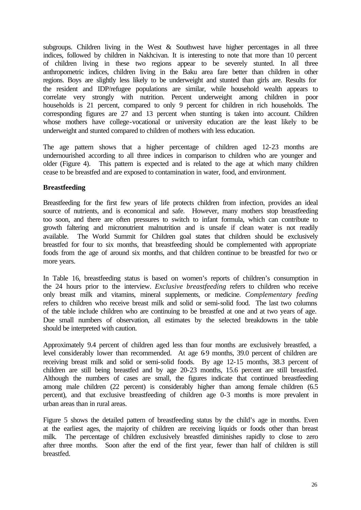subgroups. Children living in the West  $\&$  Southwest have higher percentages in all three indices, followed by children in Nakhcivan. It is interesting to note that more than 10 percent of children living in these two regions appear to be severely stunted. In all three anthropometric indices, children living in the Baku area fare better than children in other regions. Boys are slightly less likely to be underweight and stunted than girls are. Results for the resident and IDP/refugee populations are similar, while household wealth appears to correlate very strongly with nutrition. Percent underweight among children in poor households is 21 percent, compared to only 9 percent for children in rich households. The corresponding figures are 27 and 13 percent when stunting is taken into account. Children whose mothers have college-vocational or university education are the least likely to be underweight and stunted compared to children of mothers with less education.

The age pattern shows that a higher percentage of children aged 12-23 months are undernourished according to all three indices in comparison to children who are younger and older (Figure 4). This pattern is expected and is related to the age at which many children cease to be breastfed and are exposed to contamination in water, food, and environment.

#### **Breastfeeding**

Breastfeeding for the first few years of life protects children from infection, provides an ideal source of nutrients, and is economical and safe. However, many mothers stop breastfeeding too soon, and there are often pressures to switch to infant formula, which can contribute to growth faltering and micronutrient malnutrition and is unsafe if clean water is not readily available. The World Summit for Children goal states that children should be exclusively breastfed for four to six months, that breastfeeding should be complemented with appropriate foods from the age of around six months, and that children continue to be breastfed for two or more years.

In Table 16, breastfeeding status is based on women's reports of children's consumption in the 24 hours prior to the interview. *Exclusive breastfeeding* refers to children who receive only breast milk and vitamins, mineral supplements, or medicine. *Complementary feeding* refers to children who receive breast milk and solid or semi-solid food. The last two columns of the table include children who are continuing to be breastfed at one and at two years of age. Due small numbers of observation, all estimates by the selected breakdowns in the table should be interpreted with caution.

Approximately 9.4 percent of children aged less than four months are exclusively breastfed, a level considerably lower than recommended. At age 69 months, 39.0 percent of children are receiving breast milk and solid or semi-solid foods. By age 12-15 months, 38.3 percent of children are still being breastfed and by age 20-23 months, 15.6 percent are still breastfed. Although the numbers of cases are small, the figures indicate that continued breastfeeding among male children (22 percent) is considerably higher than among female children (6.5 percent), and that exclusive breastfeeding of children age 0-3 months is more prevalent in urban areas than in rural areas.

Figure 5 shows the detailed pattern of breastfeeding status by the child's age in months. Even at the earliest ages, the majority of children are receiving liquids or foods other than breast milk. The percentage of children exclusively breastfed diminishes rapidly to close to zero after three months. Soon after the end of the first year, fewer than half of children is still breastfed.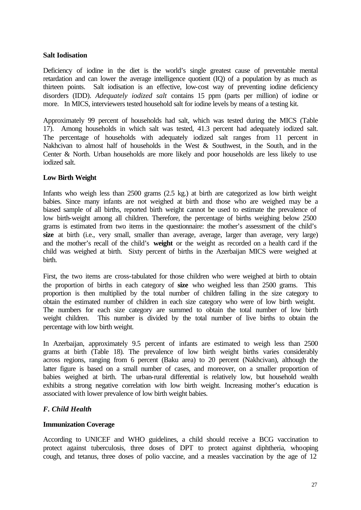#### **Salt Iodisation**

Deficiency of iodine in the diet is the world's single greatest cause of preventable mental retardation and can lower the average intelligence quotient (IQ) of a population by as much as thirteen points. Salt iodisation is an effective, low-cost way of preventing iodine deficiency disorders (IDD). *Adequately iodized salt* contains 15 ppm (parts per million) of iodine or more. In MICS, interviewers tested household salt for iodine levels by means of a testing kit.

Approximately 99 percent of households had salt, which was tested during the MICS (Table 17). Among households in which salt was tested, 41.3 percent had adequately iodized salt. The percentage of households with adequately iodized salt ranges from 11 percent in Nakhcivan to almost half of households in the West & Southwest, in the South, and in the Center & North. Urban households are more likely and poor households are less likely to use iodized salt.

#### **Low Birth Weight**

Infants who weigh less than 2500 grams (2.5 kg.) at birth are categorized as low birth weight babies. Since many infants are not weighed at birth and those who are weighed may be a biased sample of all births, reported birth weight cannot be used to estimate the prevalence of low birth-weight among all children. Therefore, the percentage of births weighing below 2500 grams is estimated from two items in the questionnaire: the mother's assessment of the child's **size** at birth (i.e., very small, smaller than average, average, larger than average, very large) and the mother's recall of the child's **weight** or the weight as recorded on a health card if the child was weighed at birth. Sixty percent of births in the Azerbaijan MICS were weighed at birth.

First, the two items are cross-tabulated for those children who were weighed at birth to obtain the proportion of births in each category of **size** who weighed less than 2500 grams. This proportion is then multiplied by the total number of children falling in the size category to obtain the estimated number of children in each size category who were of low birth weight. The numbers for each size category are summed to obtain the total number of low birth weight children. This number is divided by the total number of live births to obtain the percentage with low birth weight.

In Azerbaijan, approximately 9.5 percent of infants are estimated to weigh less than 2500 grams at birth (Table 18). The prevalence of low birth weight births varies considerably across regions, ranging from 6 percent (Baku area) to 20 percent (Nakhcivan), although the latter figure is based on a small number of cases, and moreover, on a smaller proportion of babies weighed at birth. The urban-rural differential is relatively low, but household wealth exhibits a strong negative correlation with low birth weight. Increasing mother's education is associated with lower prevalence of low birth weight babies.

#### *F. Child Health*

#### **Immunization Coverage**

According to UNICEF and WHO guidelines, a child should receive a BCG vaccination to protect against tuberculosis, three doses of DPT to protect against diphtheria, whooping cough, and tetanus, three doses of polio vaccine, and a measles vaccination by the age of 12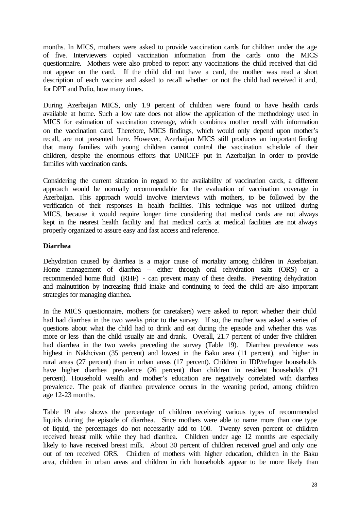months. In MICS, mothers were asked to provide vaccination cards for children under the age of five. Interviewers copied vaccination information from the cards onto the MICS questionnaire. Mothers were also probed to report any vaccinations the child received that did not appear on the card. If the child did not have a card, the mother was read a short description of each vaccine and asked to recall whether or not the child had received it and, for DPT and Polio, how many times.

During Azerbaijan MICS, only 1.9 percent of children were found to have health cards available at home. Such a low rate does not allow the application of the methodology used in MICS for estimation of vaccination coverage, which combines mother recall with information on the vaccination card. Therefore, MICS findings, which would only depend upon mother's recall, are not presented here. However, Azerbaijan MICS still produces an important finding that many families with young children cannot control the vaccination schedule of their children, despite the enormous efforts that UNICEF put in Azerbaijan in order to provide families with vaccination cards.

Considering the current situation in regard to the availability of vaccination cards, a different approach would be normally recommendable for the evaluation of vaccination coverage in Azerbaijan. This approach would involve interviews with mothers, to be followed by the verification of their responses in health facilities. This technique was not utilized during MICS, because it would require longer time considering that medical cards are not always kept in the nearest health facility and that medical cards at medical facilities are not always properly organized to assure easy and fast access and reference.

#### **Diarrhea**

Dehydration caused by diarrhea is a major cause of mortality among children in Azerbaijan. Home management of diarrhea – either through oral rehydration salts (ORS) or a recommended home fluid (RHF) - can prevent many of these deaths. Preventing dehydration and malnutrition by increasing fluid intake and continuing to feed the child are also important strategies for managing diarrhea.

In the MICS questionnaire, mothers (or caretakers) were asked to report whether their child had had diarrhea in the two weeks prior to the survey. If so, the mother was asked a series of questions about what the child had to drink and eat during the episode and whether this was more or less than the child usually ate and drank. Overall, 21.7 percent of under five children had diarrhea in the two weeks preceding the survey (Table 19). Diarrhea prevalence was highest in Nakhcivan (35 percent) and lowest in the Baku area (11 percent), and higher in rural areas (27 percent) than in urban areas (17 percent). Children in IDP/refugee households have higher diarrhea prevalence (26 percent) than children in resident households (21 percent). Household wealth and mother's education are negatively correlated with diarrhea prevalence. The peak of diarrhea prevalence occurs in the weaning period, among children age 12-23 months.

Table 19 also shows the percentage of children receiving various types of recommended liquids during the episode of diarrhea. Since mothers were able to name more than one type of liquid, the percentages do not necessarily add to 100. Twenty seven percent of children received breast milk while they had diarrhea. Children under age 12 months are especially likely to have received breast milk. About 30 percent of children received gruel and only one out of ten received ORS. Children of mothers with higher education, children in the Baku area, children in urban areas and children in rich households appear to be more likely than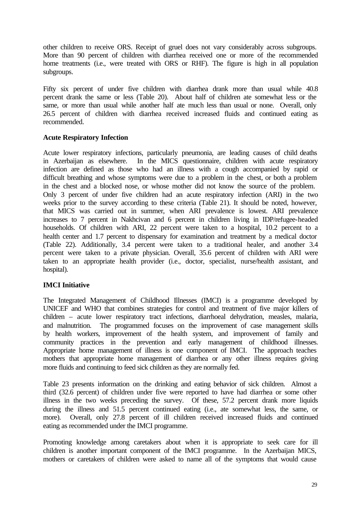other children to receive ORS. Receipt of gruel does not vary considerably across subgroups. More than 90 percent of children with diarrhea received one or more of the recommended home treatments (i.e., were treated with ORS or RHF). The figure is high in all population subgroups.

Fifty six percent of under five children with diarrhea drank more than usual while 40.8 percent drank the same or less (Table 20). About half of children ate somewhat less or the same, or more than usual while another half ate much less than usual or none. Overall, only 26.5 percent of children with diarrhea received increased fluids and continued eating as recommended.

#### **Acute Respiratory Infection**

Acute lower respiratory infections, particularly pneumonia, are leading causes of child deaths in Azerbaijan as elsewhere. In the MICS questionnaire, children with acute respiratory infection are defined as those who had an illness with a cough accompanied by rapid or difficult breathing and whose symptoms were due to a problem in the chest, or both a problem in the chest and a blocked nose, or whose mother did not know the source of the problem. Only 3 percent of under five children had an acute respiratory infection (ARI) in the two weeks prior to the survey according to these criteria (Table 21). It should be noted, however, that MICS was carried out in summer, when ARI prevalence is lowest. ARI prevalence increases to 7 percent in Nakhcivan and 6 percent in children living in IDP/refugee-headed households. Of children with ARI, 22 percent were taken to a hospital, 10.2 percent to a health center and 1.7 percent to dispensary for examination and treatment by a medical doctor (Table 22). Additionally, 3.4 percent were taken to a traditional healer, and another 3.4 percent were taken to a private physician. Overall, 35.6 percent of children with ARI were taken to an appropriate health provider (i.e., doctor, specialist, nurse/health assistant, and hospital).

#### **IMCI Initiative**

The Integrated Management of Childhood Illnesses (IMCI) is a programme developed by UNICEF and WHO that combines strategies for control and treatment of five major killers of children – acute lower respiratory tract infections, diarrhoeal dehydration, measles, malaria, and malnutrition. The programmed focuses on the improvement of case management skills by health workers, improvement of the health system, and improvement of family and community practices in the prevention and early management of childhood illnesses. Appropriate home management of illness is one component of IMCI. The approach teaches mothers that appropriate home management of diarrhea or any other illness requires giving more fluids and continuing to feed sick children as they are normally fed.

Table 23 presents information on the drinking and eating behavior of sick children. Almost a third (32.6 percent) of children under five were reported to have had diarrhea or some other illness in the two weeks preceding the survey. Of these, 57.2 percent drank more liquids during the illness and 51.5 percent continued eating (i.e., ate somewhat less, the same, or more). Overall, only 27.8 percent of ill children received increased fluids and continued eating as recommended under the IMCI programme.

Promoting knowledge among caretakers about when it is appropriate to seek care for ill children is another important component of the IMCI programme. In the Azerbaijan MICS, mothers or caretakers of children were asked to name all of the symptoms that would cause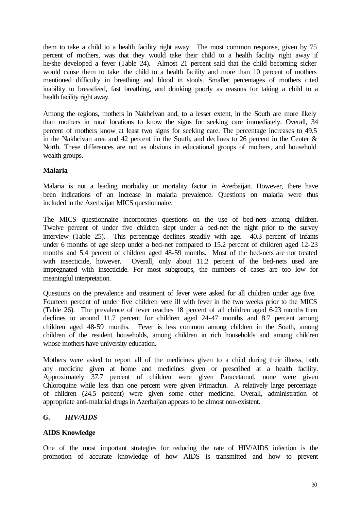them to take a child to a health facility right away. The most common response, given by 75 percent of mothers, was that they would take their child to a health facility right away if he/she developed a fever (Table 24). Almost 21 percent said that the child becoming sicker would cause them to take the child to a health facility and more than 10 percent of mothers mentioned difficulty in breathing and blood in stools. Smaller percentages of mothers cited inability to breastfeed, fast breathing, and drinking poorly as reasons for taking a child to a health facility right away.

Among the regions, mothers in Nakhcivan and, to a lesser extent, in the South are more likely than mothers in rural locations to know the signs for seeking care immediately. Overall, 34 percent of mothers know at least two signs for seeking care. The percentage increases to 49.5 in the Nakhcivan area and 42 percent iin the South, and declines to 26 percent in the Center  $\&$ North. These differences are not as obvious in educational groups of mothers, and household wealth groups.

#### **Malaria**

Malaria is not a leading morbidity or mortality factor in Azerbaijan. However, there have been indications of an increase in malaria prevalence. Questions on malaria were thus included in the Azerbaijan MICS questionnaire.

The MICS questionnaire incorporates questions on the use of bed-nets among children. Twelve percent of under five children slept under a bed-net the night prior to the survey interview (Table 25). This percentage declines steadily with age. 40.3 percent of infants under 6 months of age sleep under a bed-net compared to 15.2 percent of children aged 12-23 months and 5.4 percent of children aged 48-59 months. Most of the bed-nets are not treated with insecticide, however. Overall, only about 11.2 percent of the bed-nets used are impregnated with insecticide. For most subgroups, the numbers of cases are too low for meaningful interpretation.

Questions on the prevalence and treatment of fever were asked for all children under age five. Fourteen percent of under five children were ill with fever in the two weeks prior to the MICS (Table 26). The prevalence of fever reaches 18 percent of all children aged 6-23 months then declines to around 11.7 percent for children aged 24-47 months and 8.7 percent among children aged 48-59 months. Fever is less common among children in the South, among children of the resident households, among children in rich households and among children whose mothers have university education.

Mothers were asked to report all of the medicines given to a child during their illness, both any medicine given at home and medicines given or prescribed at a health facility. Approximately 37.7 percent of children were given Paracetamol, none were given Chloroquine while less than one percent were given Primachin. A relatively large percentage of children (24.5 percent) were given some other medicine. Overall, administration of appropriate anti-malarial drugs in Azerbaijan appears to be almost non-existent.

#### *G. HIV/AIDS*

#### **AIDS Knowledge**

One of the most important strategies for reducing the rate of HIV/AIDS infection is the promotion of accurate knowledge of how AIDS is transmitted and how to prevent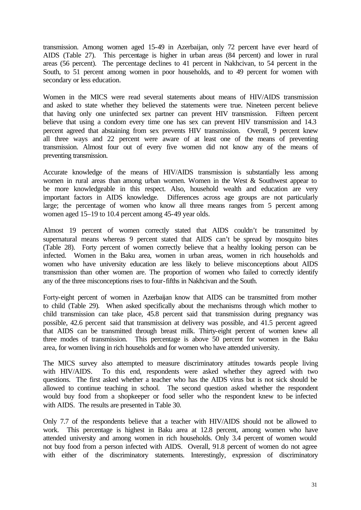transmission. Among women aged 15-49 in Azerbaijan, only 72 percent have ever heard of AIDS (Table 27). This percentage is higher in urban areas (84 percent) and lower in rural areas (56 percent). The percentage declines to 41 percent in Nakhcivan, to 54 percent in the South, to 51 percent among women in poor households, and to 49 percent for women with secondary or less education.

Women in the MICS were read several statements about means of HIV/AIDS transmission and asked to state whether they believed the statements were true. Nineteen percent believe that having only one uninfected sex partner can prevent HIV transmission. Fifteen percent believe that using a condom every time one has sex can prevent HIV transmission and 14.3 percent agreed that abstaining from sex prevents HIV transmission. Overall, 9 percent knew all three ways and 22 percent were aware of at least one of the means of preventing transmission. Almost four out of every five women did not know any of the means of preventing transmission.

Accurate knowledge of the means of HIV/AIDS transmission is substantially less among women in rural areas than among urban women. Women in the West & Southwest appear to be more knowledgeable in this respect. Also, household wealth and education are very important factors in AIDS knowledge. Differences across age groups are not particularly large; the percentage of women who know all three means ranges from 5 percent among women aged 15–19 to 10.4 percent among 45-49 year olds.

Almost 19 percent of women correctly stated that AIDS couldn't be transmitted by supernatural means whereas 9 percent stated that AIDS can't be spread by mosquito bites (Table 28). Forty percent of women correctly believe that a healthy looking person can be infected. Women in the Baku area, women in urban areas, women in rich households and women who have university education are less likely to believe misconceptions about AIDS transmission than other women are. The proportion of women who failed to correctly identify any of the three misconceptions rises to four-fifths in Nakhcivan and the South.

Forty-eight percent of women in Azerbaijan know that AIDS can be transmitted from mother to child (Table 29). When asked specifically about the mechanisms through which mother to child transmission can take place, 45.8 percent said that transmission during pregnancy was possible, 42.6 percent said that transmission at delivery was possible, and 41.5 percent agreed that AIDS can be transmitted through breast milk. Thirty-eight percent of women knew all three modes of transmission. This percentage is above 50 percent for women in the Baku area, for women living in rich households and for women who have attended university.

The MICS survey also attempted to measure discriminatory attitudes towards people living with HIV/AIDS. To this end, respondents were asked whether they agreed with two questions. The first asked whether a teacher who has the AIDS virus but is not sick should be allowed to continue teaching in school. The second question asked whether the respondent would buy food from a shopkeeper or food seller who the respondent knew to be infected with AIDS. The results are presented in Table 30.

Only 7.7 of the respondents believe that a teacher with HIV/AIDS should not be allowed to work. This percentage is highest in Baku area at 12.8 percent, among women who have attended university and among women in rich households. Only 3.4 percent of women would not buy food from a person infected with AIDS. Overall, 91.8 percent of women do not agree with either of the discriminatory statements. Interestingly, expression of discriminatory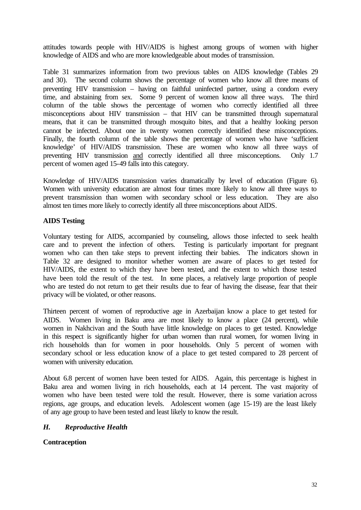attitudes towards people with HIV/AIDS is highest among groups of women with higher knowledge of AIDS and who are more knowledgeable about modes of transmission.

Table 31 summarizes information from two previous tables on AIDS knowledge (Tables 29 and 30). The second column shows the percentage of women who know all three means of preventing HIV transmission – having on faithful uninfected partner, using a condom every time, and abstaining from sex. Some 9 percent of women know all three ways. The third column of the table shows the percentage of women who correctly identified all three misconceptions about HIV transmission – that HIV can be transmitted through supernatural means, that it can be transmitted through mosquito bites, and that a healthy looking person cannot be infected. About one in twenty women correctly identified these misconceptions. Finally, the fourth column of the table shows the percentage of women who have 'sufficient knowledge' of HIV/AIDS transmission. These are women who know all three ways of preventing HIV transmission and correctly identified all three misconceptions. Only 1.7 percent of women aged 15-49 falls into this category.

Knowledge of HIV/AIDS transmission varies dramatically by level of education (Figure 6). Women with university education are almost four times more likely to know all three ways to prevent transmission than women with secondary school or less education. They are also almost ten times more likely to correctly identify all three misconceptions about AIDS.

#### **AIDS Testing**

Voluntary testing for AIDS, accompanied by counseling, allows those infected to seek health care and to prevent the infection of others. Testing is particularly important for pregnant women who can then take steps to prevent infecting their babies. The indicators shown in Table 32 are designed to monitor whether women are aware of places to get tested for HIV/AIDS, the extent to which they have been tested, and the extent to which those tested have been told the result of the test. In some places, a relatively large proportion of people who are tested do not return to get their results due to fear of having the disease, fear that their privacy will be violated, or other reasons.

Thirteen percent of women of reproductive age in Azerbaijan know a place to get tested for AIDS. Women living in Baku area are most likely to know a place (24 percent), while women in Nakhcivan and the South have little knowledge on places to get tested. Knowledge in this respect is significantly higher for urban women than rural women, for women living in rich households than for women in poor households. Only 5 percent of women with secondary school or less education know of a place to get tested compared to 28 percent of women with university education.

About 6.8 percent of women have been tested for AIDS. Again, this percentage is highest in Baku area and women living in rich households, each at 14 percent. The vast majority of women who have been tested were told the result. However, there is some variation across regions, age groups, and education levels. Adolescent women (age 15-19) are the least likely of any age group to have been tested and least likely to know the result.

#### *H. Reproductive Health*

**Contraception**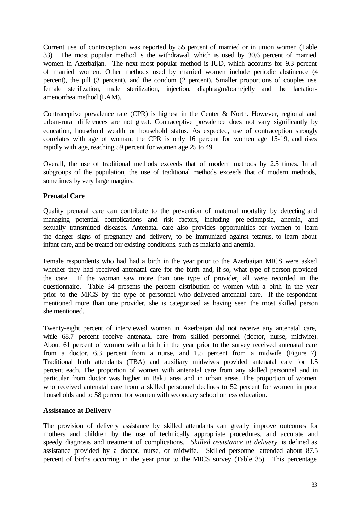Current use of contraception was reported by 55 percent of married or in union women (Table 33). The most popular method is the withdrawal, which is used by 30.6 percent of married women in Azerbaijan. The next most popular method is IUD, which accounts for 9.3 percent of married women. Other methods used by married women include periodic abstinence (4 percent), the pill (3 percent), and the condom (2 percent). Smaller proportions of couples use female sterilization, male sterilization, injection, diaphragm/foam/jelly and the lactationamenorrhea method (LAM).

Contraceptive prevalence rate (CPR) is highest in the Center & North. However, regional and urban-rural differences are not great. Contraceptive prevalence does not vary significantly by education, household wealth or household status. As expected, use of contraception strongly correlates with age of woman; the CPR is only 16 percent for women age 15-19, and rises rapidly with age, reaching 59 percent for women age 25 to 49.

Overall, the use of traditional methods exceeds that of modern methods by 2.5 times. In all subgroups of the population, the use of traditional methods exceeds that of modern methods, sometimes by very large margins.

#### **Prenatal Care**

Quality prenatal care can contribute to the prevention of maternal mortality by detecting and managing potential complications and risk factors, including pre-eclampsia, anemia, and sexually transmitted diseases. Antenatal care also provides opportunities for women to learn the danger signs of pregnancy and delivery, to be immunized against tetanus, to learn about infant care, and be treated for existing conditions, such as malaria and anemia.

Female respondents who had had a birth in the year prior to the Azerbaijan MICS were asked whether they had received antenatal care for the birth and, if so, what type of person provided the care. If the woman saw more than one type of provider, all were recorded in the questionnaire. Table 34 presents the percent distribution of women with a birth in the year prior to the MICS by the type of personnel who delivered antenatal care. If the respondent mentioned more than one provider, she is categorized as having seen the most skilled person she mentioned.

Twenty-eight percent of interviewed women in Azerbaijan did not receive any antenatal care, while 68.7 percent receive antenatal care from skilled personnel (doctor, nurse, midwife). About 61 percent of women with a birth in the year prior to the survey received antenatal care from a doctor, 6.3 percent from a nurse, and 1.5 percent from a midwife (Figure 7). Traditional birth attendants (TBA) and auxiliary midwives provided antenatal care for 1.5 percent each. The proportion of women with antenatal care from any skilled personnel and in particular from doctor was higher in Baku area and in urban areas. The proportion of women who received antenatal care from a skilled personnel declines to 52 percent for women in poor households and to 58 percent for women with secondary school or less education.

#### **Assistance at Delivery**

The provision of delivery assistance by skilled attendants can greatly improve outcomes for mothers and children by the use of technically appropriate procedures, and accurate and speedy diagnosis and treatment of complications. *Skilled assistance at delivery* is defined as assistance provided by a doctor, nurse, or midwife. Skilled personnel attended about 87.5 percent of births occurring in the year prior to the MICS survey (Table 35). This percentage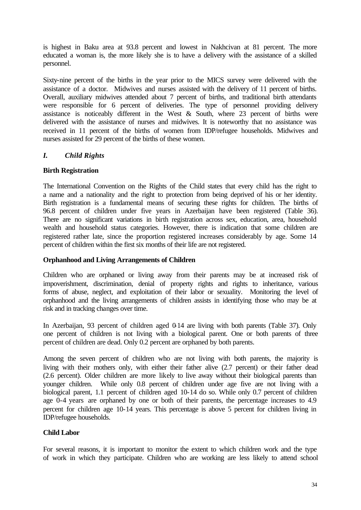is highest in Baku area at 93.8 percent and lowest in Nakhcivan at 81 percent. The more educated a woman is, the more likely she is to have a delivery with the assistance of a skilled personnel.

Sixty-nine percent of the births in the year prior to the MICS survey were delivered with the assistance of a doctor. Midwives and nurses assisted with the delivery of 11 percent of births. Overall, auxiliary midwives attended about 7 percent of births, and traditional birth attendants were responsible for 6 percent of deliveries. The type of personnel providing delivery assistance is noticeably different in the West  $\&$  South, where 23 percent of births were delivered with the assistance of nurses and midwives. It is noteworthy that no assistance was received in 11 percent of the births of women from IDP/refugee households. Midwives and nurses assisted for 29 percent of the births of these women.

#### *I. Child Rights*

#### **Birth Registration**

The International Convention on the Rights of the Child states that every child has the right to a name and a nationality and the right to protection from being deprived of his or her identity. Birth registration is a fundamental means of securing these rights for children. The births of 96.8 percent of children under five years in Azerbaijan have been registered (Table 36). There are no significant variations in birth registration across sex, education, area, household wealth and household status categories. However, there is indication that some children are registered rather late, since the proportion registered increases considerably by age. Some 14 percent of children within the first six months of their life are not registered.

#### **Orphanhood and Living Arrangements of Children**

Children who are orphaned or living away from their parents may be at increased risk of impoverishment, discrimination, denial of property rights and rights to inheritance, various forms of abuse, neglect, and exploitation of their labor or sexuality. Monitoring the level of orphanhood and the living arrangements of children assists in identifying those who may be at risk and in tracking changes over time.

In Azerbaijan, 93 percent of children aged 0-14 are living with both parents (Table 37). Only one percent of children is not living with a biological parent. One or both parents of three percent of children are dead. Only 0.2 percent are orphaned by both parents.

Among the seven percent of children who are not living with both parents, the majority is living with their mothers only, with either their father alive (2.7 percent) or their father dead (2.6 percent). Older children are more likely to live away without their biological parents than younger children. While only 0.8 percent of children under age five are not living with a biological parent, 1.1 percent of children aged 10-14 do so. While only 0.7 percent of children age 0-4 years are orphaned by one or both of their parents, the percentage increases to 4.9 percent for children age 10-14 years. This percentage is above 5 percent for children living in IDP/refugee households.

#### **Child Labor**

For several reasons, it is important to monitor the extent to which children work and the type of work in which they participate. Children who are working are less likely to attend school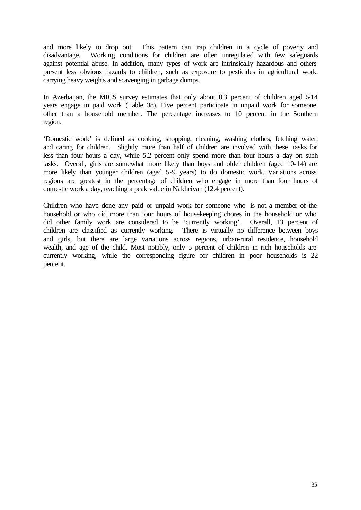and more likely to drop out. This pattern can trap children in a cycle of poverty and disadvantage. Working conditions for children are often unregulated with few safeguards against potential abuse. In addition, many types of work are intrinsically hazardous and others present less obvious hazards to children, such as exposure to pesticides in agricultural work, carrying heavy weights and scavenging in garbage dumps.

In Azerbaijan, the MICS survey estimates that only about 0.3 percent of children aged 5-14 years engage in paid work (Table 38). Five percent participate in unpaid work for someone other than a household member. The percentage increases to 10 percent in the Southern region.

'Domestic work' is defined as cooking, shopping, cleaning, washing clothes, fetching water, and caring for children. Slightly more than half of children are involved with these tasks for less than four hours a day, while 5.2 percent only spend more than four hours a day on such tasks. Overall, girls are somewhat more likely than boys and older children (aged 10-14) are more likely than younger children (aged 5-9 years) to do domestic work. Variations across regions are greatest in the percentage of children who engage in more than four hours of domestic work a day, reaching a peak value in Nakhcivan (12.4 percent).

Children who have done any paid or unpaid work for someone who is not a member of the household or who did more than four hours of housekeeping chores in the household or who did other family work are considered to be 'currently working'. Overall, 13 percent of children are classified as currently working. There is virtually no difference between boys and girls, but there are large variations across regions, urban-rural residence, household wealth, and age of the child. Most notably, only 5 percent of children in rich households are currently working, while the corresponding figure for children in poor households is 22 percent.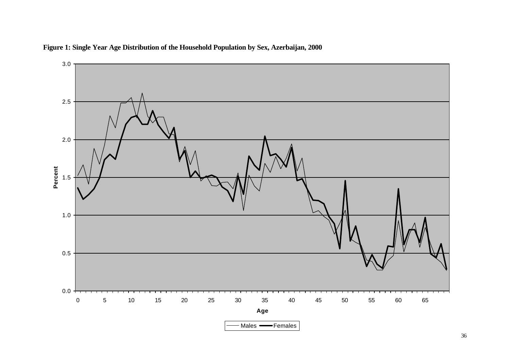

**Figure 1: Single Year Age Distribution of the Household Population by Sex, Azerbaijan, 2000**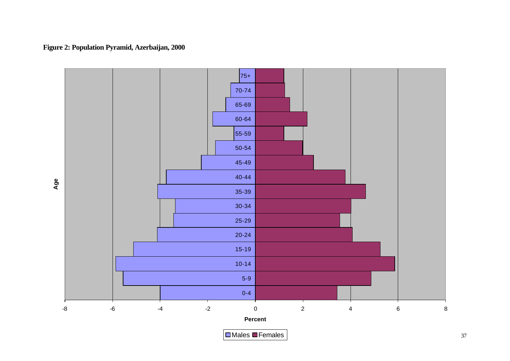

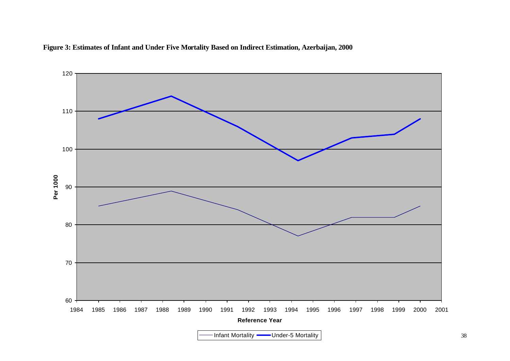

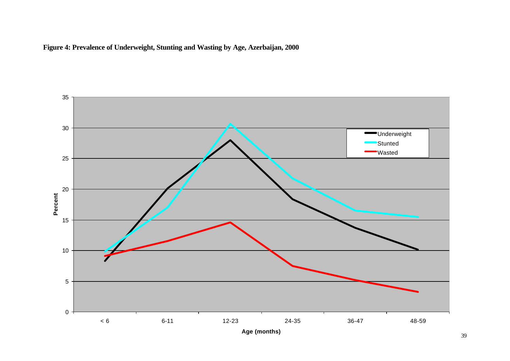

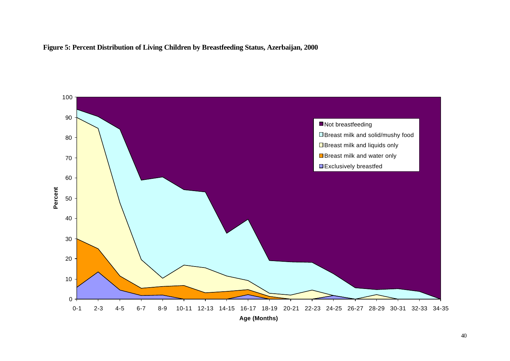

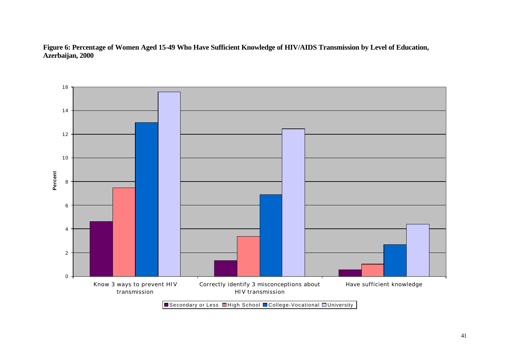**Figure 6: Percentage of Women Aged 15-49 Who Have Sufficient Knowledge of HIV/AIDS Transmission by Level of Education, Azerbaijan, 2000**



■Secondary or Less ■High School ■College-Vocational ■University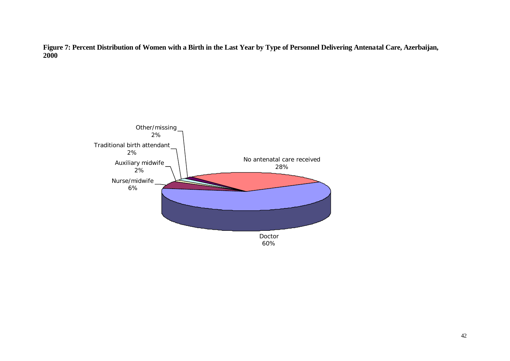**Figure 7: Percent Distribution of Women with a Birth in the Last Year by Type of Personnel Delivering Antenatal Care, Azerbaijan, 2000**

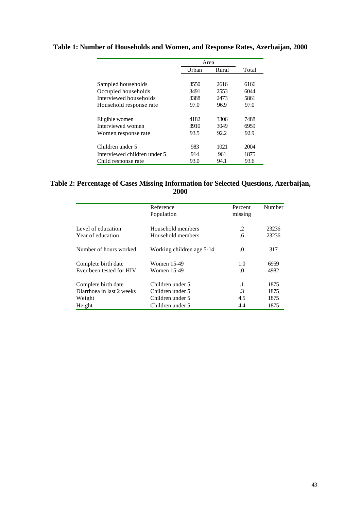|                              | Area  |       |       |
|------------------------------|-------|-------|-------|
|                              | Urban | Rural | Total |
|                              |       |       |       |
| Sampled households           | 3550  | 2616  | 6166  |
| Occupied households          | 3491  | 2553  | 6044  |
| Interviewed households       | 3388  | 2473  | 5861  |
| Household response rate      | 97.0  | 96.9  | 97.0  |
|                              |       |       |       |
| Eligible women               | 4182  | 3306  | 7488  |
| Interviewed women            | 3910  | 3049  | 6959  |
| Women response rate          | 93.5  | 92.2  | 92.9  |
|                              |       |       |       |
| Children under 5             | 983   | 1021  | 2004  |
| Interviewed children under 5 | 914   | 961   | 1875  |
| Child response rate          | 93.0  | 94.1  | 93.6  |

# **Table 1: Number of Households and Women, and Response Rates, Azerbaijan, 2000**

### **Table 2: Percentage of Cases Missing Information for Selected Questions, Azerbaijan, 2000**

|                           | Percent<br>missing        | Number        |       |
|---------------------------|---------------------------|---------------|-------|
|                           |                           |               |       |
| Level of education        | Household members         | .2            | 23236 |
| Year of education         | Household members         | .6            | 23236 |
| Number of hours worked    | Working children age 5-14 | $\Omega$      | 317   |
| Complete birth date       | Women 15-49               | 1.0           | 6959  |
| Ever been tested for HIV  | Women 15-49               | $\Omega$      | 4982  |
| Complete birth date       | Children under 5          | $\cdot$ 1     | 1875  |
| Diarrhoea in last 2 weeks | Children under 5          | $\mathcal{A}$ | 1875  |
| Weight                    | Children under 5          | 4.5           | 1875  |
| Height                    | Children under 5          | 4.4           | 1875  |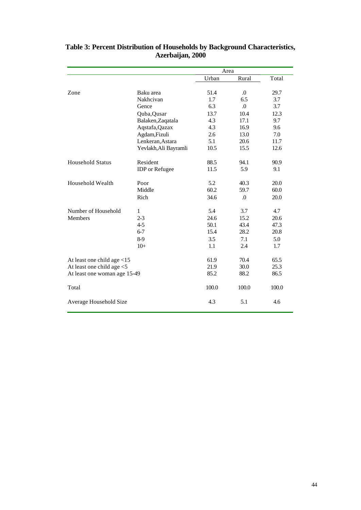|                               |                       |       | Area       |       |  |
|-------------------------------|-----------------------|-------|------------|-------|--|
|                               |                       | Urban | Rural      | Total |  |
|                               |                       |       |            |       |  |
| Zone                          | Baku area             | 51.4  | $\Omega$ . | 29.7  |  |
|                               | Nakhcivan             | 1.7   | 6.5        | 3.7   |  |
|                               | Gence                 | 6.3   | $\Omega$ . | 3.7   |  |
|                               | Quba, Qusar           | 13.7  | 10.4       | 12.3  |  |
|                               | Balaken, Zaqatala     | 4.3   | 17.1       | 9.7   |  |
|                               | Aqstafa, Qazax        | 4.3   | 16.9       | 9.6   |  |
|                               | Agdam, Fizuli         | 2.6   | 13.0       | 7.0   |  |
|                               | Lenkeran, Astara      | 5.1   | 20.6       | 11.7  |  |
|                               | Yevlakh, Ali Bayramli | 10.5  | 15.5       | 12.6  |  |
| <b>Household Status</b>       | Resident              | 88.5  | 94.1       | 90.9  |  |
|                               | <b>IDP</b> or Refugee | 11.5  | 5.9        | 9.1   |  |
| Household Wealth              | Poor                  | 5.2   | 40.3       | 20.0  |  |
|                               | Middle                | 60.2  | 59.7       | 60.0  |  |
|                               | Rich                  | 34.6  | .0         | 20.0  |  |
| Number of Household           | 1                     | 5.4   | 3.7        | 4.7   |  |
| <b>Members</b>                | $2 - 3$               | 24.6  | 15.2       | 20.6  |  |
|                               | $4 - 5$               | 50.1  | 43.4       | 47.3  |  |
|                               | $6 - 7$               | 15.4  | 28.2       | 20.8  |  |
|                               | 8-9                   | 3.5   | 7.1        | 5.0   |  |
|                               | $10+$                 | 1.1   | 2.4        | 1.7   |  |
| At least one child age $<$ 15 |                       | 61.9  | 70.4       | 65.5  |  |
| At least one child age <5     |                       | 21.9  | 30.0       | 25.3  |  |
| At least one woman age 15-49  |                       | 85.2  | 88.2       | 86.5  |  |
| Total                         |                       | 100.0 | 100.0      | 100.0 |  |
| Average Household Size        |                       | 4.3   | 5.1        | 4.6   |  |

### **Table 3: Percent Distribution of Households by Background Characteristics, Azerbaijan, 2000**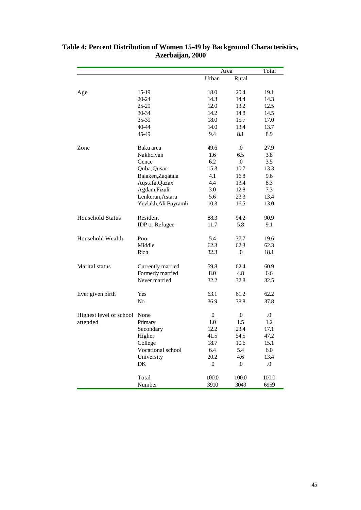|                         |                       |                  | Area             | Total            |
|-------------------------|-----------------------|------------------|------------------|------------------|
|                         |                       | Urban            | Rural            |                  |
|                         |                       |                  |                  |                  |
| Age                     | $15-19$               | 18.0             | 20.4             | 19.1             |
|                         | 20-24                 | 14.3             | 14.4             | 14.3             |
|                         | 25-29                 | 12.0             | 13.2             | 12.5             |
|                         | 30-34                 | 14.2             | 14.8             | 14.5             |
|                         | 35-39                 | 18.0             | 15.7             | 17.0             |
|                         | 40-44                 | 14.0             | 13.4             | 13.7             |
|                         | 45-49                 | 9.4              | 8.1              | 8.9              |
| Zone                    | Baku area             | 49.6             | .0               | 27.9             |
|                         | Nakhcivan             | 1.6              | 6.5              | 3.8              |
|                         | Gence                 | 6.2              | $\Omega$ .       | 3.5              |
|                         | Quba, Qusar           | 15.3             | 10.7             | 13.3             |
|                         | Balaken, Zaqatala     | 4.1              | 16.8             | 9.6              |
|                         | Aqstafa, Qazax        | 4.4              | 13.4             | 8.3              |
|                         | Agdam, Fizuli         | 3.0              | 12.8             | 7.3              |
|                         | Lenkeran, Astara      | 5.6              | 23.3             | 13.4             |
|                         | Yevlakh, Ali Bayramli | 10.3             | 16.5             | 13.0             |
|                         |                       |                  |                  |                  |
| <b>Household Status</b> | Resident              | 88.3             | 94.2             | 90.9             |
|                         | <b>IDP</b> or Refugee | 11.7             | 5.8              | 9.1              |
| Household Wealth        | Poor                  | 5.4              | 37.7             | 19.6             |
|                         | Middle                | 62.3             | 62.3             | 62.3             |
|                         | Rich                  | 32.3             | $\Omega$ .       | 18.1             |
| Marital status          |                       | 59.8             | 62.4             | 60.9             |
|                         | Currently married     |                  | 4.8              |                  |
|                         | Formerly married      | 8.0              |                  | 6.6              |
|                         | Never married         | 32.2             | 32.8             | 32.5             |
| Ever given birth        | Yes                   | 63.1             | 61.2             | 62.2             |
|                         | N <sub>o</sub>        | 36.9             | 38.8             | 37.8             |
| Highest level of school | None                  | $\Omega$ .       | $\Omega$ .       | $\Omega$ .       |
| attended                | Primary               | 1.0              | 1.5              | 1.2              |
|                         | Secondary             | 12.2             | 23.4             | 17.1             |
|                         | Higher                | 41.5             | 54.5             | 47.2             |
|                         | College               | 18.7             | 10.6             | 15.1             |
|                         | Vocational school     | 6.4              | 5.4              | $6.0\,$          |
|                         | University            | 20.2             | 4.6              | 13.4             |
|                         | DK                    | $\boldsymbol{0}$ | $\boldsymbol{0}$ | $\boldsymbol{0}$ |
|                         | Total                 | 100.0            | 100.0            | 100.0            |
|                         |                       |                  |                  |                  |
|                         | Number                | 3910             | 3049             | 6959             |

#### **Table 4: Percent Distribution of Women 15-49 by Background Characteristics, Azerbaijan, 2000**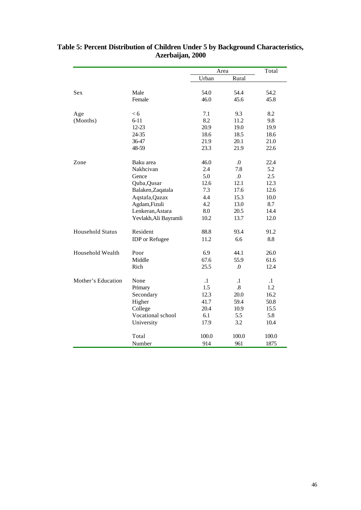|                         |                       | Area    |            | Total     |
|-------------------------|-----------------------|---------|------------|-----------|
|                         |                       | Urban   | Rural      |           |
|                         |                       |         |            |           |
| <b>Sex</b>              | Male                  | 54.0    | 54.4       | 54.2      |
|                         | Female                | 46.0    | 45.6       | 45.8      |
| Age                     | < 6                   | 7.1     | 9.3        | 8.2       |
| (Months)                | $6 - 11$              | 8.2     | 11.2       | 9.8       |
|                         | $12 - 23$             | 20.9    | 19.0       | 19.9      |
|                         | 24-35                 | 18.6    | 18.5       | 18.6      |
|                         | 36-47                 | 21.9    | 20.1       | 21.0      |
|                         | 48-59                 | 23.3    | 21.9       | 22.6      |
| Zone                    | Baku area             | 46.0    | $\Omega$   | 22.4      |
|                         | Nakhcivan             | 2.4     | 7.8        | 5.2       |
|                         | Gence                 | 5.0     | $\Omega$ . | 2.5       |
|                         | Quba, Qusar           | 12.6    | 12.1       | 12.3      |
|                         | Balaken, Zaqatala     | 7.3     | 17.6       | 12.6      |
|                         | Aqstafa, Qazax        | 4.4     | 15.3       | 10.0      |
|                         | Agdam, Fizuli         | 4.2     | 13.0       | 8.7       |
|                         | Lenkeran, Astara      | 8.0     | 20.5       | 14.4      |
|                         | Yevlakh, Ali Bayramli | 10.2    | 13.7       | 12.0      |
| <b>Household Status</b> | Resident              | 88.8    | 93.4       | 91.2      |
|                         | <b>IDP</b> or Refugee | 11.2    | 6.6        | 8.8       |
| Household Wealth        | Poor                  | 6.9     | 44.1       | 26.0      |
|                         | Middle                | 67.6    | 55.9       | 61.6      |
|                         | Rich                  | 25.5    | $\Omega$   | 12.4      |
| Mother's Education      | None                  | $\cdot$ | $\cdot$ 1  | $\cdot$ 1 |
|                         | Primary               | 1.5     | .8         | 1.2       |
|                         | Secondary             | 12.3    | 20.0       | 16.2      |
|                         | Higher                | 41.7    | 59.4       | 50.8      |
|                         | College               | 20.4    | 10.9       | 15.5      |
|                         | Vocational school     | 6.1     | 5.5        | 5.8       |
|                         | University            | 17.9    | 3.2        | 10.4      |
|                         | Total                 | 100.0   | 100.0      | 100.0     |
|                         | Number                | 914     | 961        | 1875      |

### **Table 5: Percent Distribution of Children Under 5 by Background Characteristics, Azerbaijan, 2000**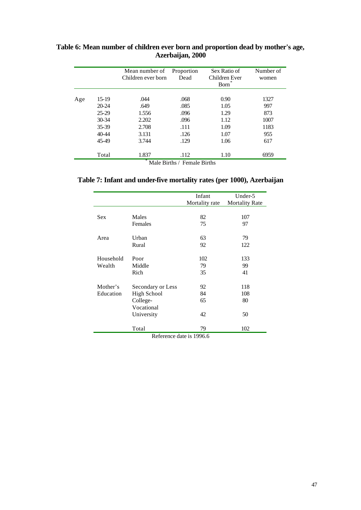|         | Mean number of<br>Children ever born | Sex Ratio of<br>Proportion<br>Dead<br>Children Ever<br><b>Born</b> |                      | Number of<br>women   |
|---------|--------------------------------------|--------------------------------------------------------------------|----------------------|----------------------|
| $15-19$ | .044                                 | .068                                                               | 0.90                 | 1327<br>997          |
| 25-29   | 1.556                                | .096                                                               | 1.29                 | 873<br>1007          |
| 35-39   | 2.708                                | .111                                                               | 1.09                 | 1183                 |
| 45-49   | 3.744                                | .129                                                               | 1.06                 | 955<br>617           |
| Total   | 1.837                                | .112                                                               | 1.10                 | 6959                 |
|         | $20 - 24$<br>$30 - 34$<br>$40 - 44$  | .649<br>2.202<br>3.131                                             | .085<br>.096<br>.126 | 1.05<br>1.12<br>1.07 |

## **Table 6: Mean number of children ever born and proportion dead by mother's age, Azerbaijan, 2000**

**Table 7: Infant and under-five mortality rates (per 1000), Azerbaijan**

|            |                    | Infant<br>Mortality rate | Under-5<br><b>Mortality Rate</b> |
|------------|--------------------|--------------------------|----------------------------------|
|            |                    |                          |                                  |
| <b>Sex</b> | Males              | 82                       | 107                              |
|            | Females            | 75                       | 97                               |
| Area       | Urban              | 63                       | 79                               |
|            | Rural              | 92                       | 122                              |
| Household  | Poor               | 102                      | 133                              |
| Wealth     | Middle             | 79                       | 99                               |
|            | Rich               | 35                       | 41                               |
| Mother's   | Secondary or Less  | 92                       | 118                              |
| Education  | <b>High School</b> | 84                       | 108                              |
|            | College-           | 65                       | 80                               |
|            | Vocational         |                          |                                  |
|            | University         | 42                       | 50                               |
|            | Total              | 79                       | 102                              |

Reference date is 1996.6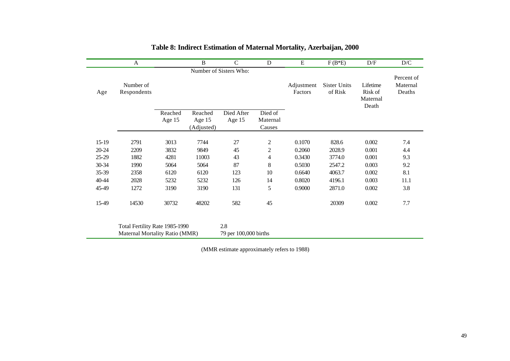|           | A                                                                |         | B                    | $\mathsf{C}$                 | D                  | E                     | $F(B*E)$                       | D/F                                      | D/C                              |
|-----------|------------------------------------------------------------------|---------|----------------------|------------------------------|--------------------|-----------------------|--------------------------------|------------------------------------------|----------------------------------|
|           |                                                                  |         |                      | Number of Sisters Who:       |                    |                       |                                |                                          |                                  |
| Age       | Number of<br>Respondents                                         |         |                      |                              |                    | Adjustment<br>Factors | <b>Sister Units</b><br>of Risk | Lifetime<br>Risk of<br>Maternal<br>Death | Percent of<br>Maternal<br>Deaths |
|           |                                                                  | Reached | Reached              | Died After                   | Died of            |                       |                                |                                          |                                  |
|           |                                                                  | Age 15  | Age 15<br>(Adjusted) | Age 15                       | Maternal<br>Causes |                       |                                |                                          |                                  |
|           |                                                                  |         |                      |                              |                    |                       |                                |                                          |                                  |
| $15-19$   | 2791                                                             | 3013    | 7744                 | 27                           | $\boldsymbol{2}$   | 0.1070                | 828.6                          | 0.002                                    | 7.4                              |
| $20 - 24$ | 2209                                                             | 3832    | 9849                 | 45                           | $\boldsymbol{2}$   | 0.2060                | 2028.9                         | 0.001                                    | 4.4                              |
| $25-29$   | 1882                                                             | 4281    | 11003                | 43                           | 4                  | 0.3430                | 3774.0                         | 0.001                                    | 9.3                              |
| $30 - 34$ | 1990                                                             | 5064    | 5064                 | 87                           | 8                  | 0.5030                | 2547.2                         | 0.003                                    | 9.2                              |
| 35-39     | 2358                                                             | 6120    | 6120                 | 123                          | 10                 | 0.6640                | 4063.7                         | 0.002                                    | 8.1                              |
| 40-44     | 2028                                                             | 5232    | 5232                 | 126                          | 14                 | 0.8020                | 4196.1                         | 0.003                                    | 11.1                             |
| 45-49     | 1272                                                             | 3190    | 3190                 | 131                          | 5                  | 0.9000                | 2871.0                         | 0.002                                    | 3.8                              |
| 15-49     | 14530                                                            | 30732   | 48202                | 582                          | 45                 |                       | 20309                          | 0.002                                    | 7.7                              |
|           | Total Fertility Rate 1985-1990<br>Maternal Mortality Ratio (MMR) |         |                      | 2.8<br>79 per 100,000 births |                    |                       |                                |                                          |                                  |

# **Table 8: Indirect Estimation of Maternal Mortality, Azerbaijan, 2000**

(MMR estimate approximately refers to 1988)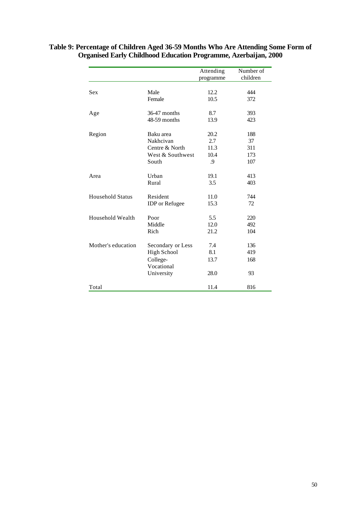|                         |                          | Attending<br>programme | Number of<br>children |
|-------------------------|--------------------------|------------------------|-----------------------|
|                         |                          |                        |                       |
| <b>Sex</b>              | Male                     | 12.2                   | 444                   |
|                         | Female                   | 10.5                   | 372                   |
| Age                     | 36-47 months             | 8.7                    | 393                   |
|                         | 48-59 months             | 13.9                   | 423                   |
| Region                  | Baku area                | 20.2                   | 188                   |
|                         | Nakhcivan                | 2.7                    | 37                    |
|                         | Centre & North           | 11.3                   | 311                   |
|                         | West & Southwest         | 10.4                   | 173                   |
|                         | South                    | .9                     | 107                   |
| Area                    | Urban                    | 19.1                   | 413                   |
|                         | Rural                    | 3.5                    | 403                   |
| <b>Household Status</b> | Resident                 | 11.0                   | 744                   |
|                         | <b>IDP</b> or Refugee    | 15.3                   | 72                    |
| Household Wealth        | Poor                     | 5.5                    | 220                   |
|                         | Middle                   | 12.0                   | 492                   |
|                         | Rich                     | 21.2                   | 104                   |
| Mother's education      | Secondary or Less        | 7.4                    | 136                   |
|                         | <b>High School</b>       | 8.1                    | 419                   |
|                         | College-                 | 13.7                   | 168                   |
|                         | Vocational<br>University | 28.0                   | 93                    |
| Total                   |                          | 11.4                   | 816                   |

### **Table 9: Percentage of Children Aged 36-59 Months Who Are Attending Some Form of Organised Early Childhood Education Programme, Azerbaijan, 2000**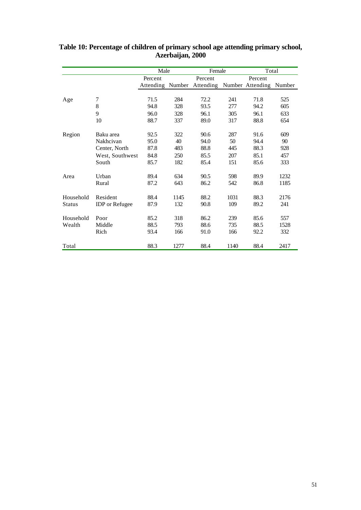|           |                       | Male             |      | Female    |      | Total            |        |
|-----------|-----------------------|------------------|------|-----------|------|------------------|--------|
|           |                       | Percent          |      | Percent   |      | Percent          |        |
|           |                       | Attending Number |      | Attending |      | Number Attending | Number |
|           |                       |                  |      |           |      |                  |        |
| Age       | 7                     | 71.5             | 284  | 72.2      | 241  | 71.8             | 525    |
|           | 8                     | 94.8             | 328  | 93.5      | 277  | 94.2             | 605    |
|           | 9                     | 96.0             | 328  | 96.1      | 305  | 96.1             | 633    |
|           | 10                    | 88.7             | 337  | 89.0      | 317  | 88.8             | 654    |
| Region    | Baku area             | 92.5             | 322  | 90.6      | 287  | 91.6             | 609    |
|           | Nakhcivan             | 95.0             | 40   | 94.0      | 50   | 94.4             | 90     |
|           | Center, North         | 87.8             | 483  | 88.8      | 445  | 88.3             | 928    |
|           | West, Southwest       | 84.8             | 250  | 85.5      | 207  | 85.1             | 457    |
|           | South                 | 85.7             | 182  | 85.4      | 151  | 85.6             | 333    |
| Area      | Urban                 | 89.4             | 634  | 90.5      | 598  | 89.9             | 1232   |
|           | Rural                 | 87.2             | 643  | 86.2      | 542  | 86.8             | 1185   |
| Household | Resident              | 88.4             | 1145 | 88.2      | 1031 | 88.3             | 2176   |
| Status    | <b>IDP</b> or Refugee | 87.9             | 132  | 90.8      | 109  | 89.2             | 241    |
| Household | Poor                  | 85.2             | 318  | 86.2      | 239  | 85.6             | 557    |
| Wealth    | Middle                | 88.5             | 793  | 88.6      | 735  | 88.5             | 1528   |
|           | Rich                  | 93.4             | 166  | 91.0      | 166  | 92.2             | 332    |
| Total     |                       | 88.3             | 1277 | 88.4      | 1140 | 88.4             | 2417   |

**Table 10: Percentage of children of primary school age attending primary school, Azerbaijan, 2000**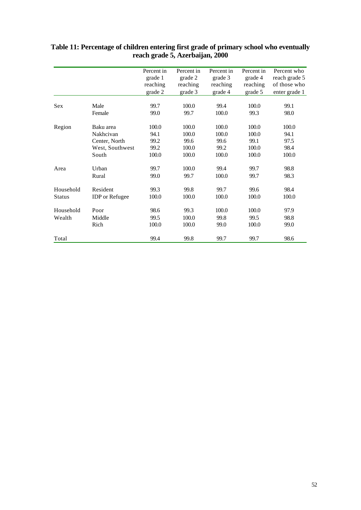|               |                       | Percent in | Percent in | Percent in | Percent in | Percent who   |
|---------------|-----------------------|------------|------------|------------|------------|---------------|
|               |                       | grade 1    | grade 2    | grade 3    | grade 4    | reach grade 5 |
|               |                       | reaching   | reaching   | reaching   | reaching   | of those who  |
|               |                       | grade 2    | grade 3    | grade 4    | grade 5    | enter grade 1 |
| Sex           | Male                  | 99.7       | 100.0      | 99.4       | 100.0      | 99.1          |
|               | Female                | 99.0       | 99.7       | 100.0      | 99.3       | 98.0          |
|               |                       |            |            |            |            |               |
| Region        | Baku area             | 100.0      | 100.0      | 100.0      | 100.0      | 100.0         |
|               | Nakhcivan             | 94.1       | 100.0      | 100.0      | 100.0      | 94.1          |
|               | Center, North         | 99.2       | 99.6       | 99.6       | 99.1       | 97.5          |
|               | West, Southwest       | 99.2       | 100.0      | 99.2       | 100.0      | 98.4          |
|               | South                 | 100.0      | 100.0      | 100.0      | 100.0      | 100.0         |
| Area          | Urban                 | 99.7       | 100.0      | 99.4       | 99.7       | 98.8          |
|               | Rural                 | 99.0       | 99.7       | 100.0      | 99.7       | 98.3          |
| Household     | Resident              | 99.3       | 99.8       | 99.7       | 99.6       | 98.4          |
| <b>Status</b> | <b>IDP</b> or Refugee | 100.0      | 100.0      | 100.0      | 100.0      | 100.0         |
| Household     | Poor                  | 98.6       | 99.3       | 100.0      | 100.0      | 97.9          |
| Wealth        | Middle                | 99.5       | 100.0      | 99.8       | 99.5       | 98.8          |
|               | Rich                  | 100.0      | 100.0      | 99.0       | 100.0      | 99.0          |
| Total         |                       | 99.4       | 99.8       | 99.7       | 99.7       | 98.6          |

### **Table 11: Percentage of children entering first grade of primary school who eventually reach grade 5, Azerbaijan, 2000**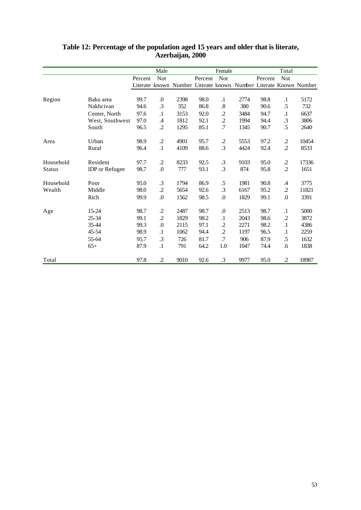|           |                       |         | Male             |                                                                   |         | Female            |      |         | Total            |       |
|-----------|-----------------------|---------|------------------|-------------------------------------------------------------------|---------|-------------------|------|---------|------------------|-------|
|           |                       | Percent | <b>Not</b>       |                                                                   | Percent | <b>Not</b>        |      | Percent | <b>Not</b>       |       |
|           |                       |         |                  | Literate known Number Literate known Number Literate Known Number |         |                   |      |         |                  |       |
|           |                       |         |                  |                                                                   |         |                   |      |         |                  |       |
| Region    | Baku area             | 99.7    | 0.               | 2398                                                              | 98.0    | $\cdot$           | 2774 | 98.8    | $\cdot$          | 5172  |
|           | Nakhcivan             | 94.6    | .3               | 352                                                               | 86.8    | $\boldsymbol{.8}$ | 380  | 90.6    | .5               | 732   |
|           | Center, North         | 97.6    | $\cdot$          | 3153                                                              | 92.0    | $\cdot$           | 3484 | 94.7    | $\cdot$          | 6637  |
|           | West, Southwest       | 97.0    | .4               | 1812                                                              | 92.1    | $\cdot$           | 1994 | 94.4    | .3               | 3806  |
|           | South                 | 96.5    | $\cdot$          | 1295                                                              | 85.1    | .7                | 1345 | 90.7    | .5               | 2640  |
| Area      | Urban                 | 98.9    | $\cdot$          | 4901                                                              | 95.7    | $\cdot$           | 5553 | 97.2    | $\cdot$          | 10454 |
|           | Rural                 | 96.4    | $\cdot$ 1        | 4109                                                              | 88.6    | $\cdot$ 3         | 4424 | 92.4    | $\cdot$          | 8533  |
| Household | Resident              | 97.7    | $\cdot$          | 8233                                                              | 92.5    | $\cdot$ 3         | 9103 | 95.0    | $\cdot$          | 17336 |
| Status    | <b>IDP</b> or Refugee | 98.7    | $\boldsymbol{0}$ | 777                                                               | 93.1    | $\cdot$ 3         | 874  | 95.8    | $\cdot$          | 1651  |
| Household | Poor                  | 95.0    | .3               | 1794                                                              | 86.9    | .5                | 1981 | 90.8    | $\cdot$          | 3775  |
| Wealth    | Middle                | 98.0    | $\cdot$          | 5654                                                              | 92.6    | $\cdot$ 3         | 6167 | 95.2    | $\cdot$          | 11821 |
|           | Rich                  | 99.9    | $0.$             | 1562                                                              | 98.5    | $\boldsymbol{0}$  | 1829 | 99.1    | $\boldsymbol{0}$ | 3391  |
| Age       | 15-24                 | 98.7    | .2               | 2487                                                              | 98.7    | $\boldsymbol{0}$  | 2513 | 98.7    | $\cdot$          | 5000  |
|           | 25-34                 | 99.1    | $\cdot$          | 1829                                                              | 98.2    | $\cdot$ 1         | 2043 | 98.6    | .2               | 3872  |
|           | 35-44                 | 99.3    | .0               | 2115                                                              | 97.1    | $\cdot$           | 2271 | 98.2    | $\cdot$          | 4386  |
|           | 45-54                 | 98.9    | $\cdot$          | 1062                                                              | 94.4    | $\cdot$           | 1197 | 96.5    | $\cdot$          | 2259  |
|           | 55-64                 | 95.7    | $\cdot$ 3        | 726                                                               | 81.7    | .7                | 906  | 87.9    | .5               | 1632  |
|           | $65+$                 | 87.9    | $\cdot$          | 791                                                               | 64.2    | 1.0               | 1047 | 74.4    | .6               | 1838  |
| Total     |                       | 97.8    | $\cdot$          | 9010                                                              | 92.6    | $\cdot$ 3         | 9977 | 95.0    | $\cdot$          | 18987 |

### **Table 12: Percentage of the population aged 15 years and older that is literate, Azerbaijan, 2000**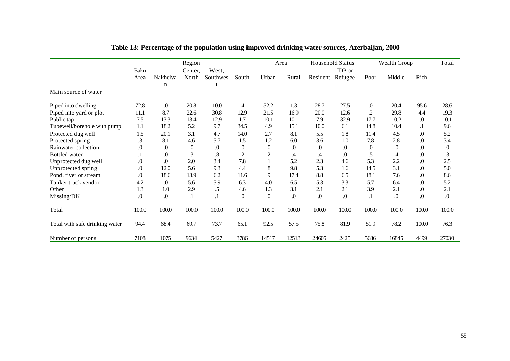|                                |                  |                  | Region           |                    |                  |                   | Area             |               | <b>Household Status</b> |           | Wealth Group     |                  | Total      |
|--------------------------------|------------------|------------------|------------------|--------------------|------------------|-------------------|------------------|---------------|-------------------------|-----------|------------------|------------------|------------|
|                                | Baku             |                  | Center,          | West,              |                  |                   |                  |               | IDP or                  |           |                  |                  |            |
|                                | Area             | Nakhciva         | North            | Southwes           | South            | Urban             | Rural            |               | Resident Refugee        | Poor      | Middle           | Rich             |            |
|                                |                  | n                |                  |                    |                  |                   |                  |               |                         |           |                  |                  |            |
| Main source of water           |                  |                  |                  |                    |                  |                   |                  |               |                         |           |                  |                  |            |
| Piped into dwelling            | 72.8             | $\Omega$ .       | 20.8             | 10.0               | $\mathcal{A}$    | 52.2              | 1.3              | 28.7          | 27.5                    | .0        | 20.4             | 95.6             | 28.6       |
| Piped into yard or plot        | 11.1             | 8.7              | 22.6             | 30.8               | 12.9             | 21.5              | 16.9             | 20.0          | 12.6                    | .2        | 29.8             | 4.4              | 19.3       |
| Public tap                     | 7.5              | 13.3             | 13.4             | 12.9               | 1.7              | 10.1              | 10.1             | 7.9           | 32.9                    | 17.7      | 10.2             | .0               | 10.1       |
| Tubewell/borehole with pump    | 1.1              | 18.2             | 5.2              | 9.7                | 34.5             | 4.9               | 15.1             | 10.0          | 6.1                     | 14.8      | 10.4             | $\cdot$          | 9.6        |
| Protected dug well             | 1.5              | 20.1             | 3.1              | 4.7                | 14.0             | 2.7               | 8.1              | 5.5           | 1.8                     | 11.4      | 4.5              | $\boldsymbol{0}$ | 5.2        |
| Protected spring               | $\cdot$ 3        | 8.1              | 4.6              | 5.7                | 1.5              | 1.2               | 6.0              | 3.6           | 1.0                     | 7.8       | 2.8              | $\boldsymbol{0}$ | 3.4        |
| Rainwater collection           | 0.               | .0               | $\boldsymbol{0}$ | $\boldsymbol{0}$ . | $\boldsymbol{0}$ | $0.$              | $\boldsymbol{0}$ | .0            | $\boldsymbol{0}$        | $.0\,$    | $\boldsymbol{0}$ | $\boldsymbol{0}$ | $.0\,$     |
| <b>Bottled</b> water           | . 1              | .0               | .3               | $\boldsymbol{.8}$  | $\cdot$          | $\cdot$           | $\mathcal{A}$    | $\mathcal{A}$ | $\boldsymbol{0}$        | .5        | .4               | $.0\,$           | .3         |
| Unprotected dug well           | .0               | $\boldsymbol{0}$ | 2.0              | 3.4                | 7.8              | . 1               | 5.2              | 2.3           | 4.6                     | 5.3       | 2.2              | $\boldsymbol{0}$ | 2.5        |
| Unprotected spring             | .0               | 12.0             | 5.6              | 9.3                | 4.4              | $\boldsymbol{.8}$ | 9.8              | 5.3           | 1.6                     | 14.5      | 3.1              | .0               | 5.0        |
| Pond, river or stream          | .0               | 18.6             | 13.9             | 6.2                | 11.6             | 9.                | 17.4             | 8.8           | 6.5                     | 18.1      | 7.6              | .0               | 8.6        |
| Tanker truck vendor            | 4.2              | $\Omega$         | 5.6              | 5.9                | 6.3              | 4.0               | 6.5              | 5.3           | 3.3                     | 5.7       | 6.4              | $.0\,$           | 5.2        |
| Other                          | 1.3              | 1.0              | 2.9              | .5                 | 4.6              | 1.3               | 3.1              | 2.1           | 2.1                     | 3.9       | 2.1              | .0               | 2.1        |
| Missing/DK                     | $\boldsymbol{0}$ | .0               | $\cdot$ 1        | $\cdot$ 1          | .0               | $\Omega$ .        | .0               | .0            | $\Omega$ .              | $\cdot$ 1 | $\Omega$ .       | .0               | $\Omega$ . |
| Total                          | 100.0            | 100.0            | 100.0            | 100.0              | 100.0            | 100.0             | 100.0            | 100.0         | 100.0                   | 100.0     | 100.0            | 100.0            | 100.0      |
| Total with safe drinking water | 94.4             | 68.4             | 69.7             | 73.7               | 65.1             | 92.5              | 57.5             | 75.8          | 81.9                    | 51.9      | 78.2             | 100.0            | 76.3       |
| Number of persons              | 7108             | 1075             | 9634             | 5427               | 3786             | 14517             | 12513            | 24605         | 2425                    | 5686      | 16845            | 4499             | 27030      |

# **Table 13: Percentage of the population using improved drinking water sources, Azerbaijan, 2000**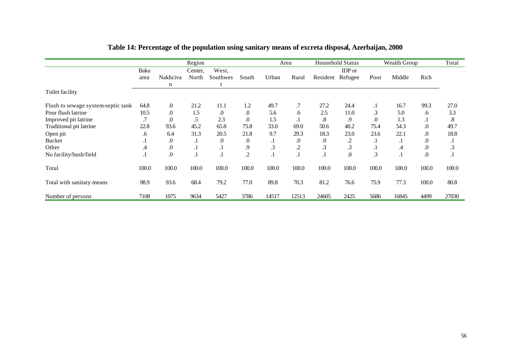|                                    |               |                    | Region  |          |                  |           | Area     | <b>Household Status</b> |         | Wealth Group     |         |       | Total   |
|------------------------------------|---------------|--------------------|---------|----------|------------------|-----------|----------|-------------------------|---------|------------------|---------|-------|---------|
|                                    | Baku          |                    | Center, | West,    |                  |           |          |                         | IDP or  |                  |         |       |         |
|                                    | area          | Nakhciva           | North   | Southwes | South            | Urban     | Rural    | Resident Refugee        |         | Poor             | Middle  | Rich  |         |
|                                    |               | n                  |         |          |                  |           |          |                         |         |                  |         |       |         |
| Toilet facility                    |               |                    |         |          |                  |           |          |                         |         |                  |         |       |         |
| Flush to sewage system-septic tank | 64.8          | $\boldsymbol{0}$   | 21.2    | 11.1     | 1.2              | 49.7      | .7       | 27.2                    | 24.4    | $\cdot$          | 16.7    | 99.3  | 27.0    |
| Pour flush latrine                 | 10.5          | $\boldsymbol{0}$ . | 1.5     | .0       | $\Omega$         | 5.6       | .6       | 2.5                     | 11.0    | $\cdot$ 3        | 5.0     | .6    | 3.3     |
| Improved pit latrine               | .7            | $\boldsymbol{0}$   | .5      | 2.3      | .0               | 1.5       | . 1      | .8                      | 9.      | $\boldsymbol{0}$ | 1.3     | . 1   | .8      |
| Traditional pit latrine            | 22.8          | 93.6               | 45.2    | 65.8     | 75.8             | 33.0      | 69.0     | 50.6                    | 40.2    | 75.4             | 54.3    | .0    | 49.7    |
| Open pit                           | .6            | 6.4                | 31.3    | 20.5     | 21.8             | 9.7       | 29.3     | 18.3                    | 23.0    | 23.6             | 22.1    | .0    | 18.8    |
| <b>Bucket</b>                      | . 1           | $\boldsymbol{0}$   | .1      | $\Omega$ | $\boldsymbol{0}$ | . 1       | $\Omega$ | $\Omega$                | $\cdot$ | $\cdot$          | $\cdot$ | .0    |         |
| Other                              | $\mathcal{A}$ | $\boldsymbol{0}$   | $\cdot$ | . 1      | .9               | $\cdot$ 3 | $\cdot$  | $\cdot$ 3               | .3      | $\cdot$          | .4      | .0    | .3      |
| No facility/bush/field             | . 1           | $\boldsymbol{0}$ . | $\cdot$ | . .      | $\cdot$          | . 1       | . 1      | $\cdot$ 1               | .0      | .3               | $\cdot$ | 0.    | $\cdot$ |
| Total                              | 100.0         | 100.0              | 100.0   | 100.0    | 100.0            | 100.0     | 100.0    | 100.0                   | 100.0   | 100.0            | 100.0   | 100.0 | 100.0   |
| Total with sanitary means          | 98.9          | 93.6               | 68.4    | 79.2     | 77.0             | 89.8      | 70.3     | 81.2                    | 76.6    | 75.9             | 77.3    | 100.0 | 80.8    |
| Number of persons                  | 7108          | 1075               | 9634    | 5427     | 3786             | 14517     | 12513    | 24605                   | 2425    | 5686             | 16845   | 4499  | 27030   |

# **Table 14: Percentage of the population using sanitary means of excreta disposal, Azerbaijan, 2000**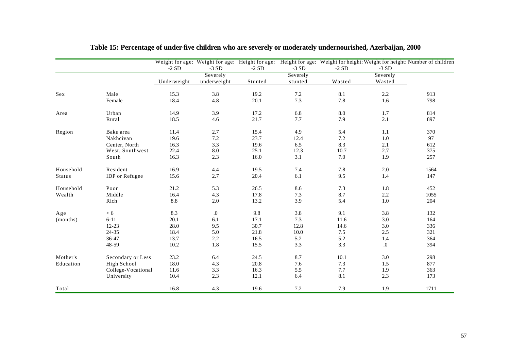|               |                       |             |                  |         |          |         |          | Weight for age: Weight for age: Height for age: Height for age: Weight for height: Weight for height: Number of children |
|---------------|-----------------------|-------------|------------------|---------|----------|---------|----------|--------------------------------------------------------------------------------------------------------------------------|
|               |                       | $-2SD$      | $-3SD$           | $-2SD$  | $-3SD$   | $-2SD$  | $-3SD$   |                                                                                                                          |
|               |                       |             | Severely         |         | Severely |         | Severely |                                                                                                                          |
|               |                       | Underweight | underweight      | Stunted | stunted  | Wasted  | Wasted   |                                                                                                                          |
| Sex           | Male                  | 15.3        | 3.8              | 19.2    | 7.2      | 8.1     | 2.2      | 913                                                                                                                      |
|               | Female                | 18.4        | 4.8              | 20.1    | 7.3      | 7.8     | 1.6      | 798                                                                                                                      |
| Area          | Urban                 | 14.9        | 3.9              | 17.2    | 6.8      | $8.0\,$ | 1.7      | 814                                                                                                                      |
|               | Rural                 | 18.5        | 4.6              | 21.7    | $7.7\,$  | 7.9     | 2.1      | 897                                                                                                                      |
| Region        | Baku area             | 11.4        | 2.7              | 15.4    | 4.9      | 5.4     | 1.1      | 370                                                                                                                      |
|               | Nakhcivan             | 19.6        | $7.2\,$          | 23.7    | 12.4     | 7.2     | $1.0$    | 97                                                                                                                       |
|               | Center, North         | 16.3        | 3.3              | 19.6    | 6.5      | 8.3     | 2.1      | 612                                                                                                                      |
|               | West, Southwest       | 22.4        | $8.0\,$          | 25.1    | 12.3     | 10.7    | 2.7      | 375                                                                                                                      |
|               | South                 | 16.3        | 2.3              | 16.0    | 3.1      | 7.0     | 1.9      | 257                                                                                                                      |
| Household     | Resident              | 16.9        | 4.4              | 19.5    | 7.4      | 7.8     | $2.0\,$  | 1564                                                                                                                     |
| <b>Status</b> | <b>IDP</b> or Refugee | 15.6        | 2.7              | 20.4    | 6.1      | 9.5     | 1.4      | 147                                                                                                                      |
| Household     | Poor                  | 21.2        | 5.3              | 26.5    | 8.6      | 7.3     | 1.8      | 452                                                                                                                      |
| Wealth        | Middle                | 16.4        | 4.3              | 17.8    | 7.3      | 8.7     | 2.2      | 1055                                                                                                                     |
|               | Rich                  | 8.8         | 2.0              | 13.2    | 3.9      | 5.4     | $1.0\,$  | 204                                                                                                                      |
| Age           | < 6                   | 8.3         | $\boldsymbol{0}$ | 9.8     | 3.8      | 9.1     | 3.8      | 132                                                                                                                      |
| (months)      | $6 - 11$              | 20.1        | 6.1              | 17.1    | 7.3      | 11.6    | 3.0      | 164                                                                                                                      |
|               | $12 - 23$             | 28.0        | 9.5              | 30.7    | 12.8     | 14.6    | 3.0      | 336                                                                                                                      |
|               | $24 - 35$             | 18.4        | 5.0              | 21.8    | 10.0     | $7.5\,$ | 2.5      | 321                                                                                                                      |
|               | 36-47                 | 13.7        | 2.2              | 16.5    | 5.2      | 5.2     | 1.4      | 364                                                                                                                      |
|               | 48-59                 | 10.2        | 1.8              | 15.5    | 3.3      | 3.3     | $.0\,$   | 394                                                                                                                      |
| Mother's      | Secondary or Less     | 23.2        | 6.4              | 24.5    | 8.7      | 10.1    | 3.0      | 298                                                                                                                      |
| Education     | High School           | 18.0        | 4.3              | 20.8    | 7.6      | 7.3     | 1.5      | 877                                                                                                                      |
|               | College-Vocational    | 11.6        | 3.3              | 16.3    | 5.5      | $7.7\,$ | 1.9      | 363                                                                                                                      |
|               | University            | 10.4        | 2.3              | 12.1    | 6.4      | 8.1     | 2.3      | 173                                                                                                                      |
| Total         |                       | 16.8        | 4.3              | 19.6    | 7.2      | 7.9     | 1.9      | 1711                                                                                                                     |

# **Table 15: Percentage of under-five children who are severely or moderately undernourished, Azerbaijan, 2000**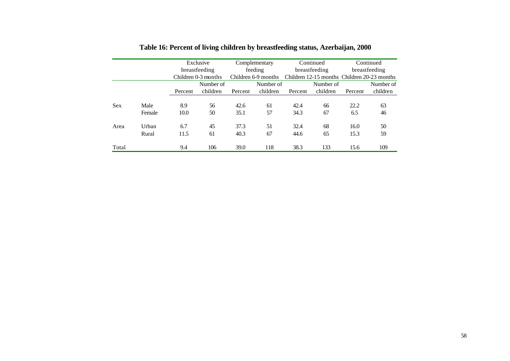|            |        |         | Exclusive           |      | Complementary       |         | Continued     | Continued |                                             |  |
|------------|--------|---------|---------------------|------|---------------------|---------|---------------|-----------|---------------------------------------------|--|
|            |        |         | breastfeeding       |      | feeding             |         | breastfeeding |           | breastfeeding                               |  |
|            |        |         | Children 0-3 months |      | Children 6-9 months |         |               |           | Children 12-15 months Children 20-23 months |  |
|            |        |         | Number of           |      | Number of           |         | Number of     |           | Number of                                   |  |
|            |        | Percent | children<br>Percent |      | children            | Percent | children      | Percent   | children                                    |  |
|            |        |         |                     |      |                     |         |               |           |                                             |  |
| <b>Sex</b> | Male   | 8.9     | 56                  | 42.6 | 61                  | 42.4    | 66            | 22.2      | 63                                          |  |
|            | Female | 10.0    | 50                  | 35.1 | 57                  | 34.3    | 67            | 6.5       | 46                                          |  |
| Area       | Urban  | 6.7     | 45                  | 37.3 | 51                  | 32.4    | 68            | 16.0      | 50                                          |  |
|            | Rural  | 11.5    | 61                  | 40.3 | 67                  | 44.6    | 65            | 15.3      | 59                                          |  |
| Total      |        | 9.4     | 106                 | 39.0 | 118                 | 38.3    | 133           | 15.6      | 109                                         |  |

# **Table 16: Percent of living children by breastfeeding status, Azerbaijan, 2000**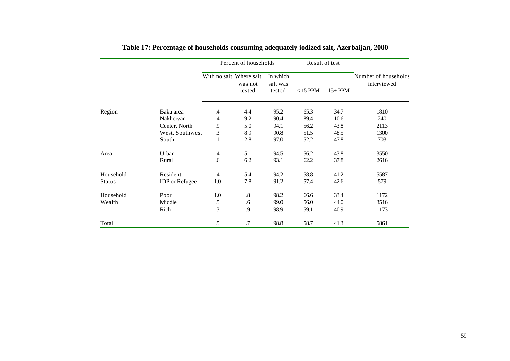|               |                       |                         | Percent of households |                                |            | Result of test |                                     |
|---------------|-----------------------|-------------------------|-----------------------|--------------------------------|------------|----------------|-------------------------------------|
|               |                       | With no salt Where salt | was not<br>tested     | In which<br>salt was<br>tested | $<$ 15 PPM | $15+PPM$       | Number of households<br>interviewed |
| Region        | Baku area             | $\mathcal{A}$           | 4.4                   | 95.2                           | 65.3       | 34.7           | 1810                                |
|               | Nakhcivan             | $\mathcal{A}$           | 9.2                   | 90.4                           | 89.4       | 10.6           | 240                                 |
|               | Center, North         | .9                      | 5.0                   | 94.1                           | 56.2       | 43.8           | 2113                                |
|               | West, Southwest       | $\cdot$ 3               | 8.9                   | 90.8                           | 51.5       | 48.5           | 1300                                |
|               | South                 | $\cdot$                 | 2.8                   | 97.0                           | 52.2       | 47.8           | 703                                 |
| Area          | Urban                 | $.4\phantom{0}$         | 5.1                   | 94.5                           | 56.2       | 43.8           | 3550                                |
|               | Rural                 | .6                      | 6.2                   | 93.1                           | 62.2       | 37.8           | 2616                                |
| Household     | Resident              | $\mathcal{A}$           | 5.4                   | 94.2                           | 58.8       | 41.2           | 5587                                |
| <b>Status</b> | <b>IDP</b> or Refugee | $1.0\,$                 | 7.8                   | 91.2                           | 57.4       | 42.6           | 579                                 |
| Household     | Poor                  | 1.0                     | $.8\,$                | 98.2                           | 66.6       | 33.4           | 1172                                |
| Wealth        | Middle                | $.5\,$                  | .6                    | 99.0                           | 56.0       | 44.0           | 3516                                |
|               | Rich                  | $\cdot$ 3               | .9                    | 98.9                           | 59.1       | 40.9           | 1173                                |
| Total         |                       | $.5\,$                  | .7                    | 98.8                           | 58.7       | 41.3           | 5861                                |

# **Table 17: Percentage of households consuming adequately iodized salt, Azerbaijan, 2000**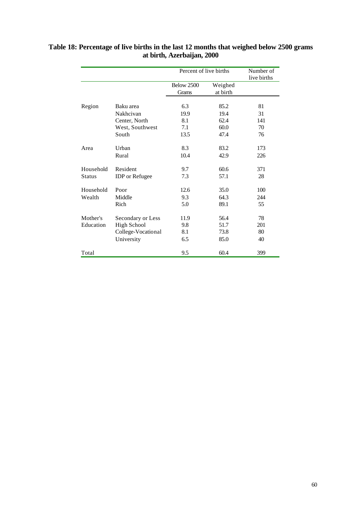|               |                       | Percent of live births     |                     | Number of<br>live births |
|---------------|-----------------------|----------------------------|---------------------|--------------------------|
|               |                       | <b>Below 2500</b><br>Grams | Weighed<br>at birth |                          |
| Region        | Baku area             | 6.3                        | 85.2                | 81                       |
|               | Nakhcivan             | 19.9                       | 19.4                | 31                       |
|               | Center, North         | 8.1                        | 62.4                | 141                      |
|               | West, Southwest       | 7.1                        | 60.0                | 70                       |
|               | South                 | 13.5                       | 47.4                | 76                       |
| Area          | Urban                 | 8.3                        | 83.2                | 173                      |
|               | Rural                 | 10.4                       | 42.9                | 226                      |
| Household     | Resident              | 9.7                        | 60.6                | 371                      |
| <b>Status</b> | <b>IDP</b> or Refugee | 7.3                        | 57.1                | 28                       |
| Household     | Poor                  | 12.6                       | 35.0                | 100                      |
| Wealth        | Middle                | 9.3                        | 64.3                | 244                      |
|               | Rich                  | 5.0                        | 89.1                | 55                       |
| Mother's      | Secondary or Less     | 11.9                       | 56.4                | 78                       |
| Education     | <b>High School</b>    | 9.8                        | 51.7                | 201                      |
|               | College-Vocational    | 8.1                        | 73.8                | 80                       |
|               | University            | 6.5                        | 85.0                | 40                       |
| Total         |                       | 9.5                        | 60.4                | 399                      |

### **Table 18: Percentage of live births in the last 12 months that weighed below 2500 grams at birth, Azerbaijan, 2000**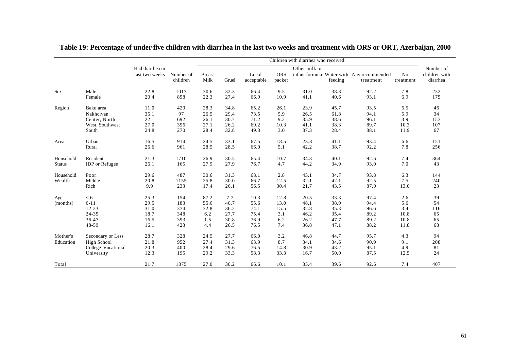|               |                       | Children with diarrhea who received: |             |               |              |              |             |               |              |                                           |            |                            |
|---------------|-----------------------|--------------------------------------|-------------|---------------|--------------|--------------|-------------|---------------|--------------|-------------------------------------------|------------|----------------------------|
|               |                       | Had diarrhea in<br>last two weeks    | Number of   | <b>Breast</b> |              | Local        | <b>ORS</b>  | Other milk or |              | infant formula Water with Any recommended | No         | Number of<br>children with |
|               |                       |                                      | children    | Milk          | Gruel        | acceptable   | packet      |               | feeding      | treatment                                 | treatment  | diarrhea                   |
| Sex           | Male<br>Female        | 22.8<br>20.4                         | 1017<br>858 | 30.6<br>22.3  | 32.3<br>27.4 | 66.4<br>66.9 | 9.5<br>10.9 | 31.0<br>41.1  | 38.8<br>40.6 | 92.2<br>93.1                              | 7.8<br>6.9 | 232<br>175                 |
| Region        | Baku area             | 11.0                                 | 420         | 28.3          | 34.8         | 65.2         | 26.1        | 23.9          | 45.7         | 93.5                                      | 6.5        | 46                         |
|               | Nakhcivan             | 35.1                                 | 97          | 26.5          | 29.4         | 73.5         | 5.9         | 26.5          | 61.8         | 94.1                                      | 5.9        | 34                         |
|               | Center, North         | 22.1                                 | 692         | 26.1          | 30.7         | 71.2         | 9.2         | 35.9          | 38.6         | 96.1                                      | 3.9        | 153                        |
|               | West, Southwest       | 27.0                                 | 396         | 27.1          | 26.2         | 69.2         | 10.3        | 41.1          | 38.3         | 89.7                                      | 10.3       | 107                        |
|               | South                 | 24.8                                 | 270         | 28.4          | 32.8         | 49.3         | 3.0         | 37.3          | 28.4         | 88.1                                      | 11.9       | 67                         |
| Area          | Urban                 | 16.5                                 | 914         | 24.5          | 33.1         | 67.5         | 18.5        | 23.8          | 41.1         | 93.4                                      | 6.6        | 151                        |
|               | Rural                 | 26.6                                 | 961         | 28.5          | 28.5         | 66.0         | 5.1         | 42.2          | 38.7         | 92.2                                      | 7.8        | 256                        |
| Household     | Resident              | 21.3                                 | 1710        | 26.9          | 30.5         | 65.4         | 10.7        | 34.3          | 40.1         | 92.6                                      | 7.4        | 364                        |
| <b>Status</b> | <b>IDP</b> or Refugee | 26.1                                 | 165         | 27.9          | 27.9         | 76.7         | 4.7         | 44.2          | 34.9         | 93.0                                      | 7.0        | 43                         |
| Household     | Poor                  | 29.6                                 | 487         | 30.6          | 31.3         | 68.1         | 2.8         | 43.1          | 34.7         | 93.8                                      | 6.3        | 144                        |
| Wealth        | Middle                | 20.8                                 | 1155        | 25.8          | 30.0         | 66.7         | 12.5        | 32.1          | 42.1         | 92.5                                      | 7.5        | 240                        |
|               | Rich                  | 9.9                                  | 233         | 17.4          | 26.1         | 56.5         | 30.4        | 21.7          | 43.5         | 87.0                                      | 13.0       | 23                         |
| Age           | < 6                   | 25.3                                 | 154         | 87.2          | 7.7          | 10.3         | 12.8        | 20.5          | 33.3         | 97.4                                      | 2.6        | 39                         |
| (months)      | $6 - 11$              | 29.5                                 | 183         | 55.6          | 40.7         | 55.6         | 13.0        | 48.1          | 38.9         | 94.4                                      | 5.6        | 54                         |
|               | $12 - 23$             | 31.0                                 | 374         | 32.8          | 36.2         | 74.1         | 15.5        | 32.8          | 35.3         | 96.6                                      | 3.4        | 116                        |
|               | 24-35                 | 18.7                                 | 348         | 6.2           | 27.7         | 75.4         | 3.1         | 46.2          | 35.4         | 89.2                                      | 10.8       | 65                         |
|               | 36-47                 | 16.5                                 | 393         | 1.5           | 30.8         | 76.9         | 6.2         | 26.2          | 47.7         | 89.2                                      | 10.8       | 65                         |
|               | 48-59                 | 16.1                                 | 423         | 4.4           | 26.5         | 76.5         | 7.4         | 36.8          | 47.1         | 88.2                                      | 11.8       | 68                         |
| Mother's      | Secondary or Less     | 28.7                                 | 328         | 24.5          | 27.7         | 66.0         | 3.2         | 46.8          | 44.7         | 95.7                                      | 4.3        | 94                         |
| Education     | High School           | 21.8                                 | 952         | 27.4          | 31.3         | 63.9         | 8.7         | 34.1          | 34.6         | 90.9                                      | 9.1        | 208                        |
|               | College-Vocational    | 20.3                                 | 400         | 28.4          | 29.6         | 76.5         | 14.8        | 30.9          | 43.2         | 95.1                                      | 4.9        | 81                         |
|               | University            | 12.3                                 | 195         | 29.2          | 33.3         | 58.3         | 33.3        | 16.7          | 50.0         | 87.5                                      | 12.5       | 24                         |
| Total         |                       | 21.7                                 | 1875        | 27.0          | 30.2         | 66.6         | 10.1        | 35.4          | 39.6         | 92.6                                      | 7.4        | 407                        |

**Table 19: Percentage of under-five children with diarrhea in the last two weeks and treatment with ORS or ORT, Azerbaijan, 2000**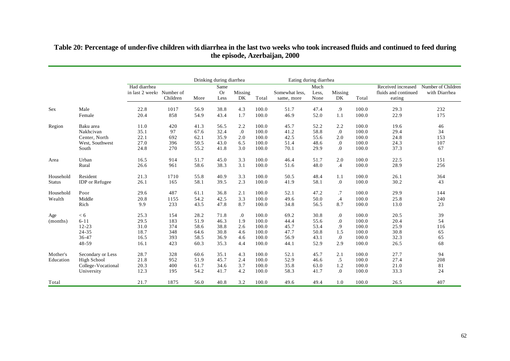|               |                       |                                           | Drinking during diarrhea |      |                           | Eating during diarrhea |       |                              |                       |                  |       |                                                      |                                     |
|---------------|-----------------------|-------------------------------------------|--------------------------|------|---------------------------|------------------------|-------|------------------------------|-----------------------|------------------|-------|------------------------------------------------------|-------------------------------------|
|               |                       | Had diarrhea<br>in last 2 weeks Number of | Children                 | More | Same<br><b>Or</b><br>Less | Missing<br>DK          | Total | Somewhat less.<br>same, more | Much<br>Less,<br>None | Missing<br>DK    | Total | Received increased<br>fluids and continued<br>eating | Number of Children<br>with Diarrhea |
| Sex           | Male                  | 22.8                                      | 1017                     | 56.9 | 38.8                      | 4.3                    | 100.0 | 51.7                         | 47.4                  | .9               | 100.0 | 29.3                                                 | 232                                 |
|               | Female                | 20.4                                      | 858                      | 54.9 | 43.4                      | 1.7                    | 100.0 | 46.9                         | 52.0                  | 1.1              | 100.0 | 22.9                                                 | 175                                 |
| Region        | Baku area             | 11.0                                      | 420                      | 41.3 | 56.5                      | 2.2                    | 100.0 | 45.7                         | 52.2                  | 2.2              | 100.0 | 19.6                                                 | 46                                  |
|               | Nakhcivan             | 35.1                                      | 97                       | 67.6 | 32.4                      | $\cdot$                | 100.0 | 41.2                         | 58.8                  | $\cdot$          | 100.0 | 29.4                                                 | 34                                  |
|               | Center, North         | 22.1                                      | 692                      | 62.1 | 35.9                      | 2.0                    | 100.0 | 42.5                         | 55.6                  | 2.0              | 100.0 | 24.8                                                 | 153                                 |
|               | West, Southwest       | 27.0                                      | 396                      | 50.5 | 43.0                      | 6.5                    | 100.0 | 51.4                         | 48.6                  | 0.               | 100.0 | 24.3                                                 | 107                                 |
|               | South                 | 24.8                                      | 270                      | 55.2 | 41.8                      | 3.0                    | 100.0 | 70.1                         | 29.9                  | $\overline{0}$ . | 100.0 | 37.3                                                 | 67                                  |
| Area          | Urban                 | 16.5                                      | 914                      | 51.7 | 45.0                      | 3.3                    | 100.0 | 46.4                         | 51.7                  | 2.0              | 100.0 | 22.5                                                 | 151                                 |
|               | Rural                 | 26.6                                      | 961                      | 58.6 | 38.3                      | 3.1                    | 100.0 | 51.6                         | 48.0                  | $\cdot$ 4        | 100.0 | 28.9                                                 | 256                                 |
| Household     | Resident              | 21.3                                      | 1710                     | 55.8 | 40.9                      | 3.3                    | 100.0 | 50.5                         | 48.4                  | 1.1              | 100.0 | 26.1                                                 | 364                                 |
| <b>Status</b> | <b>IDP</b> or Refugee | 26.1                                      | 165                      | 58.1 | 39.5                      | 2.3                    | 100.0 | 41.9                         | 58.1                  | $\cdot$          | 100.0 | 30.2                                                 | 43                                  |
| Household     | Poor                  | 29.6                                      | 487                      | 61.1 | 36.8                      | 2.1                    | 100.0 | 52.1                         | 47.2                  | .7               | 100.0 | 29.9                                                 | 144                                 |
| Wealth        | Middle                | 20.8                                      | 1155                     | 54.2 | 42.5                      | 3.3                    | 100.0 | 49.6                         | 50.0                  | .4               | 100.0 | 25.8                                                 | 240                                 |
|               | Rich                  | 9.9                                       | 233                      | 43.5 | 47.8                      | 8.7                    | 100.0 | 34.8                         | 56.5                  | 8.7              | 100.0 | 13.0                                                 | 23                                  |
| Age           | < 6                   | 25.3                                      | 154                      | 28.2 | 71.8                      | 0.                     | 100.0 | 69.2                         | 30.8                  | 0.               | 100.0 | 20.5                                                 | 39                                  |
| (months)      | $6 - 11$              | 29.5                                      | 183                      | 51.9 | 46.3                      | 1.9                    | 100.0 | 44.4                         | 55.6                  | $\cdot$          | 100.0 | 20.4                                                 | 54                                  |
|               | $12 - 23$             | 31.0                                      | 374                      | 58.6 | 38.8                      | 2.6                    | 100.0 | 45.7                         | 53.4                  | .9               | 100.0 | 25.9                                                 | 116                                 |
|               | 24-35                 | 18.7                                      | 348                      | 64.6 | 30.8                      | 4.6                    | 100.0 | 47.7                         | 50.8                  | 1.5              | 100.0 | 30.8                                                 | 65                                  |
|               | 36-47                 | 16.5                                      | 393                      | 58.5 | 36.9                      | 4.6                    | 100.0 | 56.9                         | 43.1                  | $\cdot$          | 100.0 | 32.3                                                 | 65                                  |
|               | 48-59                 | 16.1                                      | 423                      | 60.3 | 35.3                      | 4.4                    | 100.0 | 44.1                         | 52.9                  | 2.9              | 100.0 | 26.5                                                 | 68                                  |
| Mother's      | Secondary or Less     | 28.7                                      | 328                      | 60.6 | 35.1                      | 4.3                    | 100.0 | 52.1                         | 45.7                  | 2.1              | 100.0 | 27.7                                                 | 94                                  |
| Education     | High School           | 21.8                                      | 952                      | 51.9 | 45.7                      | 2.4                    | 100.0 | 52.9                         | 46.6                  | $.5\,$           | 100.0 | 27.4                                                 | 208                                 |
|               | College-Vocational    | 20.3                                      | 400                      | 61.7 | 34.6                      | 3.7                    | 100.0 | 35.8                         | 63.0                  | 1.2              | 100.0 | 21.0                                                 | 81                                  |
|               | University            | 12.3                                      | 195                      | 54.2 | 41.7                      | 4.2                    | 100.0 | 58.3                         | 41.7                  | $\cdot$          | 100.0 | 33.3                                                 | 24                                  |
| Total         |                       | 21.7                                      | 1875                     | 56.0 | 40.8                      | 3.2                    | 100.0 | 49.6                         | 49.4                  | 1.0              | 100.0 | 26.5                                                 | 407                                 |

### **Table 20: Percentage of under-five children with diarrhea in the last two weeks who took increased fluids and continued to feed during the episode, Azerbaijan, 2000**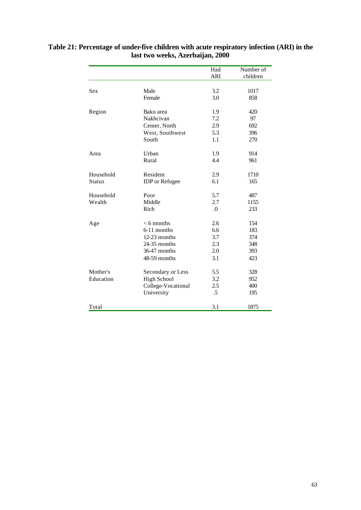|               |                       | Had<br><b>ARI</b> | Number of<br>children |
|---------------|-----------------------|-------------------|-----------------------|
|               |                       |                   |                       |
| <b>Sex</b>    | Male                  | 3.2               | 1017                  |
|               | Female                | 3.0               | 858                   |
| Region        | Baku area             | 1.9               | 420                   |
|               | Nakhcivan             | 7.2               | 97                    |
|               | Center, North         | 2.9               | 692                   |
|               | West, Southwest       | 5.3               | 396                   |
|               | South                 | 1.1               | 270                   |
| Area          | Urban                 | 1.9               | 914                   |
|               | Rural                 | 4.4               | 961                   |
| Household     | Resident              | 2.9               | 1710                  |
| <b>Status</b> | <b>IDP</b> or Refugee | 6.1               | 165                   |
| Household     | Poor                  | 5.7               | 487                   |
| Wealth        | Middle                | 2.7               | 1155                  |
|               | Rich                  | $\Omega$          | 233                   |
| Age           | $< 6$ months          | 2.6               | 154                   |
|               | 6-11 months           | 6.6               | 183                   |
|               | 12-23 months          | 3.7               | 374                   |
|               | $24-35$ months        | 2.3               | 348                   |
|               | 36-47 months          | 2.0               | 393                   |
|               | 48-59 months          | 3.1               | 423                   |
| Mother's      | Secondary or Less     | 5.5               | 328                   |
| Education     | <b>High School</b>    | 3.2               | 952                   |
|               | College-Vocational    | 2.5               | 400                   |
|               | University            | $.5\,$            | 195                   |
| Total         |                       | 3.1               | 1875                  |

### **Table 21: Percentage of under-five children with acute respiratory infection (ARI) in the last two weeks, Azerbaijan, 2000**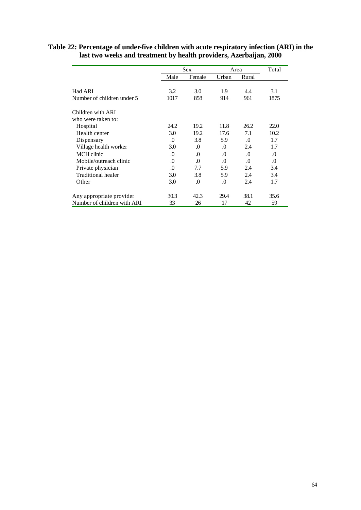|                             |          | Sex      |          | Area     | Total    |
|-----------------------------|----------|----------|----------|----------|----------|
|                             | Male     | Female   | Urban    | Rural    |          |
| Had ARI                     | 3.2      | 3.0      | 1.9      | 4.4      | 3.1      |
| Number of children under 5  | 1017     | 858      | 914      | 961      | 1875     |
| Children with ARI           |          |          |          |          |          |
| who were taken to:          |          |          |          |          |          |
| Hospital                    | 24.2     | 19.2     | 11.8     | 26.2     | 22.0     |
| Health center               | 3.0      | 19.2     | 17.6     | 7.1      | 10.2     |
| Dispensary                  | .0       | 3.8      | 5.9      | $\Omega$ | 1.7      |
| Village health worker       | 3.0      | $\Omega$ | $\Omega$ | 2.4      | 1.7      |
| MCH clinic                  | $\Omega$ | $\Omega$ | $\Omega$ | $\Omega$ | $\Omega$ |
| Mobile/outreach clinic      | $\Omega$ | $\Omega$ | $\Omega$ | $\Omega$ | $\Omega$ |
| Private physician           | $\Omega$ | 7.7      | 5.9      | 2.4      | 3.4      |
| Traditional healer          | 3.0      | 3.8      | 5.9      | 2.4      | 3.4      |
| Other                       | 3.0      | $\Omega$ | $\Omega$ | 2.4      | 1.7      |
| Any appropriate provider    | 30.3     | 42.3     | 29.4     | 38.1     | 35.6     |
| Number of children with ARI | 33       | 26       | 17       | 42       | 59       |

#### **Table 22: Percentage of under-five children with acute respiratory infection (ARI) in the last two weeks and treatment by health providers, Azerbaijan, 2000**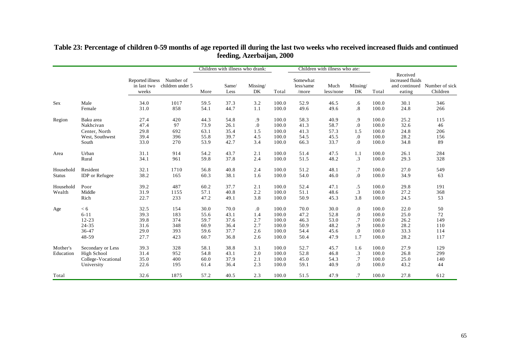|                       |                                                                      |                                          |                               |                              | Children with illness who drank: |                          |                                  | Children with illness who ate: |                              |                              |                                  |                                                         |                            |
|-----------------------|----------------------------------------------------------------------|------------------------------------------|-------------------------------|------------------------------|----------------------------------|--------------------------|----------------------------------|--------------------------------|------------------------------|------------------------------|----------------------------------|---------------------------------------------------------|----------------------------|
|                       |                                                                      | Reported illness<br>in last two<br>weeks | Number of<br>children under 5 | More                         | Same/<br>Less                    | Missing/<br>DK           | Total                            | Somewhat<br>less/same<br>/more | Much<br>less/none            | Missing/<br>DK               | Total                            | Received<br>increased fluids<br>and continued<br>eating | Number of sick<br>Children |
| <b>Sex</b>            | Male                                                                 | 34.0                                     | 1017                          | 59.5                         | 37.3                             | 3.2                      | 100.0                            | 52.9                           | 46.5                         | $.6\,$                       | 100.0                            | 30.1                                                    | 346                        |
|                       | Female                                                               | 31.0                                     | 858                           | 54.1                         | 44.7                             | 1.1                      | 100.0                            | 49.6                           | 49.6                         | $\boldsymbol{.8}$            | 100.0                            | 24.8                                                    | 266                        |
| Region                | Baku area                                                            | 27.4                                     | 420                           | 44.3                         | 54.8                             | .9                       | 100.0                            | 58.3                           | 40.9                         | .9                           | 100.0                            | 25.2                                                    | 115                        |
|                       | Nakhcivan                                                            | 47.4                                     | 97                            | 73.9                         | 26.1                             | $\cdot$                  | 100.0                            | 41.3                           | 58.7                         | .0                           | 100.0                            | 32.6                                                    | 46                         |
|                       | Center, North                                                        | 29.8                                     | 692                           | 63.1                         | 35.4                             | 1.5                      | 100.0                            | 41.3                           | 57.3                         | 1.5                          | 100.0                            | 24.8                                                    | 206                        |
|                       | West, Southwest                                                      | 39.4                                     | 396                           | 55.8                         | 39.7                             | 4.5                      | 100.0                            | 54.5                           | 45.5                         | .0                           | 100.0                            | 28.2                                                    | 156                        |
|                       | South                                                                | 33.0                                     | 270                           | 53.9                         | 42.7                             | 3.4                      | 100.0                            | 66.3                           | 33.7                         | $\cdot$                      | 100.0                            | 34.8                                                    | 89                         |
| Area                  | Urban                                                                | 31.1                                     | 914                           | 54.2                         | 43.7                             | 2.1                      | 100.0                            | 51.4                           | 47.5                         | 1.1                          | 100.0                            | 26.1                                                    | 284                        |
|                       | Rural                                                                | 34.1                                     | 961                           | 59.8                         | 37.8                             | 2.4                      | 100.0                            | 51.5                           | 48.2                         | .3                           | 100.0                            | 29.3                                                    | 328                        |
| Household             | Resident                                                             | 32.1                                     | 1710                          | 56.8                         | 40.8                             | 2.4                      | 100.0                            | 51.2                           | 48.1                         | .7                           | 100.0                            | 27.0                                                    | 549                        |
| <b>Status</b>         | <b>IDP</b> or Refugee                                                | 38.2                                     | 165                           | 60.3                         | 38.1                             | 1.6                      | 100.0                            | 54.0                           | 46.0                         | $\cdot$                      | 100.0                            | 34.9                                                    | 63                         |
| Household<br>Wealth   | Poor<br>Middle<br>Rich                                               | 39.2<br>31.9<br>22.7                     | 487<br>1155<br>233            | 60.2<br>57.1<br>47.2         | 37.7<br>40.8<br>49.1             | 2.1<br>2.2<br>3.8        | 100.0<br>100.0<br>100.0          | 52.4<br>51.1<br>50.9           | 47.1<br>48.6<br>45.3         | $.5\,$<br>$\cdot$ 3<br>3.8   | 100.0<br>100.0<br>100.0          | 29.8<br>27.2<br>24.5                                    | 191<br>368<br>53           |
| Age                   | < 6                                                                  | 32.5                                     | 154                           | 30.0                         | 70.0                             | .0                       | 100.0                            | 70.0                           | 30.0                         | .0                           | 100.0                            | 22.0                                                    | 50                         |
|                       | $6 - 11$                                                             | 39.3                                     | 183                           | 55.6                         | 43.1                             | 1.4                      | 100.0                            | 47.2                           | 52.8                         | $\cdot$                      | 100.0                            | 25.0                                                    | 72                         |
|                       | $12 - 23$                                                            | 39.8                                     | 374                           | 59.7                         | 37.6                             | 2.7                      | 100.0                            | 46.3                           | 53.0                         | .7                           | 100.0                            | 26.2                                                    | 149                        |
|                       | 24-35                                                                | 31.6                                     | 348                           | 60.9                         | 36.4                             | 2.7                      | 100.0                            | 50.9                           | 48.2                         | .9                           | 100.0                            | 28.2                                                    | 110                        |
|                       | 36-47                                                                | 29.0                                     | 393                           | 59.6                         | 37.7                             | 2.6                      | 100.0                            | 54.4                           | 45.6                         | $\cdot$                      | 100.0                            | 33.3                                                    | 114                        |
|                       | 48-59                                                                | 27.7                                     | 423                           | 60.7                         | 36.8                             | 2.6                      | 100.0                            | 50.4                           | 47.9                         | 1.7                          | 100.0                            | 28.2                                                    | 117                        |
| Mother's<br>Education | Secondary or Less<br>High School<br>College-Vocational<br>University | 39.3<br>31.4<br>35.0<br>22.6             | 328<br>952<br>400<br>195      | 58.1<br>54.8<br>60.0<br>61.4 | 38.8<br>43.1<br>37.9<br>36.4     | 3.1<br>2.0<br>2.1<br>2.3 | 100.0<br>100.0<br>100.0<br>100.0 | 52.7<br>52.8<br>45.0<br>59.1   | 45.7<br>46.8<br>54.3<br>40.9 | 1.6<br>$\cdot$ 3<br>.7<br>0. | 100.0<br>100.0<br>100.0<br>100.0 | 27.9<br>26.8<br>25.0<br>43.2                            | 129<br>299<br>140<br>44    |
| Total                 |                                                                      | 32.6                                     | 1875                          | 57.2                         | 40.5                             | 2.3                      | 100.0                            | 51.5                           | 47.9                         | .7                           | 100.0                            | 27.8                                                    | 612                        |

#### **Table 23: Percentage of children 0-59 months of age reported ill during the last two weeks who received increased fluids and continued feeding, Azerbaijan, 2000**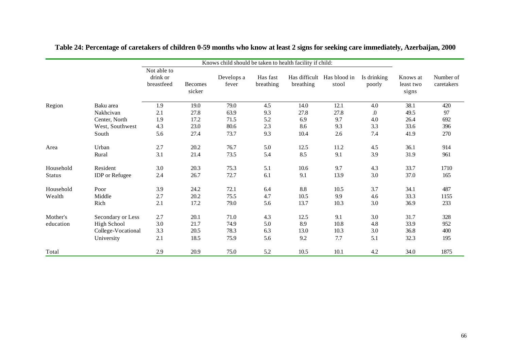|               |                       |                                       |                   | Knows child should be taken to health facility if child: |                       |           |                                     |                       |                                |                         |
|---------------|-----------------------|---------------------------------------|-------------------|----------------------------------------------------------|-----------------------|-----------|-------------------------------------|-----------------------|--------------------------------|-------------------------|
|               |                       | Not able to<br>drink or<br>breastfeed | Becomes<br>sicker | Develops a<br>fever                                      | Has fast<br>breathing | breathing | Has difficult Has blood in<br>stool | Is drinking<br>poorly | Knows at<br>least two<br>signs | Number of<br>caretakers |
| Region        | Baku area             | 1.9                                   | 19.0              | 79.0                                                     | 4.5                   | 14.0      | 12.1                                | 4.0                   | 38.1                           | 420                     |
|               | Nakhcivan             | 2.1                                   | 27.8              | 63.9                                                     | 9.3                   | 27.8      | 27.8                                | $\boldsymbol{0}$      | 49.5                           | 97                      |
|               | Center, North         | 1.9                                   | 17.2              | 71.5                                                     | 5.2                   | 6.9       | 9.7                                 | 4.0                   | 26.4                           | 692                     |
|               | West, Southwest       | 4.3                                   | 23.0              | 80.6                                                     | 2.3                   | 8.6       | 9.3                                 | 3.3                   | 33.6                           | 396                     |
|               | South                 | 5.6                                   | 27.4              | 73.7                                                     | 9.3                   | 10.4      | 2.6                                 | 7.4                   | 41.9                           | 270                     |
| Area          | Urban                 | 2.7                                   | 20.2              | 76.7                                                     | 5.0                   | 12.5      | 11.2                                | 4.5                   | 36.1                           | 914                     |
|               | Rural                 | 3.1                                   | 21.4              | 73.5                                                     | 5.4                   | 8.5       | 9.1                                 | 3.9                   | 31.9                           | 961                     |
| Household     | Resident              | 3.0                                   | 20.3              | 75.3                                                     | 5.1                   | 10.6      | 9.7                                 | 4.3                   | 33.7                           | 1710                    |
| <b>Status</b> | <b>IDP</b> or Refugee | 2.4                                   | 26.7              | 72.7                                                     | 6.1                   | 9.1       | 13.9                                | 3.0                   | 37.0                           | 165                     |
| Household     | Poor                  | 3.9                                   | 24.2              | 72.1                                                     | 6.4                   | 8.8       | 10.5                                | 3.7                   | 34.1                           | 487                     |
| Wealth        | Middle                | 2.7                                   | 20.2              | 75.5                                                     | 4.7                   | 10.5      | 9.9                                 | 4.6                   | 33.3                           | 1155                    |
|               | Rich                  | 2.1                                   | 17.2              | 79.0                                                     | 5.6                   | 13.7      | 10.3                                | 3.0                   | 36.9                           | 233                     |
| Mother's      | Secondary or Less     | 2.7                                   | 20.1              | 71.0                                                     | 4.3                   | 12.5      | 9.1                                 | 3.0                   | 31.7                           | 328                     |
| education     | <b>High School</b>    | 3.0                                   | 21.7              | 74.9                                                     | 5.0                   | 8.9       | 10.8                                | 4.8                   | 33.9                           | 952                     |
|               | College-Vocational    | 3.3                                   | 20.5              | 78.3                                                     | 6.3                   | 13.0      | 10.3                                | 3.0                   | 36.8                           | 400                     |
|               | University            | 2.1                                   | 18.5              | 75.9                                                     | 5.6                   | 9.2       | 7.7                                 | 5.1                   | 32.3                           | 195                     |
| Total         |                       | 2.9                                   | 20.9              | 75.0                                                     | 5.2                   | 10.5      | 10.1                                | 4.2                   | 34.0                           | 1875                    |

**Table 24: Percentage of caretakers of children 0-59 months who know at least 2 signs for seeking care immediately, Azerbaijan, 2000**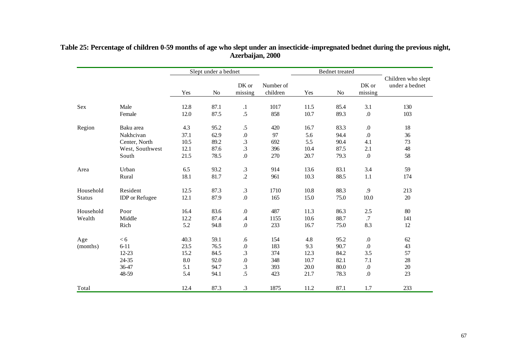|               |                       | Slept under a bednet |      |                  |                       |      | Bednet treated |                  |                                      |
|---------------|-----------------------|----------------------|------|------------------|-----------------------|------|----------------|------------------|--------------------------------------|
|               |                       | Yes                  | No   | DK or<br>missing | Number of<br>children | Yes  | No             | DK or<br>missing | Children who slept<br>under a bednet |
| Sex           | Male                  | 12.8                 | 87.1 | $\cdot$          | 1017                  | 11.5 | 85.4           | 3.1              | 130                                  |
|               | Female                | 12.0                 | 87.5 | $.5\,$           | 858                   | 10.7 | 89.3           | $.0\,$           | 103                                  |
| Region        | Baku area             | 4.3                  | 95.2 | $.5\,$           | 420                   | 16.7 | 83.3           | $\boldsymbol{0}$ | 18                                   |
|               | Nakhcivan             | 37.1                 | 62.9 | $.0\,$           | 97                    | 5.6  | 94.4           | $\Omega$         | 36                                   |
|               | Center, North         | 10.5                 | 89.2 | .3               | 692                   | 5.5  | 90.4           | 4.1              | 73                                   |
|               | West, Southwest       | 12.1                 | 87.6 | .3               | 396                   | 10.4 | 87.5           | 2.1              | 48                                   |
|               | South                 | 21.5                 | 78.5 | 0.               | 270                   | 20.7 | 79.3           | $.0\,$           | 58                                   |
| Area          | Urban                 | 6.5                  | 93.2 | $\cdot$ 3        | 914                   | 13.6 | 83.1           | 3.4              | 59                                   |
|               | Rural                 | 18.1                 | 81.7 | $\cdot$          | 961                   | 10.3 | 88.5           | 1.1              | 174                                  |
| Household     | Resident              | 12.5                 | 87.3 | $\cdot$ 3        | 1710                  | 10.8 | 88.3           | .9               | 213                                  |
| <b>Status</b> | <b>IDP</b> or Refugee | 12.1                 | 87.9 | $.0\,$           | 165                   | 15.0 | 75.0           | 10.0             | $20\,$                               |
| Household     | Poor                  | 16.4                 | 83.6 | $.0\,$           | 487                   | 11.3 | 86.3           | $2.5\,$          | 80                                   |
| Wealth        | Middle                | 12.2                 | 87.4 | $.4\,$           | 1155                  | 10.6 | 88.7           | .7               | 141                                  |
|               | Rich                  | 5.2                  | 94.8 | 0.               | 233                   | 16.7 | 75.0           | 8.3              | 12                                   |
| Age           | < 6                   | 40.3                 | 59.1 | .6               | 154                   | 4.8  | 95.2           | $\boldsymbol{0}$ | 62                                   |
| (months)      | $6 - 11$              | 23.5                 | 76.5 | $.0\,$           | 183                   | 9.3  | 90.7           | $.0\,$           | 43                                   |
|               | $12 - 23$             | 15.2                 | 84.5 | 3.               | 374                   | 12.3 | 84.2           | 3.5              | 57                                   |
|               | 24-35                 | 8.0                  | 92.0 | $.0\,$           | 348                   | 10.7 | 82.1           | 7.1              | 28                                   |
|               | 36-47                 | 5.1                  | 94.7 | $\cdot$ 3        | 393                   | 20.0 | 80.0           | $\boldsymbol{0}$ | $20\,$                               |
|               | 48-59                 | 5.4                  | 94.1 | .5               | 423                   | 21.7 | 78.3           | $\boldsymbol{0}$ | 23                                   |
| Total         |                       | 12.4                 | 87.3 | .3               | 1875                  | 11.2 | 87.1           | 1.7              | 233                                  |

#### **Table 25: Percentage of children 0-59 months of age who slept under an insecticide-impregnated bednet during the previous night, Azerbaijan, 2000**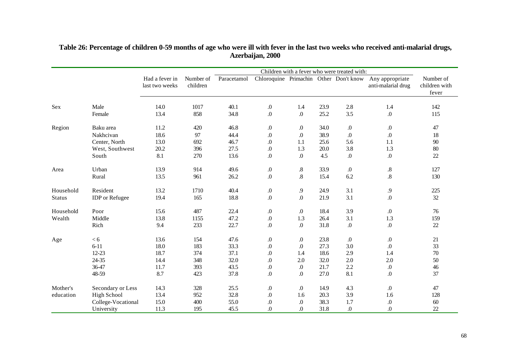|               |                       |                                  |                       | Children with a fever who were treated with: |                  |                    |      |                  |                                                                              |                                     |  |  |
|---------------|-----------------------|----------------------------------|-----------------------|----------------------------------------------|------------------|--------------------|------|------------------|------------------------------------------------------------------------------|-------------------------------------|--|--|
|               |                       | Had a fever in<br>last two weeks | Number of<br>children | Paracetamol                                  |                  |                    |      |                  | Chloroquine Primachin Other Don't know Any appropriate<br>anti-malarial drug | Number of<br>children with<br>fever |  |  |
| Sex           | Male                  | 14.0                             | 1017                  | 40.1                                         | $.0\,$           | 1.4                | 23.9 | 2.8              | 1.4                                                                          | 142                                 |  |  |
|               | Female                | 13.4                             | 858                   | 34.8                                         | $\boldsymbol{0}$ | $.0\,$             | 25.2 | 3.5              | $\boldsymbol{0}$                                                             | 115                                 |  |  |
| Region        | Baku area             | 11.2                             | 420                   | 46.8                                         | $\boldsymbol{0}$ | $\boldsymbol{0}$ . | 34.0 | $\boldsymbol{0}$ | $\boldsymbol{0}$                                                             | 47                                  |  |  |
|               | Nakhcivan             | 18.6                             | 97                    | 44.4                                         | $.0\,$           | $\boldsymbol{0}$   | 38.9 | $\boldsymbol{0}$ | $\boldsymbol{0}$                                                             | 18                                  |  |  |
|               | Center, North         | 13.0                             | 692                   | 46.7                                         | $\boldsymbol{0}$ | 1.1                | 25.6 | 5.6              | 1.1                                                                          | $90\,$                              |  |  |
|               | West, Southwest       | 20.2                             | 396                   | 27.5                                         | $.0\,$           | 1.3                | 20.0 | 3.8              | 1.3                                                                          | $80\,$                              |  |  |
|               | South                 | 8.1                              | 270                   | 13.6                                         | $.0\,$           | $.0\,$             | 4.5  | $.0\,$           | $\boldsymbol{0}$                                                             | $22\,$                              |  |  |
| Area          | Urban                 | 13.9                             | 914                   | 49.6                                         | $.0\,$           | $.8\,$             | 33.9 | $\boldsymbol{0}$ | $.8\,$                                                                       | 127                                 |  |  |
|               | Rural                 | 13.5                             | 961                   | 26.2                                         | $\boldsymbol{0}$ | $\overline{8}$     | 15.4 | 6.2              | $\boldsymbol{.8}$                                                            | 130                                 |  |  |
| Household     | Resident              | 13.2                             | 1710                  | 40.4                                         | $.0\,$           | 9.                 | 24.9 | 3.1              | .9                                                                           | 225                                 |  |  |
| <b>Status</b> | <b>IDP</b> or Refugee | 19.4                             | 165                   | 18.8                                         | $.0\,$           | $\boldsymbol{0}$   | 21.9 | 3.1              | $\boldsymbol{0}$                                                             | 32                                  |  |  |
| Household     | Poor                  | 15.6                             | 487                   | 22.4                                         | $.0\,$           | $.0\,$             | 18.4 | 3.9              | $\boldsymbol{0}$                                                             | 76                                  |  |  |
| Wealth        | Middle                | 13.8                             | 1155                  | 47.2                                         | $.0\,$           | 1.3                | 26.4 | 3.1              | 1.3                                                                          | 159                                 |  |  |
|               | Rich                  | 9.4                              | 233                   | 22.7                                         | $.0\,$           | $.0\,$             | 31.8 | $\boldsymbol{0}$ | $\boldsymbol{0}$                                                             | 22                                  |  |  |
| Age           | < 6                   | 13.6                             | 154                   | 47.6                                         | $.0\,$           | $\boldsymbol{0}$   | 23.8 | .0               | $\boldsymbol{0}$                                                             | 21                                  |  |  |
|               | $6 - 11$              | 18.0                             | 183                   | 33.3                                         | $\boldsymbol{0}$ | $\boldsymbol{0}$   | 27.3 | 3.0              | $\boldsymbol{0}$                                                             | 33                                  |  |  |
|               | $12 - 23$             | 18.7                             | 374                   | 37.1                                         | $\boldsymbol{0}$ | 1.4                | 18.6 | 2.9              | 1.4                                                                          | $70\,$                              |  |  |
|               | 24-35                 | 14.4                             | 348                   | 32.0                                         | $.0\,$           | 2.0                | 32.0 | 2.0              | 2.0                                                                          | $50\,$                              |  |  |
|               | 36-47                 | 11.7                             | 393                   | 43.5                                         | $.0\,$           | $\boldsymbol{0}$   | 21.7 | 2.2              | $\boldsymbol{0}$                                                             | $46\,$                              |  |  |
|               | 48-59                 | 8.7                              | 423                   | 37.8                                         | $.0\,$           | $.0\,$             | 27.0 | 8.1              | $\boldsymbol{0}$                                                             | 37                                  |  |  |
| Mother's      | Secondary or Less     | 14.3                             | 328                   | 25.5                                         | $.0\,$           | $\boldsymbol{0}$   | 14.9 | 4.3              | $\boldsymbol{0}$                                                             | 47                                  |  |  |
| education     | <b>High School</b>    | 13.4                             | 952                   | 32.8                                         | $\boldsymbol{0}$ | 1.6                | 20.3 | 3.9              | 1.6                                                                          | 128                                 |  |  |
|               | College-Vocational    | 15.0                             | 400                   | 55.0                                         | $.0\,$           | 0.                 | 38.3 | 1.7              | $.0\,$                                                                       | $60\,$                              |  |  |
|               | University            | 11.3                             | 195                   | 45.5                                         | $\boldsymbol{0}$ | $\overline{0}$ .   | 31.8 | $\boldsymbol{0}$ | $\boldsymbol{0}$ .                                                           | 22                                  |  |  |

### **Table 26: Percentage of children 0-59 months of age who were ill with fever in the last two weeks who received anti-malarial drugs, Azerbaijan, 2000**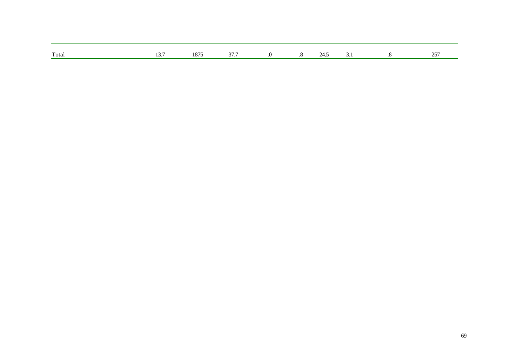| Total | $\sim$ $\sim$<br> | 1075<br>LO / | 277<br>. |  | ◡ | $\Delta$ $\sim$ |
|-------|-------------------|--------------|----------|--|---|-----------------|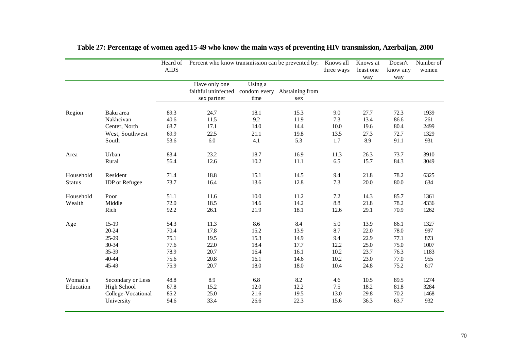|                      |                                                                             | Heard of<br><b>AIDS</b>      | Percent who know transmission can be prevented by: Knows all                     |                             | three ways                  | Knows at<br>least one      | Doesn't<br>know any          | Number of<br>women           |                             |
|----------------------|-----------------------------------------------------------------------------|------------------------------|----------------------------------------------------------------------------------|-----------------------------|-----------------------------|----------------------------|------------------------------|------------------------------|-----------------------------|
|                      |                                                                             |                              | Have only one<br>faithful uninfected condom every Abstaining from<br>sex partner | Using a<br>time             | sex                         |                            | way                          | way                          |                             |
| Region               | Baku area                                                                   | 89.3                         | 24.7                                                                             | 18.1                        | 15.3                        | 9.0                        | 27.7                         | 72.3                         | 1939                        |
|                      | Nakhcivan                                                                   | 40.6                         | 11.5                                                                             | 9.2                         | 11.9                        | 7.3                        | 13.4                         | 86.6                         | 261                         |
|                      | Center, North                                                               | 68.7                         | 17.1                                                                             | 14.0                        | 14.4                        | 10.0                       | 19.6                         | 80.4                         | 2499                        |
|                      | West, Southwest                                                             | 69.9                         | 22.5                                                                             | 21.1                        | 19.8                        | 13.5                       | 27.3                         | 72.7                         | 1329                        |
|                      | South                                                                       | 53.6                         | 6.0                                                                              | 4.1                         | 5.3                         | 1.7                        | 8.9                          | 91.1                         | 931                         |
| Area                 | Urban                                                                       | 83.4                         | 23.2                                                                             | 18.7                        | 16.9                        | 11.3                       | 26.3                         | 73.7                         | 3910                        |
|                      | Rural                                                                       | 56.4                         | 12.6                                                                             | 10.2                        | 11.1                        | 6.5                        | 15.7                         | 84.3                         | 3049                        |
| Household            | Resident                                                                    | 71.4                         | 18.8                                                                             | 15.1                        | 14.5                        | 9.4                        | 21.8                         | 78.2                         | 6325                        |
| <b>Status</b>        | <b>IDP</b> or Refugee                                                       | 73.7                         | 16.4                                                                             | 13.6                        | 12.8                        | 7.3                        | 20.0                         | 80.0                         | 634                         |
| Household<br>Wealth  | Poor<br>Middle<br>Rich                                                      | 51.1<br>72.0<br>92.2         | 11.6<br>18.5<br>26.1                                                             | 10.0<br>14.6<br>21.9        | 11.2<br>14.2<br>18.1        | $7.2\,$<br>8.8<br>12.6     | 14.3<br>21.8<br>29.1         | 85.7<br>78.2<br>70.9         | 1361<br>4336<br>1262        |
| Age                  | $15-19$                                                                     | 54.3                         | 11.3                                                                             | 8.6                         | 8.4                         | 5.0                        | 13.9                         | 86.1                         | 1327                        |
|                      | $20 - 24$                                                                   | 70.4                         | 17.8                                                                             | 15.2                        | 13.9                        | 8.7                        | 22.0                         | 78.0                         | 997                         |
|                      | 25-29                                                                       | 75.1                         | 19.5                                                                             | 15.3                        | 14.9                        | 9.4                        | 22.9                         | 77.1                         | 873                         |
|                      | 30-34                                                                       | 77.6                         | 22.0                                                                             | 18.4                        | 17.7                        | 12.2                       | 25.0                         | 75.0                         | 1007                        |
|                      | 35-39                                                                       | 78.9                         | 20.7                                                                             | 16.4                        | 16.1                        | 10.2                       | 23.7                         | 76.3                         | 1183                        |
|                      | 40-44                                                                       | 75.6                         | 20.8                                                                             | 16.1                        | 14.6                        | 10.2                       | 23.0                         | 77.0                         | 955                         |
|                      | 45-49                                                                       | 75.9                         | 20.7                                                                             | 18.0                        | 18.0                        | 10.4                       | 24.8                         | 75.2                         | 617                         |
| Woman's<br>Education | Secondary or Less<br><b>High School</b><br>College-Vocational<br>University | 48.8<br>67.8<br>85.2<br>94.6 | 8.9<br>15.2<br>25.0<br>33.4                                                      | 6.8<br>12.0<br>21.6<br>26.6 | 8.2<br>12.2<br>19.5<br>22.3 | 4.6<br>7.5<br>13.0<br>15.6 | 10.5<br>18.2<br>29.8<br>36.3 | 89.5<br>81.8<br>70.2<br>63.7 | 1274<br>3284<br>1468<br>932 |

|  |  |  |  | Table 27: Percentage of women aged 15-49 who know the main ways of preventing HIV transmission, Azerbaijan, 2000 |  |
|--|--|--|--|------------------------------------------------------------------------------------------------------------------|--|
|  |  |  |  |                                                                                                                  |  |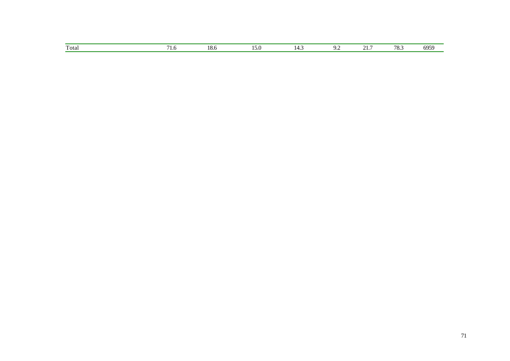| Total | <br>$\sim$<br>.v.v | . | ـر. | - - | ¬்<br>ن ن | c. |
|-------|--------------------|---|-----|-----|-----------|----|
|       |                    |   |     |     |           |    |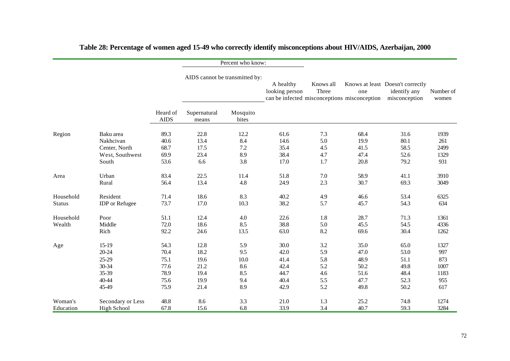|                     |                        |                         |                                | Percent who know:  |                                                                             |                    |                      |                                                                   |                      |
|---------------------|------------------------|-------------------------|--------------------------------|--------------------|-----------------------------------------------------------------------------|--------------------|----------------------|-------------------------------------------------------------------|----------------------|
|                     |                        |                         | AIDS cannot be transmitted by: |                    | A healthy<br>looking person<br>can be infected misconceptions misconception | Knows all<br>Three | one                  | Knows at least Doesn't correctly<br>identify any<br>misconception | Number of<br>women   |
|                     |                        | Heard of<br><b>AIDS</b> | Supernatural<br>means          | Mosquito<br>bites  |                                                                             |                    |                      |                                                                   |                      |
| Region              | Baku area              | 89.3                    | 22.8                           | 12.2               | 61.6                                                                        | 7.3                | 68.4                 | 31.6                                                              | 1939                 |
|                     | Nakhcivan              | 40.6                    | 13.4                           | 8.4                | 14.6                                                                        | 5.0                | 19.9                 | 80.1                                                              | 261                  |
|                     | Center, North          | 68.7                    | 17.5                           | 7.2                | 35.4                                                                        | 4.5                | 41.5                 | 58.5                                                              | 2499                 |
|                     | West, Southwest        | 69.9                    | 23.4                           | 8.9                | 38.4                                                                        | 4.7                | 47.4                 | 52.6                                                              | 1329                 |
|                     | South                  | 53.6                    | 6.6                            | 3.8                | 17.0                                                                        | 1.7                | 20.8                 | 79.2                                                              | 931                  |
| Area                | Urban                  | 83.4                    | 22.5                           | 11.4               | 51.8                                                                        | 7.0                | 58.9                 | 41.1                                                              | 3910                 |
|                     | Rural                  | 56.4                    | 13.4                           | 4.8                | 24.9                                                                        | 2.3                | 30.7                 | 69.3                                                              | 3049                 |
| Household           | Resident               | 71.4                    | 18.6                           | 8.3                | 40.2                                                                        | 4.9                | 46.6                 | 53.4                                                              | 6325                 |
| <b>Status</b>       | <b>IDP</b> or Refugee  | 73.7                    | 17.0                           | 10.3               | 38.2                                                                        | 5.7                | 45.7                 | 54.3                                                              | 634                  |
| Household<br>Wealth | Poor<br>Middle<br>Rich | 51.1<br>72.0<br>92.2    | 12.4<br>18.6<br>24.6           | 4.0<br>8.5<br>13.5 | 22.6<br>38.8<br>63.0                                                        | 1.8<br>5.0<br>8.2  | 28.7<br>45.5<br>69.6 | 71.3<br>54.5<br>30.4                                              | 1361<br>4336<br>1262 |
| Age                 | $15-19$                | 54.3                    | 12.8                           | 5.9                | 30.0                                                                        | 3.2                | 35.0                 | 65.0                                                              | 1327                 |
|                     | 20-24                  | 70.4                    | 18.2                           | 9.5                | 42.0                                                                        | 5.9                | 47.0                 | 53.0                                                              | 997                  |
|                     | 25-29                  | 75.1                    | 19.6                           | 10.0               | 41.4                                                                        | 5.8                | 48.9                 | 51.1                                                              | 873                  |
|                     | 30-34                  | 77.6                    | 21.2                           | 8.6                | 42.4                                                                        | 5.2                | 50.2                 | 49.8                                                              | 1007                 |
|                     | 35-39                  | 78.9                    | 19.4                           | 8.5                | 44.7                                                                        | 4.6                | 51.6                 | 48.4                                                              | 1183                 |
|                     | 40-44                  | 75.6                    | 19.9                           | 9.4                | 40.4                                                                        | 5.5                | 47.7                 | 52.3                                                              | 955                  |
|                     | 45-49                  | 75.9                    | 21.4                           | 8.9                | 42.9                                                                        | 5.2                | 49.8                 | 50.2                                                              | 617                  |
| Woman's             | Secondary or Less      | 48.8                    | 8.6                            | 3.3                | 21.0                                                                        | 1.3                | 25.2                 | 74.8                                                              | 1274                 |
| Education           | High School            | 67.8                    | 15.6                           | 6.8                | 33.9                                                                        | 3.4                | 40.7                 | 59.3                                                              | 3284                 |

# **Table 28: Percentage of women aged 15-49 who correctly identify misconceptions about HIV/AIDS, Azerbaijan, 2000**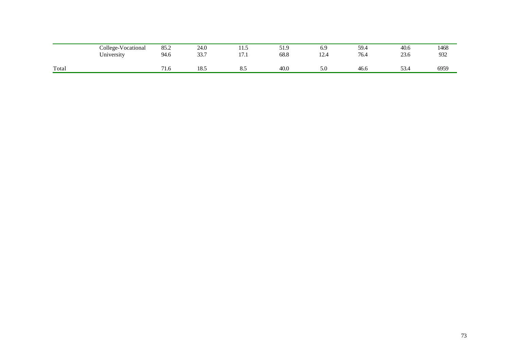|       | College-Vocational<br>$\mathbf{v}$ $\mathbf{v}$<br>University | 85.2<br>94.6 | 24.0<br>227<br>JJ.I | 11.J<br>$\rightarrow$ $\rightarrow$ $\rightarrow$<br>. | 51.9<br>68.8 | 6.9<br>$\sim$<br>$\overline{\phantom{a}}$<br>$1 - 7$<br>the contract of the contract of | 59.4<br>76.4 | 40.6<br>23.6   | 1468<br>932 |
|-------|---------------------------------------------------------------|--------------|---------------------|--------------------------------------------------------|--------------|-----------------------------------------------------------------------------------------|--------------|----------------|-------------|
| Total |                                                               | 71<br>71.O   | 101<br>10.J         | ം.                                                     | 40.0         | 5.0                                                                                     | -46.6        | $\sim$<br>53.4 | 6959        |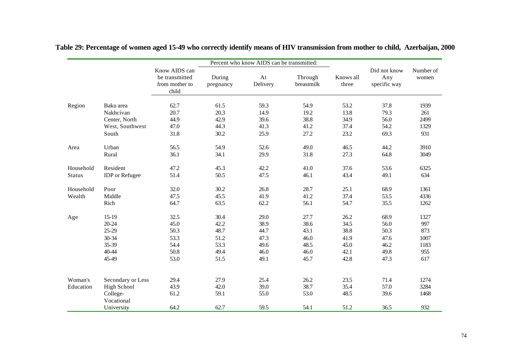|               |                                |                                                            |                     | Percent who know AIDS can be transmitted: |                       |                    |                                     |                    |
|---------------|--------------------------------|------------------------------------------------------------|---------------------|-------------------------------------------|-----------------------|--------------------|-------------------------------------|--------------------|
|               |                                | Know AIDS can<br>be transmitted<br>from mother to<br>child | During<br>pregnancy | At<br>Delivery                            | Through<br>breastmilk | Knows all<br>three | Did not know<br>Any<br>specific way | Number of<br>women |
| Region        | Baku area                      | 62.7                                                       | 61.5                | 59.3                                      | 54.9                  | 53.2               | 37.8                                | 1939               |
|               | Nakhcivan                      | 20.7                                                       | 20.3                | 14.9                                      | 19.2                  | 13.8               | 79.3                                | 261                |
|               | Center, North                  | 44.9                                                       | 42.9                | 39.6                                      | 38.8                  | 34.9               | 56.0                                | 2499               |
|               | West, Southwest                | 47.0                                                       | 44.3                | 41.3                                      | 41.2                  | 37.4               | 54.2                                | 1329               |
|               | South                          | 31.8                                                       | 30.2                | 25.9                                      | 27.2                  | 23.2               | 69.3                                | 931                |
| Area          | Urban                          | 56.5                                                       | 54.9                | 52.6                                      | 49.0                  | 46.5               | 44.2                                | 3910               |
|               | Rural                          | 36.1                                                       | 34.1                | 29.9                                      | 31.8                  | 27.3               | 64.8                                | 3049               |
| Household     | Resident                       | 47.2                                                       | 45.3                | 42.2                                      | 41.0                  | 37.6               | 53.6                                | 6325               |
| <b>Status</b> | <b>IDP</b> or Refugee          | 51.4                                                       | 50.5                | 47.5                                      | 46.1                  | 43.4               | 49.1                                | 634                |
| Household     | Poor                           | 32.0                                                       | 30.2                | 26.8                                      | 28.7                  | 25.1               | 68.9                                | 1361               |
| Wealth        | Middle                         | 47.5                                                       | 45.5                | 41.9                                      | 41.2                  | 37.4               | 53.5                                | 4336               |
|               | Rich                           | 64.7                                                       | 63.5                | 62.2                                      | 56.1                  | 54.7               | 35.5                                | 1262               |
| Age           | $15-19$                        | 32.5                                                       | 30.4                | 29.0                                      | 27.7                  | 26.2               | 68.9                                | 1327               |
|               | 20-24                          | 45.0                                                       | 42.2                | 38.9                                      | 38.6                  | 34.5               | 56.0                                | 997                |
|               | 25-29                          | 50.3                                                       | 48.7                | 44.7                                      | 43.1                  | 38.8               | 50.3                                | 873                |
|               | 30-34                          | 53.3                                                       | 51.2                | 47.3                                      | 46.0                  | 41.9               | 47.6                                | 1007               |
|               | 35-39                          | 54.4                                                       | 53.3                | 49.6                                      | 48.5                  | 45.0               | 46.2                                | 1183               |
|               | 40-44                          | 50.8                                                       | 49.4                | 46.0                                      | 46.0                  | 42.1               | 49.8                                | 955                |
|               | 45-49                          | 53.0                                                       | 51.5                | 49.1                                      | 45.7                  | 42.8               | 47.3                                | 617                |
| Woman's       |                                |                                                            | 27.9                | 25.4                                      | 26.2                  | 23.5               | 71.4                                | 1274               |
| Education     | Secondary or Less              | 29.4<br>43.9                                               | 42.0                | 39.0                                      | 38.7                  | 35.4               | 57.0                                | 3284               |
|               | <b>High School</b><br>College- | 61.2                                                       | 59.1                | 55.0                                      | 53.0                  | 48.5               | 39.6                                | 1468               |
|               | Vocational                     |                                                            |                     |                                           |                       |                    |                                     |                    |
|               | University                     | 64.2                                                       | 62.7                | 59.5                                      | 54.1                  | 51.2               | 36.5                                | 932                |

**Table 29: Percentage of women aged 15-49 who correctly identify means of HIV transmission from mother to child, Azerbaijan, 2000**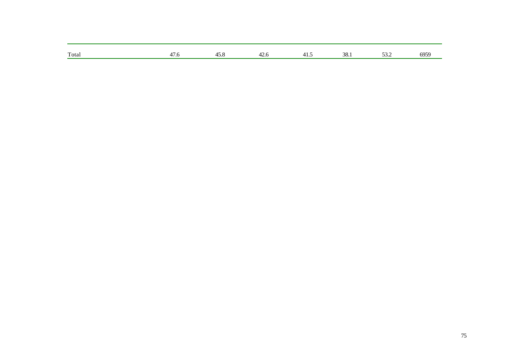| Total<br>$\overline{1}$<br>-^<br>ററ<br>$\ddot{\phantom{1}}$<br>. . |  |     |  |      |            |
|--------------------------------------------------------------------|--|-----|--|------|------------|
| .<br>.                                                             |  | −.∪ |  | JJ.L | 5050<br>יר |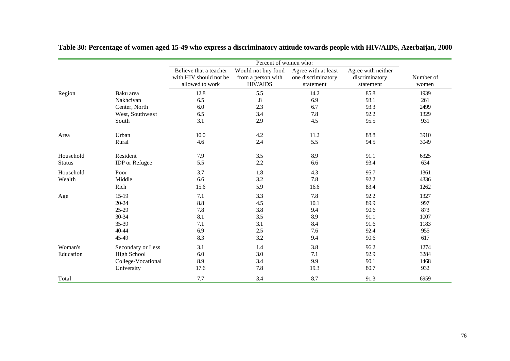|                            |                                                                             |                                                                     | Percent of women who:                                       |                                                        |                                                      |                                                  |
|----------------------------|-----------------------------------------------------------------------------|---------------------------------------------------------------------|-------------------------------------------------------------|--------------------------------------------------------|------------------------------------------------------|--------------------------------------------------|
|                            |                                                                             | Believe that a teacher<br>with HIV should not be<br>allowed to work | Would not buy food<br>from a person with<br><b>HIV/AIDS</b> | Agree with at least<br>one discriminatory<br>statement | Agree with neither<br>discriminatory<br>statement    | Number of<br>women                               |
| Region                     | Baku area<br>Nakhcivan<br>Center, North<br>West, Southwest<br>South         | 12.8<br>6.5<br>6.0<br>6.5<br>3.1                                    | 5.5<br>$.8\,$<br>2.3<br>3.4<br>2.9                          | 14.2<br>6.9<br>6.7<br>7.8<br>4.5                       | 85.8<br>93.1<br>93.3<br>92.2<br>95.5                 | 1939<br>261<br>2499<br>1329<br>931               |
| Area                       | Urban<br>Rural                                                              | 10.0<br>4.6                                                         | 4.2<br>2.4                                                  | 11.2<br>5.5                                            | 88.8<br>94.5                                         | 3910<br>3049                                     |
| Household<br><b>Status</b> | Resident<br><b>IDP</b> or Refugee                                           | 7.9<br>5.5                                                          | 3.5<br>2.2                                                  | 8.9<br>6.6                                             | 91.1<br>93.4                                         | 6325<br>634                                      |
| Household<br>Wealth        | Poor<br>Middle<br>Rich                                                      | 3.7<br>6.6<br>15.6                                                  | 1.8<br>3.2<br>5.9                                           | 4.3<br>7.8<br>16.6                                     | 95.7<br>92.2<br>83.4                                 | 1361<br>4336<br>1262                             |
| Age                        | $15-19$<br>20-24<br>25-29<br>30-34<br>35-39<br>40-44<br>45-49               | 7.1<br>8.8<br>7.8<br>8.1<br>7.1<br>6.9<br>8.3                       | 3.3<br>4.5<br>3.8<br>3.5<br>3.1<br>$2.5\,$<br>3.2           | 7.8<br>10.1<br>9.4<br>8.9<br>8.4<br>7.6<br>9.4         | 92.2<br>89.9<br>90.6<br>91.1<br>91.6<br>92.4<br>90.6 | 1327<br>997<br>873<br>1007<br>1183<br>955<br>617 |
| Woman's<br>Education       | Secondary or Less<br><b>High School</b><br>College-Vocational<br>University | 3.1<br>6.0<br>8.9<br>17.6                                           | 1.4<br>3.0<br>3.4<br>7.8                                    | 3.8<br>7.1<br>9.9<br>19.3                              | 96.2<br>92.9<br>90.1<br>80.7                         | 1274<br>3284<br>1468<br>932                      |
| Total                      |                                                                             | 7.7                                                                 | 3.4                                                         | 8.7                                                    | 91.3                                                 | 6959                                             |

# **Table 30: Percentage of women aged 15-49 who express a discriminatory attitude towards people with HIV/AIDS, Azerbaijan, 2000**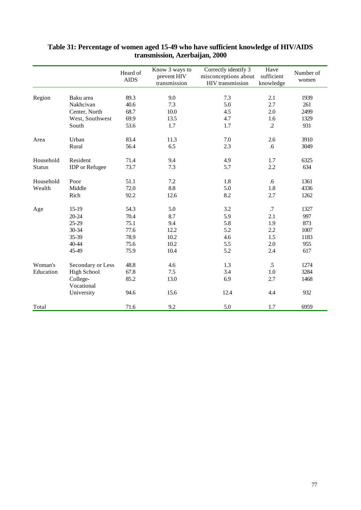|               |                       | Heard of<br><b>AIDS</b> | Know 3 ways to<br>prevent HIV<br>transmission | Correctly identify 3<br>misconceptions about<br>HIV transmission | Have<br>sufficient<br>knowledge | Number of<br>women |
|---------------|-----------------------|-------------------------|-----------------------------------------------|------------------------------------------------------------------|---------------------------------|--------------------|
|               |                       |                         |                                               |                                                                  |                                 |                    |
| Region        | Baku area             | 89.3                    | 9.0                                           | 7.3                                                              | 2.1                             | 1939               |
|               | Nakhcivan             | 40.6                    | 7.3                                           | 5.0                                                              | 2.7                             | 261                |
|               | Center, North         | 68.7                    | 10.0                                          | 4.5                                                              | 2.0                             | 2499               |
|               | West, Southwest       | 69.9                    | 13.5                                          | 4.7                                                              | 1.6                             | 1329               |
|               | South                 | 53.6                    | 1.7                                           | 1.7                                                              | $\cdot$                         | 931                |
| Area          | Urban                 | 83.4                    | 11.3                                          | 7.0                                                              | 2.6                             | 3910               |
|               | Rural                 | 56.4                    | 6.5                                           | 2.3                                                              | .6                              | 3049               |
| Household     | Resident              | 71.4                    | 9.4                                           | 4.9                                                              | 1.7                             | 6325               |
| <b>Status</b> | <b>IDP</b> or Refugee | 73.7                    | 7.3                                           | 5.7                                                              | 2.2                             | 634                |
| Household     | Poor                  | 51.1                    | 7.2                                           | 1.8                                                              | .6                              | 1361               |
| Wealth        | Middle                | 72.0                    | 8.8                                           | 5.0                                                              | 1.8                             | 4336               |
|               | Rich                  | 92.2                    | 12.6                                          | 8.2                                                              | 2.7                             | 1262               |
| Age           | 15-19                 | 54.3                    | 5.0                                           | 3.2                                                              | .7                              | 1327               |
|               | 20-24                 | 70.4                    | 8.7                                           | 5.9                                                              | 2.1                             | 997                |
|               | 25-29                 | 75.1                    | 9.4                                           | 5.8                                                              | 1.9                             | 873                |
|               | 30-34                 | 77.6                    | 12.2                                          | 5.2                                                              | 2.2                             | 1007               |
|               | 35-39                 | 78.9                    | 10.2                                          | 4.6                                                              | 1.5                             | 1183               |
|               | 40-44                 | 75.6                    | 10.2                                          | 5.5                                                              | 2.0                             | 955                |
|               | 45-49                 | 75.9                    | 10.4                                          | 5.2                                                              | 2.4                             | 617                |
| Woman's       | Secondary or Less     | 48.8                    | 4.6                                           | 1.3                                                              | $\cdot$ 5                       | 1274               |
| Education     | High School           | 67.8                    | 7.5                                           | 3.4                                                              | 1.0                             | 3284               |
|               | College-              | 85.2                    | 13.0                                          | 6.9                                                              | 2.7                             | 1468               |
|               | Vocational            |                         |                                               |                                                                  |                                 |                    |
|               | University            | 94.6                    | 15.6                                          | 12.4                                                             | 4.4                             | 932                |
| Total         |                       | 71.6                    | 9.2                                           | 5.0                                                              | 1.7                             | 6959               |

#### **Table 31: Percentage of women aged 15-49 who have sufficient knowledge of HIV/AIDS transmission, Azerbaijan, 2000**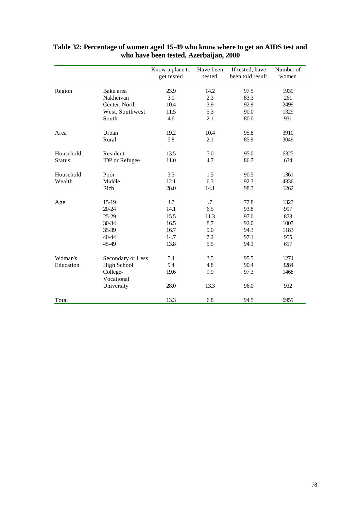|               |                       | Know a place to | Have been  | If tested, have  | Number of |
|---------------|-----------------------|-----------------|------------|------------------|-----------|
|               |                       | get tested      | tested     | been told result | women     |
|               |                       |                 |            |                  |           |
| Region        | Baku area             | 23.9            | 14.2       | 97.5             | 1939      |
|               | Nakhcivan             | 3.1             | 2.3        | 83.3             | 261       |
|               | Center, North         | 10.4            | 3.9        | 92.9             | 2499      |
|               | West, Southwest       | 11.5            | 5.3        | 90.0             | 1329      |
|               | South                 | 4.6             | 2.1        | 80.0             | 931       |
| Area          | Urban                 | 19.2            | 10.4       | 95.8             | 3910      |
|               | Rural                 | 5.8             | 2.1        | 85.9             | 3049      |
| Household     | Resident              | 13.5            | 7.0        | 95.0             | 6325      |
| <b>Status</b> | <b>IDP</b> or Refugee | 11.0            | 4.7        | 86.7             | 634       |
| Household     | Poor                  | 3.5             | 1.5        | 90.5             | 1361      |
| Wealth        | Middle                | 12.1            | 6.3        | 92.3             | 4336      |
|               | Rich                  | 28.0            | 14.1       | 98.3             | 1262      |
| Age           | $15-19$               | 4.7             | $\cdot$ .7 | 77.8             | 1327      |
|               | 20-24                 | 14.1            | 6.5        | 93.8             | 997       |
|               | 25-29                 | 15.5            | 11.3       | 97.0             | 873       |
|               | 30-34                 | 16.5            | 8.7        | 92.0             | 1007      |
|               | 35-39                 | 16.7            | 9.0        | 94.3             | 1183      |
|               | 40-44                 | 14.7            | 7.2        | 97.1             | 955       |
|               | 45-49                 | 13.8            | 5.5        | 94.1             | 617       |
| Woman's       | Secondary or Less     | 5.4             | 3.5        | 95.5             | 1274      |
| Education     | <b>High School</b>    | 9.4             | 4.8        | 90.4             | 3284      |
|               | College-              | 19.6            | 9.9        | 97.3             | 1468      |
|               | Vocational            |                 |            |                  |           |
|               | University            | 28.0            | 13.3       | 96.0             | 932       |
| Total         |                       | 13.3            | 6.8        | 94.5             | 6959      |

#### **Table 32: Percentage of women aged 15-49 who know where to get an AIDS test and who have been tested, Azerbaijan, 2000**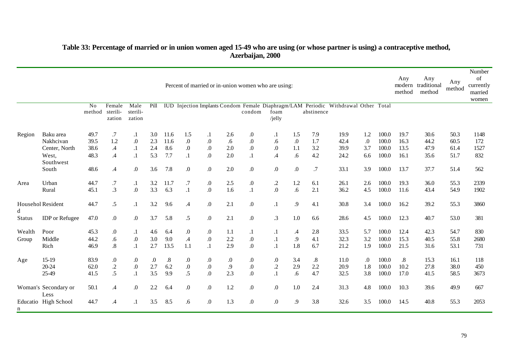#### **Table 33: Percentage of married or in union women aged 15-49 who are using (or whose partner is using) a contraceptive method, Azerbaijan, 2000**

|                    |                                                                        |                                      |                                                              |                                                       |                                 |                                   |                                                                            |                                             |                                | Percent of married or in-union women who are using:           |                                                              |                                                          |                                 |                                                                                    |                                      |                                           | Any<br>method                        | Any<br>modern traditional<br>method  | Any<br>method                        | Number<br>of<br>currently<br>married<br>women |
|--------------------|------------------------------------------------------------------------|--------------------------------------|--------------------------------------------------------------|-------------------------------------------------------|---------------------------------|-----------------------------------|----------------------------------------------------------------------------|---------------------------------------------|--------------------------------|---------------------------------------------------------------|--------------------------------------------------------------|----------------------------------------------------------|---------------------------------|------------------------------------------------------------------------------------|--------------------------------------|-------------------------------------------|--------------------------------------|--------------------------------------|--------------------------------------|-----------------------------------------------|
|                    |                                                                        | No<br>method                         | Female<br>sterili-<br>zation                                 | Male<br>sterili-<br>zation                            | Pill                            |                                   |                                                                            |                                             |                                | condom                                                        | foam<br>/jelly                                               |                                                          | abstinence                      | IUD Injection Implants Condom Female Diaphragm/LAM Periodic Withdrawal Other Total |                                      |                                           |                                      |                                      |                                      |                                               |
| Region             | Baku area<br>Nakhcivan<br>Center, North<br>West,<br>Southwest<br>South | 49.7<br>39.5<br>38.6<br>48.3<br>48.6 | .7<br>1.2<br>$\mathcal{A}$<br>$\mathcal{A}$<br>$\mathcal{A}$ | $\cdot$<br>$\Omega$<br>$\cdot$<br>$\cdot$<br>$\Omega$ | 3.0<br>2.3<br>2.4<br>5.3<br>3.6 | 11.6<br>11.6<br>8.6<br>7.7<br>7.8 | 1.5<br>$\boldsymbol{0}$<br>$\boldsymbol{0}$<br>$\cdot$<br>$\boldsymbol{0}$ | $\cdot$<br>$.0\,$<br>$.0\,$<br>$.0\,$<br>0. | 2.6<br>.6<br>2.0<br>2.0<br>2.0 | $\boldsymbol{0}$<br>.0<br>$\boldsymbol{0}$<br>$\cdot$ 1<br>0. | $\cdot$<br>.6<br>$0.$<br>$\mathcal{A}$<br>$\boldsymbol{0}$ . | 1.5<br>$\boldsymbol{0}$<br>1.1<br>.6<br>$\boldsymbol{0}$ | 7.9<br>1.7<br>3.2<br>4.2<br>.7  | 19.9<br>42.4<br>39.9<br>24.2<br>33.1                                               | 1.2<br>$\Omega$<br>3.7<br>6.6<br>3.9 | 100.0<br>100.0<br>100.0<br>100.0<br>100.0 | 19.7<br>16.3<br>13.5<br>16.1<br>13.7 | 30.6<br>44.2<br>47.9<br>35.6<br>37.7 | 50.3<br>60.5<br>61.4<br>51.7<br>51.4 | 1148<br>172<br>1527<br>832<br>562             |
| Area               | Urban<br>Rural                                                         | 44.7<br>45.1                         | $\cdot 7$<br>.3                                              | $\cdot$<br>$.0\,$                                     | 3.2<br>3.3                      | 11.7<br>6.3                       | $.7\,$<br>$\cdot$                                                          | $.0\,$<br>$.0\,$                            | 2.5<br>1.6                     | $\boldsymbol{0}$<br>$\cdot$ 1                                 | $\cdot$<br>$\overline{0}$ .                                  | 1.2<br>.6                                                | 6.1<br>2.1                      | 26.1<br>36.2                                                                       | 2.6<br>4.5                           | 100.0<br>100.0                            | 19.3<br>11.6                         | 36.0<br>43.4                         | 55.3<br>54.9                         | 2339<br>1902                                  |
| d<br><b>Status</b> | Househol Resident<br><b>IDP</b> or Refugee                             | 44.7<br>47.0                         | .5<br>$\boldsymbol{0}$                                       | $\cdot$<br>$\Omega$                                   | 3.2<br>3.7                      | 9.6<br>5.8                        | .4<br>$\cdot$ 5                                                            | .0<br>0.                                    | 2.1<br>2.1                     | $\boldsymbol{0}$<br>$0.$                                      | $\cdot$<br>$\cdot$ 3                                         | .9<br>$1.0\,$                                            | 4.1<br>6.6                      | 30.8<br>28.6                                                                       | 3.4<br>4.5                           | 100.0<br>100.0                            | 16.2<br>12.3                         | 39.2<br>40.7                         | 55.3<br>53.0                         | 3860<br>381                                   |
| Wealth<br>Group    | Poor<br>Middle<br>Rich                                                 | 45.3<br>44.2<br>46.9                 | $.0\,$<br>.6<br>$\boldsymbol{.8}$                            | $\cdot$<br>$\boldsymbol{0}$<br>$\cdot$                | 4.6<br>3.0<br>2.7               | 6.4<br>9.0<br>13.5                | $\boldsymbol{0}$<br>$\mathcal{A}$<br>1.1                                   | $\boldsymbol{0}$<br>$.0\,$<br>$\cdot$       | 1.1<br>2.2<br>2.9              | $\cdot$<br>$.0\,$<br>0.                                       | $\cdot$<br>$\cdot$<br>$\cdot$                                | $\mathcal{A}$<br>.9<br>1.8                               | 2.8<br>4.1<br>6.7               | 33.5<br>32.3<br>21.2                                                               | 5.7<br>3.2<br>1.9                    | 100.0<br>100.0<br>100.0                   | 12.4<br>15.3<br>21.5                 | 42.3<br>40.5<br>31.6                 | 54.7<br>55.8<br>53.1                 | 830<br>2680<br>731                            |
| Age                | $15-19$<br>20-24<br>25-49                                              | 83.9<br>62.0<br>41.5                 | $\boldsymbol{0}$<br>$\cdot$<br>.5                            | $\boldsymbol{0}$<br>$\boldsymbol{0}$<br>$\cdot$ 1     | $\boldsymbol{0}$<br>2.7<br>3.5  | $.8\,$<br>6.2<br>9.9              | .0<br>$.0\,$<br>$\overline{.5}$                                            | $\boldsymbol{0}$<br>$.0\,$<br>0.            | .0<br>$\cdot$ .9<br>2.3        | $\cdot$<br>$.0\,$<br>.0                                       | $\boldsymbol{0}$<br>$.2\,$<br>$\cdot$                        | 3.4<br>2.9<br>.6                                         | $\boldsymbol{.8}$<br>2.2<br>4.7 | 11.0<br>20.9<br>32.5                                                               | $\Omega$<br>1.8<br>3.8               | 100.0<br>100.0<br>100.0                   | $.8\,$<br>10.2<br>17.0               | 15.3<br>27.8<br>41.5                 | 16.1<br>38.0<br>58.5                 | 118<br>450<br>3673                            |
| n                  | Woman's Secondary or<br>Less<br>Educatio High School                   | 50.1<br>44.7                         | $\mathcal{A}$<br>$\mathcal{A}$                               | $\Omega$<br>$\cdot$ 1                                 | 2.2<br>3.5                      | 6.4<br>8.5                        | $\Omega$ .<br>.6                                                           | .0<br>$\cdot$                               | 1.2<br>1.3                     | $\Omega$ .<br>$\Omega$ .                                      | $\boldsymbol{0}$<br>$\boldsymbol{0}$                         | 1.0<br>9.                                                | 2.4<br>3.8                      | 31.3<br>32.6                                                                       | 4.8<br>3.5                           | 100.0<br>100.0                            | 10.3<br>14.5                         | 39.6<br>40.8                         | 49.9<br>55.3                         | 667<br>2053                                   |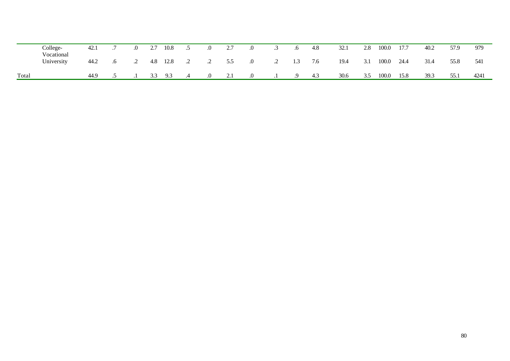|       | College-<br>Vocational | 42.1 | $\Omega$   | 2.7 | 10.8 |         | .∪      | 2.7 | $\cdot$ .0 |         | .o  | 4.8 | 32.1 | 2.8 | 100.0 | 17.7 | 40.2 | 57.9 | 979  |
|-------|------------------------|------|------------|-----|------|---------|---------|-----|------------|---------|-----|-----|------|-----|-------|------|------|------|------|
|       | University             | 44.2 | $\cdot$ .2 | 4.8 | 12.8 | $\cdot$ | .2      | 5.5 | .0         | $\cdot$ | 1.3 | 7.6 | 19.4 | 3.1 | 100.0 | 24.4 | 31.4 | 55.8 | 541  |
| Total |                        | 44.9 |            | 33  | 9.3  | .4      | $\cdot$ | 2.1 | .0         |         | 9.  | 4.3 | 30.6 | 3.5 | 100.0 | 15.8 | 39.3 | 55.1 | 4241 |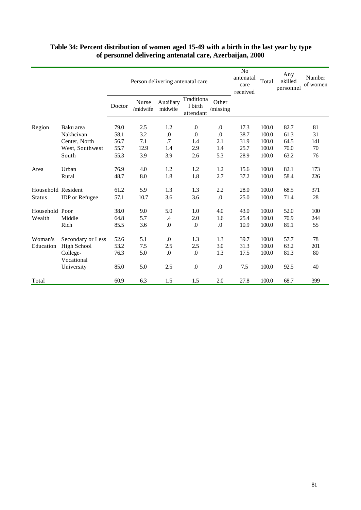|                    |                        |        |                   |                      | Person delivering antenatal care   |                   | N <sub>0</sub><br>antenatal<br>care<br>received | Total | Any<br>skilled<br>personnel | Number<br>of women |
|--------------------|------------------------|--------|-------------------|----------------------|------------------------------------|-------------------|-------------------------------------------------|-------|-----------------------------|--------------------|
|                    |                        | Doctor | Nurse<br>/midwife | Auxiliary<br>midwife | Traditiona<br>1 birth<br>attendant | Other<br>/missing |                                                 |       |                             |                    |
| Region             | Baku area              | 79.0   | 2.5               | 1.2                  | $\Omega$                           | .0                | 17.3                                            | 100.0 | 82.7                        | 81                 |
|                    | Nakhcivan              | 58.1   | 3.2               | $\boldsymbol{0}$     | $\boldsymbol{0}$                   | .0                | 38.7                                            | 100.0 | 61.3                        | 31                 |
|                    | Center, North          | 56.7   | 7.1               | .7                   | 1.4                                | 2.1               | 31.9                                            | 100.0 | 64.5                        | 141                |
|                    | West, Southwest        | 55.7   | 12.9              | 1.4                  | 2.9                                | 1.4               | 25.7                                            | 100.0 | 70.0                        | 70                 |
|                    | South                  | 55.3   | 3.9               | 3.9                  | 2.6                                | 5.3               | 28.9                                            | 100.0 | 63.2                        | 76                 |
| Area               | Urban                  | 76.9   | 4.0               | 1.2                  | 1.2                                | 1.2               | 15.6                                            | 100.0 | 82.1                        | 173                |
|                    | Rural                  | 48.7   | 8.0               | 1.8                  | 1.8                                | 2.7               | 37.2                                            | 100.0 | 58.4                        | 226                |
| Household Resident |                        | 61.2   | 5.9               | 1.3                  | 1.3                                | 2.2               | 28.0                                            | 100.0 | 68.5                        | 371                |
| <b>Status</b>      | <b>IDP</b> or Refugee  | 57.1   | 10.7              | 3.6                  | 3.6                                | $\boldsymbol{0}$  | 25.0                                            | 100.0 | 71.4                        | 28                 |
| Household Poor     |                        | 38.0   | 9.0               | 5.0                  | 1.0                                | 4.0               | 43.0                                            | 100.0 | 52.0                        | 100                |
| Wealth             | Middle                 | 64.8   | 5.7               | $\cdot$              | 2.0                                | 1.6               | 25.4                                            | 100.0 | 70.9                        | 244                |
|                    | Rich                   | 85.5   | 3.6               | $\boldsymbol{0}$     | $\Omega$                           | $\boldsymbol{0}$  | 10.9                                            | 100.0 | 89.1                        | 55                 |
| Woman's            | Secondary or Less      | 52.6   | 5.1               | $\Omega$ .           | 1.3                                | 1.3               | 39.7                                            | 100.0 | 57.7                        | 78                 |
| Education          | High School            | 53.2   | 7.5               | 2.5                  | 2.5                                | 3.0               | 31.3                                            | 100.0 | 63.2                        | 201                |
|                    | College-<br>Vocational | 76.3   | 5.0               | $\cdot$              | $\boldsymbol{0}$                   | 1.3               | 17.5                                            | 100.0 | 81.3                        | 80                 |
|                    | University             | 85.0   | 5.0               | 2.5                  | $\boldsymbol{0}$                   | $\boldsymbol{0}$  | 7.5                                             | 100.0 | 92.5                        | 40                 |
| Total              |                        | 60.9   | 6.3               | 1.5                  | 1.5                                | 2.0               | 27.8                                            | 100.0 | 68.7                        | 399                |

#### **Table 34: Percent distribution of women aged 15-49 with a birth in the last year by type of personnel delivering antenatal care, Azerbaijan, 2000**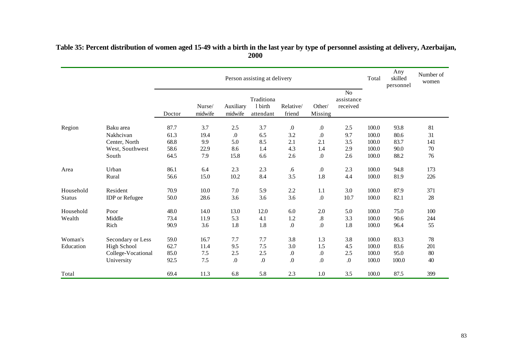|               |                       |        |                   |                      | Person assisting at delivery       |                     |                   |                                          | Total | Any<br>skilled<br>personnel | Number of<br>women |
|---------------|-----------------------|--------|-------------------|----------------------|------------------------------------|---------------------|-------------------|------------------------------------------|-------|-----------------------------|--------------------|
|               |                       | Doctor | Nurse/<br>midwife | Auxiliary<br>midwife | Traditiona<br>1 birth<br>attendant | Relative/<br>friend | Other/<br>Missing | N <sub>o</sub><br>assistance<br>received |       |                             |                    |
| Region        | Baku area             | 87.7   | 3.7               | $2.5\,$              | 3.7                                | $\boldsymbol{0}$    | $\boldsymbol{0}$  | 2.5                                      | 100.0 | 93.8                        | 81                 |
|               | Nakhcivan             | 61.3   | 19.4              | $\boldsymbol{0}$     | 6.5                                | 3.2                 | $.0\,$            | 9.7                                      | 100.0 | 80.6                        | 31                 |
|               | Center, North         | 68.8   | 9.9               | 5.0                  | 8.5                                | 2.1                 | 2.1               | 3.5                                      | 100.0 | 83.7                        | 141                |
|               | West, Southwest       | 58.6   | 22.9              | 8.6                  | 1.4                                | 4.3                 | 1.4               | 2.9                                      | 100.0 | 90.0                        | 70                 |
|               | South                 | 64.5   | 7.9               | 15.8                 | 6.6                                | 2.6                 | $\boldsymbol{0}$  | 2.6                                      | 100.0 | 88.2                        | 76                 |
| Area          | Urban                 | 86.1   | 6.4               | 2.3                  | 2.3                                | $.6\,$              | $.0\,$            | 2.3                                      | 100.0 | 94.8                        | 173                |
|               | Rural                 | 56.6   | 15.0              | $10.2\,$             | 8.4                                | 3.5                 | 1.8               | 4.4                                      | 100.0 | 81.9                        | 226                |
| Household     | Resident              | 70.9   | 10.0              | 7.0                  | 5.9                                | 2.2                 | 1.1               | 3.0                                      | 100.0 | 87.9                        | 371                |
| <b>Status</b> | <b>IDP</b> or Refugee | 50.0   | 28.6              | 3.6                  | 3.6                                | 3.6                 | $\boldsymbol{0}$  | 10.7                                     | 100.0 | 82.1                        | 28                 |
| Household     | Poor                  | 48.0   | 14.0              | 13.0                 | 12.0                               | 6.0                 | 2.0               | 5.0                                      | 100.0 | 75.0                        | 100                |
| Wealth        | Middle                | 73.4   | 11.9              | 5.3                  | 4.1                                | 1.2                 | $\boldsymbol{.8}$ | 3.3                                      | 100.0 | 90.6                        | 244                |
|               | Rich                  | 90.9   | 3.6               | 1.8                  | 1.8                                | $\boldsymbol{0}$    | $\boldsymbol{0}$  | 1.8                                      | 100.0 | 96.4                        | 55                 |
| Woman's       | Secondary or Less     | 59.0   | 16.7              | 7.7                  | 7.7                                | 3.8                 | 1.3               | 3.8                                      | 100.0 | 83.3                        | 78                 |
| Education     | <b>High School</b>    | 62.7   | 11.4              | 9.5                  | 7.5                                | 3.0                 | 1.5               | 4.5                                      | 100.0 | 83.6                        | 201                |
|               | College-Vocational    | 85.0   | 7.5               | 2.5                  | 2.5                                | $\boldsymbol{0}$    | $\boldsymbol{0}$  | 2.5                                      | 100.0 | 95.0                        | 80                 |
|               | University            | 92.5   | 7.5               | 0.                   | 0.                                 | 0.                  | $\boldsymbol{0}$  | .0                                       | 100.0 | 100.0                       | 40                 |
| Total         |                       | 69.4   | 11.3              | 6.8                  | 5.8                                | 2.3                 | 1.0               | 3.5                                      | 100.0 | 87.5                        | 399                |

### **Table 35: Percent distribution of women aged 15-49 with a birth in the last year by type of personnel assisting at delivery, Azerbaijan, 2000**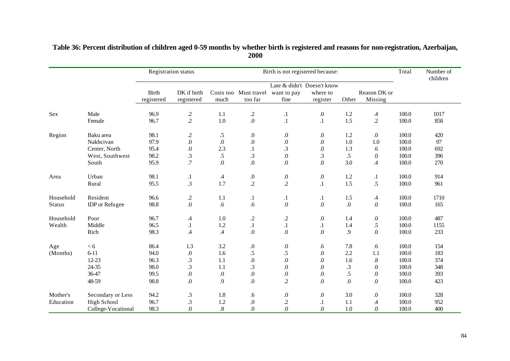|               |                    |                            | <b>Registration status</b> |                  |                                  | Birth is not registered because: |                      |           |                         | Total | Number of<br>children |
|---------------|--------------------|----------------------------|----------------------------|------------------|----------------------------------|----------------------------------|----------------------|-----------|-------------------------|-------|-----------------------|
|               |                    |                            |                            |                  |                                  | Late & didn't Doesn't know       |                      |           |                         |       |                       |
|               |                    | <b>Birth</b><br>registered | DK if birth<br>registered  | much             | Costs too Must travel<br>too far | want to pay<br>fine              | where to<br>register | Other     | Reason DK or<br>Missing |       |                       |
| Sex           | Male               | 96.9                       |                            | 1.1              | $\cdot$                          | $\cdot$                          | $\boldsymbol{0}$     | 1.2       | $\mathcal{A}$           | 100.0 | 1017                  |
|               | Female             | 96.7                       | $\frac{.2}{.2}$            | 1.0              | $\overline{0}$ .                 | $\cdot$                          | $\cdot$              | 1.5       | $\cdot$                 | 100.0 | 858                   |
| Region        | Baku area          | 98.1                       | $\cdot$                    | .5               | $\boldsymbol{0}$                 | $.0\,$                           | $.0\,$               | 1.2       | $.0\,$                  | 100.0 | 420                   |
|               | Nakhcivan          | 97.9                       | $\boldsymbol{0}$           | $\boldsymbol{0}$ | .0                               | $\boldsymbol{0}$                 | $\boldsymbol{0}$     | 1.0       | 1.0                     | 100.0 | 97                    |
|               | Center, North      | 95.4                       | $\Omega$                   | 2.3              | $\cdot$ 1                        | $\cdot$ 3                        | $\boldsymbol{0}$     | 1.3       | .6                      | 100.0 | 692                   |
|               | West, Southwest    | 98.2                       | $\cdot$ 3                  | .5               | .3                               | $\overline{0}$ .                 | .3                   | $.5\,$    | $.0\,$                  | 100.0 | 396                   |
|               | South              | 95.9                       | $\overline{.7}$            | 0.               | 0.                               | $\overline{0}$ .                 | $\overline{0}$ .     | 3.0       | $\mathcal{A}$           | 100.0 | 270                   |
| Area          | Urban              | 98.1                       | $\cdot$                    | $\cdot$ 4        | $0.$                             | $\boldsymbol{0}$                 | $\boldsymbol{0}$     | 1.2       | $\cdot$                 | 100.0 | 914                   |
|               | Rural              | 95.5                       | 3.                         | 1.7              | $\cdot$                          | $\overline{c}$                   | $\cdot$              | 1.5       | .5                      | 100.0 | 961                   |
| Household     | Resident           | 96.6                       | $\cdot$                    | 1.1              | $\cdot$                          | $\cdot$                          | $\cdot$              | 1.5       | $\mathcal{A}$           | 100.0 | 1710                  |
| <b>Status</b> | IDP or Refugee     | 98.8                       | $.0\,$                     | .6               | .6                               | $\boldsymbol{0}$                 | $\boldsymbol{0}$     | $.0\,$    | $0.$                    | 100.0 | 165                   |
| Household     | Poor               | 96.7                       | $\mathcal{A}$              | 1.0              | $\cdot$                          | $\cdot$                          | $\boldsymbol{0}$     | 1.4       | $\boldsymbol{0}$        | 100.0 | 487                   |
| Wealth        | Middle             | 96.5                       | $\cdot$                    | 1.2              | $\cdot$                          | $\cdot$                          | $\cdot$              | 1.4       | .5                      | 100.0 | 1155                  |
|               | Rich               | 98.3                       | .4                         | .4               | 0.                               | $\boldsymbol{0}$                 | $\boldsymbol{0}$     | .9        | $\boldsymbol{0}$ .      | 100.0 | 233                   |
| Age           | < 6                | 86.4                       | 1.3                        | 3.2              | $0.$                             | $\boldsymbol{0}$                 | .6                   | 7.8       | .6                      | 100.0 | 154                   |
| (Months)      | $6 - 11$           | 94.0                       | $.0\,$                     | 1.6              | .5                               | .5                               | $.0\,$               | 2.2       | 1.1                     | 100.0 | 183                   |
|               | $12 - 23$          | 96.3                       | .3                         | 1.1              | $0.$                             | $\boldsymbol{0}$                 | $.0\,$               | 1.6       | $.8\,$                  | 100.0 | 374                   |
|               | $24 - 35$          | 98.0                       | .3                         | 1.1              | .3                               | $\boldsymbol{0}$                 | $.0\,$               | $\cdot$ 3 | $\boldsymbol{0}$        | 100.0 | 348                   |
|               | 36-47              | 99.5                       | $.0\,$                     | $\boldsymbol{0}$ | 0.                               | $.0\,$                           | $.0\,$               | $.5\,$    | $\boldsymbol{0}$ .      | 100.0 | 393                   |
|               | 48-59              | 98.8                       | $\boldsymbol{0}$           | 9.               | 0.                               | $\cdot$                          | $\boldsymbol{0}$     | $.0\,$    | $\boldsymbol{0}$ .      | 100.0 | 423                   |
| Mother's      | Secondary or Less  | 94.2                       | .3                         | 1.8              | .6                               | $.0\,$                           | $.0\,$               | 3.0       | $\boldsymbol{0}$        | 100.0 | 328                   |
| Education     | <b>High School</b> | 96.7                       | .3                         | 1.2              | $0.$                             | $\cdot$                          | $\cdot$              | 1.1       | $\mathcal A$            | 100.0 | 952                   |
|               | College-Vocational | 98.3                       | $\overline{0}$             | $.8\,$           | $\boldsymbol{0}$                 | $\overline{0}$                   | $\overline{0}$ .     | 1.0       | $\boldsymbol{0}$ .      | 100.0 | 400                   |

## **Table 36: Percent distribution of children aged 0-59 months by whether birth is registered and reasons for non-registration, Azerbaijan, 2000**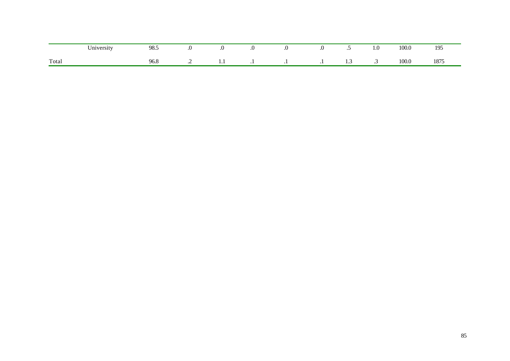|       | $\mathbf{v}$ $\mathbf{v}$<br>Jniversity | QR<br>ن.ں |         | $\ddotsc$ |  | $\ddot{\phantom{0}}$ | $\sqrt{ }$<br>1.0    | 100.0 | 195  |
|-------|-----------------------------------------|-----------|---------|-----------|--|----------------------|----------------------|-------|------|
| Total |                                         | 20.O      | $\cdot$ |           |  |                      | $\ddot{\phantom{0}}$ | 100.0 | 1875 |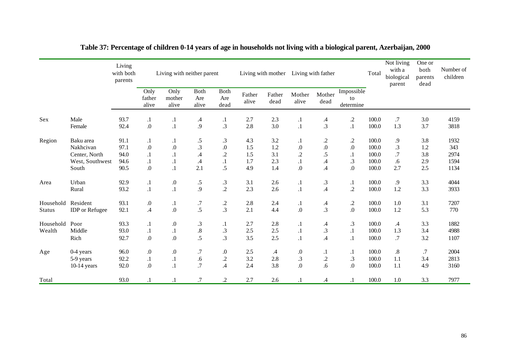|               |                       | Living<br>with both<br>parents |                         | Living with neither parent |                      |                            |                 |                | Living with mother Living with father |                      |                               | Total | Not living<br>with a<br>biological<br>parent | One or<br>both<br>parents<br>dead | Number of<br>children |
|---------------|-----------------------|--------------------------------|-------------------------|----------------------------|----------------------|----------------------------|-----------------|----------------|---------------------------------------|----------------------|-------------------------------|-------|----------------------------------------------|-----------------------------------|-----------------------|
|               |                       |                                | Only<br>father<br>alive | Only<br>mother<br>alive    | Both<br>Are<br>alive | Both<br>Are<br>dead        | Father<br>alive | Father<br>dead | Mother<br>alive                       | Mother<br>dead       | Impossible<br>to<br>determine |       |                                              |                                   |                       |
| Sex           | Male                  | 93.7                           | $\cdot$                 | $\cdot$                    | .4                   | $\cdot$                    | 2.7             | 2.3            | $\cdot$                               | $\mathcal{A}$        | $\cdot$                       | 100.0 | $.7\,$                                       | 3.0                               | 4159                  |
|               | Female                | 92.4                           | $.0\,$                  | $\cdot$                    | .9                   | .3                         | 2.8             | 3.0            | $\cdot$                               | .3                   | $\cdot$                       | 100.0 | 1.3                                          | 3.7                               | 3818                  |
| Region        | Baku area             | 91.1                           | $\cdot$                 | $\cdot$                    | .5                   | $\cdot$ 3                  | 4.3             | 3.2            | $\cdot$                               | $\cdot$              | $\cdot$                       | 100.0 | 9.                                           | 3.8                               | 1932                  |
|               | Nakhcivan             | 97.1                           | $.0\,$                  | $.0\,$                     | .3                   | $.0\,$                     | 1.5             | 1.2            | $\boldsymbol{0}$                      | $\overline{0}$ .     | $\boldsymbol{0}$              | 100.0 | .3                                           | 1.2                               | 343                   |
|               | Center, North         | 94.0                           | $\cdot$ 1               | $\cdot$                    | $\mathcal{A}$        | $\cdot$                    | 1.5             | 3.1            | $\overline{c}$                        | .5                   | $\cdot$                       | 100.0 | $\cdot$ 7                                    | 3.8                               | 2974                  |
|               | West, Southwest       | 94.6                           | $\cdot$ 1               | $\cdot$                    | $\mathcal{A}$        | $\cdot^1$                  | 1.7             | 2.3            | $\cdot$                               | $\mathcal{A}$        | $\cdot$ 3                     | 100.0 | .6                                           | 2.9                               | 1594                  |
|               | South                 | 90.5                           | $\boldsymbol{0}$        | $\cdot$                    | 2.1                  | .5                         | 4.9             | 1.4            | $.0\,$                                | $\mathcal{A}$        | $\boldsymbol{0}$              | 100.0 | 2.7                                          | 2.5                               | 1134                  |
| Area          | Urban                 | 92.9                           | $\cdot$                 | $\boldsymbol{0}$           | .5                   | $\boldsymbol{\mathcal{S}}$ | 3.1             | 2.6            | $\cdot$                               | $\boldsymbol{\cdot}$ | $\cdot$                       | 100.0 | $\boldsymbol{.9}$                            | 3.3                               | 4044                  |
|               | Rural                 | 93.2                           | $.1\,$                  | $.1\,$                     | 9.                   | $\cdot$                    | 2.3             | 2.6            | $\cdot$                               | $\mathcal{A}$        | $\cdot$                       | 100.0 | 1.2                                          | 3.3                               | 3933                  |
| Household     | Resident              | 93.1                           | $\boldsymbol{0}$ .      | $\cdot$                    | $\cdot$ 7            | $\cdot$                    | 2.8             | 2.4            | $\cdot$                               | $\mathcal{A}$        | $\cdot$                       | 100.0 | 1.0                                          | 3.1                               | 7207                  |
| <b>Status</b> | <b>IDP</b> or Refugee | 92.1                           | $\mathcal{A}$           | $.0\,$                     | $\overline{.5}$      | $\cdot$ 3                  | 2.1             | 4.4            | $\boldsymbol{0}$                      | $\cdot$ 3            | $0.$                          | 100.0 | 1.2                                          | 5.3                               | 770                   |
| Household     | Poor                  | 93.3                           | $\cdot$                 | $.0\,$                     | $\cdot$ 3            | $\cdot$                    | 2.7             | 2.8            | $\cdot$                               | $\mathcal{A}$        | $\cdot$ 3                     | 100.0 | $\mathcal A$                                 | 3.3                               | 1882                  |
| Wealth        | Middle                | 93.0                           | $\cdot$ 1               | $\cdot$                    | $\boldsymbol{.8}$    | $.3\phantom{0}$            | 2.5             | 2.5            | $\cdot$                               | $\cdot$ 3            | $\cdot$                       | 100.0 | 1.3                                          | 3.4                               | 4988                  |
|               | Rich                  | 92.7                           | $.0\,$                  | $.0\,$                     | .5                   | $\cdot$ 3                  | 3.5             | 2.5            | $\cdot$                               | $\mathcal{A}$        | $\cdot$                       | 100.0 | $.7\,$                                       | 3.2                               | 1107                  |
| Age           | 0-4 years             | 96.0                           | $\boldsymbol{0}$        | $\boldsymbol{0}$           | .7                   | $\boldsymbol{0}$           | 2.5             | $\mathcal{A}$  | $.0\,$                                | $\cdot$              | $\cdot$                       | 100.0 | $\boldsymbol{.8}$                            | .7                                | 2004                  |
|               | 5-9 years             | 92.2                           | $\cdot$                 | $\cdot$                    | .6                   | $\cdot$                    | 3.2             | 2.8            | .3                                    | $\cdot$              | $\cdot$ 3                     | 100.0 | 1.1                                          | 3.4                               | 2813                  |
|               | $10-14$ years         | 92.0                           | $\Omega$ .              | $\cdot$                    | .7                   | .4                         | 2.4             | 3.8            | $\boldsymbol{0}$                      | .6                   | 0.                            | 100.0 | 1.1                                          | 4.9                               | 3160                  |
| Total         |                       | 93.0                           | $\cdot$                 | $\cdot$                    | $.7\,$               | $\cdot$ .2                 | 2.7             | 2.6            | $\cdot$                               | $\mathcal{A}$        | $\cdot$                       | 100.0 | $1.0\,$                                      | 3.3                               | 7977                  |

# **Table 37: Percentage of children 0-14 years of age in households not living with a biological parent, Azerbaijan, 2000**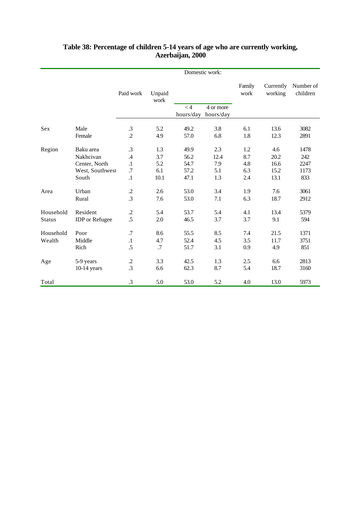|               |                       |                 |                |           | Domestic work: |                |                      |                       |
|---------------|-----------------------|-----------------|----------------|-----------|----------------|----------------|----------------------|-----------------------|
|               |                       | Paid work       | Unpaid<br>work |           |                | Family<br>work | Currently<br>working | Number of<br>children |
|               |                       |                 |                | < 4       | 4 or more      |                |                      |                       |
|               |                       |                 |                | hours/day | hours/day      |                |                      |                       |
| Sex           | Male                  | $\cdot$ 3       | 5.2            | 49.2      | 3.8            | 6.1            | 13.6                 | 3082                  |
|               | Female                | $\cdot$         | 4.9            | 57.0      | 6.8            | 1.8            | 12.3                 | 2891                  |
|               |                       |                 |                |           |                |                |                      |                       |
| Region        | Baku area             | .3              | 1.3            | 49.9      | 2.3            | 1.2            | 4.6                  | 1478                  |
|               | Nakhcivan             | $\mathcal{A}$   | 3.7            | 56.2      | 12.4           | 8.7            | 20.2                 | 242                   |
|               | Center, North         | $\cdot$         | 5.2            | 54.7      | 7.9            | 4.8            | 16.6                 | 2247                  |
|               | West, Southwest       | .7              | 6.1            | 57.2      | 5.1            | 6.3            | 15.2                 | 1173                  |
|               | South                 | $.1\,$          | 10.1           | 47.1      | 1.3            | 2.4            | 13.1                 | 833                   |
| Area          | Urban                 | $\cdot$         | 2.6            | 53.0      | 3.4            | 1.9            | 7.6                  | 3061                  |
|               | Rural                 | $\cdot$ 3       | 7.6            | 53.0      | 7.1            | 6.3            | 18.7                 | 2912                  |
| Household     | Resident              | $\cdot$         | 5.4            | 53.7      | 5.4            | 4.1            | 13.4                 | 5379                  |
| <b>Status</b> | <b>IDP</b> or Refugee | .5              | 2.0            | 46.5      | 3.7            | 3.7            | 9.1                  | 594                   |
| Household     | Poor                  | .7              | 8.6            | 55.5      | 8.5            | 7.4            | 21.5                 | 1371                  |
| Wealth        | Middle                | $\cdot$         | 4.7            | 52.4      | 4.5            | 3.5            | 11.7                 | 3751                  |
|               | Rich                  | .5              | .7             | 51.7      | 3.1            | 0.9            | 4.9                  | 851                   |
| Age           | 5-9 years             | $\cdot$         | 3.3            | 42.5      | 1.3            | 2.5            | 6.6                  | 2813                  |
|               | $10-14$ years         | $\overline{.}3$ | 6.6            | 62.3      | 8.7            | 5.4            | 18.7                 | 3160                  |
| Total         |                       | $\cdot$ 3       | 5.0            | 53.0      | 5.2            | 4.0            | 13.0                 | 5973                  |

## **Table 38: Percentage of children 5-14 years of age who are currently working, Azerbaijan, 2000**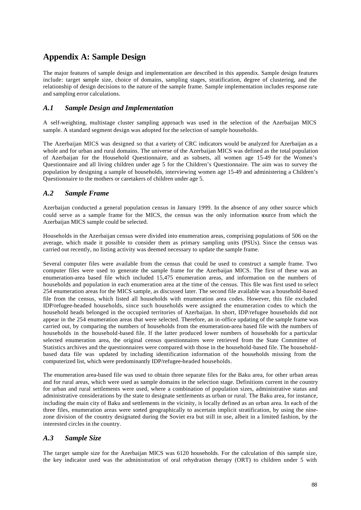# **Appendix A: Sample Design**

The major features of sample design and implementation are described in this appendix. Sample design features include: target sample size, choice of domains, sampling stages, stratification, degree of clustering, and the relationship of design decisions to the nature of the sample frame. Sample implementation includes response rate and sampling error calculations.

#### *A.1 Sample Design and Implementation*

A self-weighting, multistage cluster sampling approach was used in the selection of the Azerbaijan MICS sample. A standard segment design was adopted for the selection of sample households.

The Azerbaijan MICS was designed so that a variety of CRC indicators would be analyzed for Azerbaijan as a whole and for urban and rural domains. The universe of the Azerbaijan MICS was defined as the total population of Azerbaijan for the Household Questionnaire, and as subsets, all women age 15-49 for the Women's Questionnaire and all living children under age 5 for the Children's Questionnaire. The aim was to survey the population by designing a sample of households, interviewing women age 15-49 and administering a Children's Questionnaire to the mothers or caretakers of children under age 5.

#### *A.2 Sample Frame*

Azerbaijan conducted a general population census in January 1999. In the absence of any other source which could serve as a sample frame for the MICS, the census was the only information source from which the Azerbaijan MICS sample could be selected.

Households in the Azerbaijan census were divided into enumeration areas, comprising populations of 506 on the average, which made it possible to consider them as primary sampling units (PSUs). Since the census was carried out recently, no listing activity was deemed necessary to update the sample frame.

Several computer files were available from the census that could be used to construct a sample frame. Two computer files were used to generate the sample frame for the Azerbaijan MICS. The first of these was an enumeration-area based file which included 15,475 enumeration areas, and information on the numbers of households and population in each enumeration area at the time of the census. This file was first used to select 254 enumeration areas for the MICS sample, as discussed later. The second file available was a household-based file from the census, which listed all households with enumeration area codes. However, this file excluded IDP/refugee-headed households, since such households were assigned the enumeration codes to which the household heads belonged in the occupied territories of Azerbaijan. In short, IDP/refugee households did not appear in the 254 enumeration areas that were selected. Therefore, an in-office updating of the sample frame was carried out, by comparing the numbers of households from the enumeration-area based file with the numbers of households in the household-based file. If the latter produced lower numbers of households for a particular selected enumeration area, the original census questionnaires were retrieved from the State Committee of Statistics archives and the questionnaires were compared with those in the household-based file. The householdbased data file was updated by including identification information of the households missing from the computerized list, which were predominantly IDP/refugee-headed households.

The enumeration area-based file was used to obtain three separate files for the Baku area, for other urban areas and for rural areas, which were used as sample domains in the selection stage. Definitions current in the country for urban and rural settlements were used, where a combination of population sizes, administrative status and administrative considerations by the state to designate settlements as urban or rural. The Baku area, for instance, including the main city of Baku and settlements in the vicinity, is locally defined as an urban area. In each of the three files, enumeration areas were sorted geographically to ascertain implicit stratification, by using the ninezone division of the country designated during the Soviet era but still in use, albeit in a limited fashion, by the interested circles in the country.

#### *A.3 Sample Size*

The target sample size for the Azerbaijan MICS was 6120 households. For the calculation of this sample size, the key indicator used was the administration of oral rehydration therapy (ORT) to children under 5 with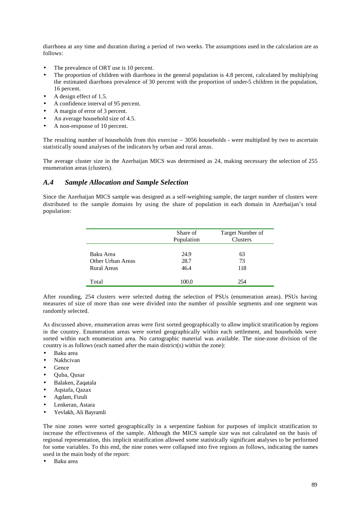diarrhoea at any time and duration during a period of two weeks. The assumptions used in the calculation are as follows:

- The prevalence of ORT use is 10 percent.
- The proportion of children with diarrhoea in the general population is 4.8 percent, calculated by multiplying the estimated diarrhoea prevalence of 30 percent with the proportion of under-5 children in the population, 16 percent.
- A design effect of 1.5.
- A confidence interval of 95 percent.
- A margin of error of 3 percent.
- An average household size of 4.5.
- A non-response of 10 percent.

The resulting number of households from this exercise – 3056 households - were multiplied by two to ascertain statistically sound analyses of the indicators by urban and rural areas.

The average cluster size in the Azerbaijan MICS was determined as 24, making necessary the selection of 255 enumeration areas (clusters).

#### *A.4 Sample Allocation and Sample Selection*

Since the Azerbaijan MICS sample was designed as a self-weighting sample, the target number of clusters were distributed to the sample domains by using the share of population in each domain in Azerbaijan's total population:

|                    | Share of<br>Population | Target Number of<br><b>Clusters</b> |
|--------------------|------------------------|-------------------------------------|
| Baku Area          | 24.9                   | 63                                  |
| Other Urban Areas  | 28.7                   | 73                                  |
| <b>Rural Areas</b> | 46.4                   | 118                                 |
| Total              | 100.0                  | 254                                 |

After rounding, 254 clusters were selected during the selection of PSUs (enumeration areas). PSUs having measures of size of more than one were divided into the number of possible segments and one segment was randomly selected.

As discussed above, enumeration areas were first sorted geographically to allow implicit stratification by regions in the country. Enumeration areas were sorted geographically within each settlement, and households were sorted within each enumeration area. No cartographic material was available. The nine-zone division of the country is as follows (each named after the main district(s) within the zone):

- Baku area
- Nakhcivan
- **Gence**
- Quba, Qusar
- Balaken, Zaqatala
- Aqstafa, Qazax
- Agdam, Fizuli
- Lenkeran, Astara
- Yevlakh, Ali Bayramli

The nine zones were sorted geographically in a serpentine fashion for purposes of implicit stratification to increase the effectiveness of the sample. Although the MICS sample size was not calculated on the basis of regional representation, this implicit stratification allowed some statistically significant analyses to be performed for some variables. To this end, the nine zones were collapsed into five regions as follows, indicating the names used in the main body of the report:

• Baku area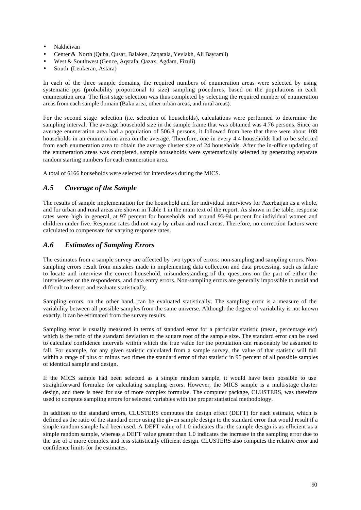- Nakhcivan
- Center & North (Quba, Qusar, Balaken, Zaqatala, Yevlakh, Ali Bayramli)
- West & Southwest (Gence, Aqstafa, Qazax, Agdam, Fizuli)
- South (Lenkeran, Astara)

In each of the three sample domains, the required numbers of enumeration areas were selected by using systematic pps (probability proportional to size) sampling procedures, based on the populations in each enumeration area. The first stage selection was thus completed by selecting the required number of enumeration areas from each sample domain (Baku area, other urban areas, and rural areas).

For the second stage selection (i.e. selection of households), calculations were performed to determine the sampling interval. The average household size in the sample frame that was obtained was 4.76 persons. Since an average enumeration area had a population of 506.8 persons, it followed from here that there were about 108 households in an enumeration area on the average. Therefore, one in every 4.4 households had to be selected from each enumeration area to obtain the average cluster size of 24 households. After the in-office updating of the enumeration areas was completed, sample households were systematically selected by generating separate random starting numbers for each enumeration area.

A total of 6166 households were selected for interviews during the MICS.

#### *A.5 Coverage of the Sample*

The results of sample implementation for the household and for individual interviews for Azerbaijan as a whole, and for urban and rural areas are shown in Table 1 in the main text of the report. As shown in the table, response rates were high in general, at 97 percent for households and around 93-94 percent for individual women and children under five. Response rates did not vary by urban and rural areas. Therefore, no correction factors were calculated to compensate for varying response rates.

#### *A.6 Estimates of Sampling Errors*

The estimates from a sample survey are affected by two types of errors: non-sampling and sampling errors. Nonsampling errors result from mistakes made in implementing data collection and data processing, such as failure to locate and interview the correct household, misunderstanding of the questions on the part of either the interviewers or the respondents, and data entry errors. Non-sampling errors are generally impossible to avoid and difficult to detect and evaluate statistically.

Sampling errors, on the other hand, can be evaluated statistically. The sampling error is a measure of the variability between all possible samples from the same universe. Although the degree of variability is not known exactly, it can be estimated from the survey results.

Sampling error is usually measured in terms of standard error for a particular statistic (mean, percentage etc) which is the ratio of the standard deviation to the square root of the sample size. The standard error can be used to calculate confidence intervals within which the true value for the population can reasonably be assumed to fall. For example, for any given statistic calculated from a sample survey, the value of that statistic will fall within a range of plus or minus two times the standard error of that statistic in 95 percent of all possible samples of identical sample and design.

If the MICS sample had been selected as a simple random sample, it would have been possible to use straightforward formulae for calculating sampling errors. However, the MICS sample is a multi-stage cluster design, and there is need for use of more complex formulae. The computer package, CLUSTERS, was therefore used to compute sampling errors for selected variables with the proper statistical methodology.

In addition to the standard errors, CLUSTERS computes the design effect (DEFT) for each estimate, which is defined as the ratio of the standard error using the given sample design to the standard error that would result if a simple random sample had been used. A DEFT value of 1.0 indicates that the sample design is as efficient as a simple random sample, whereas a DEFT value greater than 1.0 indicates the increase in the sampling error due to the use of a more complex and less statistically efficient design. CLUSTERS also computes the relative error and confidence limits for the estimates.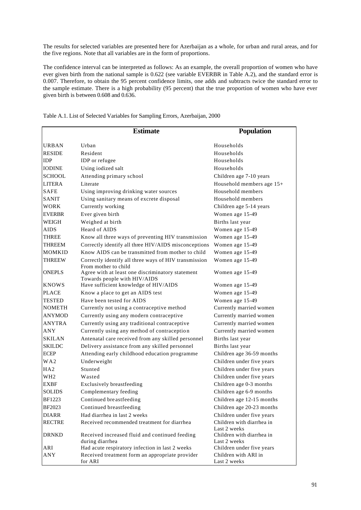The results for selected variables are presented here for Azerbaijan as a whole, for urban and rural areas, and for the five regions. Note that all variables are in the form of proportions.

The confidence interval can be interpreted as follows: As an example, the overall proportion of women who have ever given birth from the national sample is 0.622 (see variable EVERBR in Table A.2), and the standard error is 0.007. Therefore, to obtain the 95 percent confidence limits, one adds and subtracts twice the standard error to the sample estimate. There is a high probability (95 percent) that the true proportion of women who have ever given birth is between 0.608 and 0.636.

|                 | <b>Estimate</b>                                                                                          | <b>Population</b>                         |
|-----------------|----------------------------------------------------------------------------------------------------------|-------------------------------------------|
| <b>URBAN</b>    | Urban                                                                                                    | Households                                |
| <b>RESIDE</b>   | Resident                                                                                                 | Households                                |
| <b>IDP</b>      | IDP or refugee                                                                                           | Households                                |
| <b>IODINE</b>   | Using iodized salt                                                                                       | Households                                |
| <b>SCHOOL</b>   | Attending primary school                                                                                 | Children age 7-10 years                   |
| <b>LITERA</b>   | Literate                                                                                                 | Household members age 15+                 |
| <b>SAFE</b>     | Using improving drinking water sources                                                                   | Household members                         |
| <b>SANIT</b>    | Using sanitary means of excrete disposal                                                                 | Household members                         |
| <b>WORK</b>     | Currently working                                                                                        | Children age 5-14 years                   |
| <b>EVERBR</b>   | Ever given birth                                                                                         | Women age 15-49                           |
| WEIGH           | Weighed at birth                                                                                         | Births last year                          |
| <b>AIDS</b>     | Heard of AIDS                                                                                            | Women age 15-49                           |
| <b>THREE</b>    | Know all three ways of preventing HIV transmission                                                       | Women age 15-49                           |
| <b>THREEM</b>   | Correctly identify all three HIV/AIDS misconceptions                                                     | Women age 15-49                           |
| <b>MOMKID</b>   | Know AIDS can be transmitted from mother to child                                                        | Women age 15-49                           |
| <b>THREEW</b>   | Correctly identify all three ways of HIV transmission                                                    | Women age 15-49                           |
| <b>ONEPLS</b>   | From mother to child<br>Agree with at least one discriminatory statement<br>Towards people with HIV/AIDS | Women age 15-49                           |
| <b>KNOWS</b>    | Have sufficient knowledge of HIV/AIDS                                                                    | Women age 15-49                           |
| <b>PLACE</b>    | Know a place to get an AIDS test                                                                         | Women age 15-49                           |
| <b>TESTED</b>   | Have been tested for AIDS                                                                                | Women age 15-49                           |
| <b>NOMETH</b>   | Currently not using a contraceptive method                                                               | Currently married women                   |
| <b>ANYMOD</b>   | Currently using any modern contraceptive                                                                 | Currently married women                   |
| <b>ANYTRA</b>   | Currently using any traditional contraceptive                                                            | Currently married women                   |
| <b>ANY</b>      | Currently using any method of contraception                                                              | Currently married women                   |
| <b>SKILAN</b>   | Antenatal care received from any skilled personnel                                                       | Births last year                          |
| <b>SKILDC</b>   | Delivery assistance from any skilled personnel                                                           | Births last year                          |
| <b>ECEP</b>     | Attending early childhood education programme                                                            | Children age 36-59 months                 |
| WA2             | Underweight                                                                                              | Children under five years                 |
| HA2             | Stunted                                                                                                  | Children under five years                 |
| WH <sub>2</sub> | Wasted                                                                                                   | Children under five years                 |
| <b>EXBF</b>     | Exclusively breastfeeding                                                                                | Children age 0-3 months                   |
| <b>SOLIDS</b>   | Complementary feeding                                                                                    | Children age 6-9 months                   |
| <b>BF1223</b>   | Continued breastfeeding                                                                                  | Children age 12-15 months                 |
| BF2023          | Continued breastfeeding                                                                                  | Children age 20-23 months                 |
| <b>DIARR</b>    | Had diarrhea in last 2 weeks                                                                             | Children under five years                 |
| <b>RECTRE</b>   | Received recommended treatment for diarrhea                                                              | Children with diarrhea in<br>Last 2 weeks |
| <b>DRNKD</b>    | Received increased fluid and continued feeding<br>during diarrhea                                        | Children with diarrhea in<br>Last 2 weeks |
| ARI             | Had acute respiratory infection in last 2 weeks                                                          | Children under five years                 |
| ANY             | Received treatment form an appropriate provider<br>for ARI                                               | Children with ARI in<br>Last 2 weeks      |

Table A.1. List of Selected Variables for Sampling Errors, Azerbaijan, 2000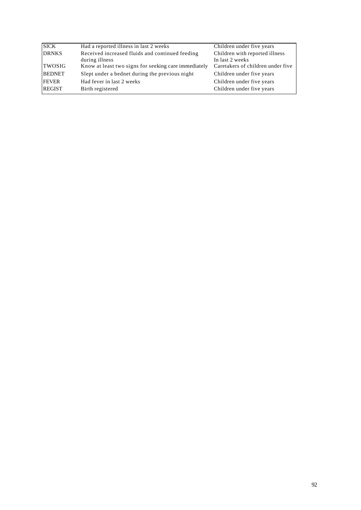| <b>SICK</b>   | Had a reported illness in last 2 weeks               | Children under five years         |
|---------------|------------------------------------------------------|-----------------------------------|
| <b>DRNKS</b>  | Received increased fluids and continued feeding      | Children with reported illness    |
|               | during illness                                       | In last 2 weeks                   |
| TWOSIG        | Know at least two signs for seeking care immediately | Caretakers of children under five |
| <b>BEDNET</b> | Slept under a bednet during the previous night       | Children under five years         |
| <b>FEVER</b>  | Had fever in last 2 weeks                            | Children under five years         |
| <b>REGIST</b> | Birth registered                                     | Children under five years         |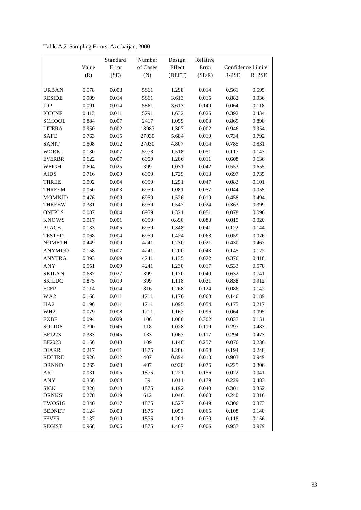Table A.2. Sampling Errors, Azerbaijan, 2000

|                 |       | Standard | Number   | Design | Relative |         |                   |
|-----------------|-------|----------|----------|--------|----------|---------|-------------------|
|                 | Value | Error    | of Cases | Effect | Error    |         | Confidence Limits |
|                 | (R)   | (SE)     | (N)      | (DEFT) | (SE/R)   | $R-2SE$ | $R+2SE$           |
|                 |       |          |          |        |          |         |                   |
| <b>URBAN</b>    | 0.578 | 0.008    | 5861     | 1.298  | 0.014    | 0.561   | 0.595             |
| <b>RESIDE</b>   | 0.909 | 0.014    | 5861     | 3.613  | 0.015    | 0.882   | 0.936             |
| <b>IDP</b>      | 0.091 | 0.014    | 5861     | 3.613  | 0.149    | 0.064   | 0.118             |
| <b>IODINE</b>   | 0.413 | 0.011    | 5791     | 1.632  | 0.026    | 0.392   | 0.434             |
| <b>SCHOOL</b>   | 0.884 | 0.007    | 2417     | 1.099  | 0.008    | 0.869   | 0.898             |
| <b>LITERA</b>   | 0.950 | 0.002    | 18987    | 1.307  | 0.002    | 0.946   | 0.954             |
| <b>SAFE</b>     | 0.763 | 0.015    | 27030    | 5.684  | 0.019    | 0.734   | 0.792             |
| <b>SANIT</b>    | 0.808 | 0.012    | 27030    | 4.807  | 0.014    | 0.785   | 0.831             |
| WORK            | 0.130 | 0.007    | 5973     | 1.518  | 0.051    | 0.117   | 0.143             |
| <b>EVERBR</b>   | 0.622 | 0.007    | 6959     | 1.206  | 0.011    | 0.608   | 0.636             |
| WEIGH           | 0.604 | 0.025    | 399      | 1.031  | 0.042    | 0.553   | 0.655             |
| <b>AIDS</b>     | 0.716 | 0.009    | 6959     | 1.729  | 0.013    | 0.697   | 0.735             |
| THREE           | 0.092 | 0.004    | 6959     | 1.251  | 0.047    | 0.083   | 0.101             |
| THREEM          | 0.050 | 0.003    | 6959     | 1.081  | 0.057    | 0.044   | 0.055             |
| <b>MOMKID</b>   | 0.476 | 0.009    | 6959     | 1.526  | 0.019    | 0.458   | 0.494             |
| <b>THREEW</b>   | 0.381 | 0.009    | 6959     | 1.547  | 0.024    | 0.363   | 0.399             |
| <b>ONEPLS</b>   | 0.087 | 0.004    | 6959     | 1.321  | 0.051    | 0.078   | 0.096             |
| <b>KNOWS</b>    | 0.017 | 0.001    | 6959     | 0.890  | 0.080    | 0.015   | 0.020             |
| <b>PLACE</b>    | 0.133 | 0.005    | 6959     | 1.348  | 0.041    | 0.122   | 0.144             |
| <b>TESTED</b>   | 0.068 | 0.004    | 6959     | 1.424  | 0.063    | 0.059   | 0.076             |
| <b>NOMETH</b>   | 0.449 | 0.009    | 4241     | 1.230  | 0.021    | 0.430   | 0.467             |
| <b>ANYMOD</b>   | 0.158 | 0.007    | 4241     | 1.200  | 0.043    | 0.145   | 0.172             |
| <b>ANYTRA</b>   | 0.393 | 0.009    | 4241     | 1.135  | 0.022    | 0.376   | 0.410             |
| ANY             | 0.551 | 0.009    | 4241     | 1.230  | 0.017    | 0.533   | 0.570             |
| <b>SKILAN</b>   | 0.687 | 0.027    | 399      | 1.170  | 0.040    | 0.632   | 0.741             |
| <b>SKILDC</b>   | 0.875 | 0.019    | 399      | 1.118  | 0.021    | 0.838   | 0.912             |
| <b>ECEP</b>     | 0.114 | 0.014    | 816      | 1.268  | 0.124    | 0.086   | 0.142             |
| WA2             | 0.168 | 0.011    | 1711     | 1.176  | 0.063    | 0.146   | 0.189             |
| HA <sub>2</sub> | 0.196 | 0.011    | 1711     | 1.095  | 0.054    | 0.175   | 0.217             |
| WH <sub>2</sub> | 0.079 | 0.008    | 1711     | 1.163  | 0.096    | 0.064   | 0.095             |
| <b>EXBF</b>     | 0.094 | 0.029    | 106      | 1.000  | 0.302    | 0.037   | 0.151             |
| <b>SOLIDS</b>   | 0.390 | 0.046    | 118      | 1.028  | 0.119    | 0.297   | 0.483             |
| <b>BF1223</b>   | 0.383 | 0.045    | 133      | 1.063  | 0.117    | 0.294   | 0.473             |
| BF2023          | 0.156 | 0.040    | 109      | 1.148  | 0.257    | 0.076   | 0.236             |
| <b>DIARR</b>    | 0.217 | 0.011    | 1875     | 1.206  | 0.053    | 0.194   | 0.240             |
| <b>RECTRE</b>   | 0.926 | 0.012    | 407      | 0.894  | 0.013    | 0.903   | 0.949             |
| <b>DRNKD</b>    | 0.265 | 0.020    | 407      | 0.920  | 0.076    | 0.225   | 0.306             |
| ARI             | 0.031 | 0.005    | 1875     | 1.221  | 0.156    | 0.022   | 0.041             |
| <b>ANY</b>      | 0.356 | 0.064    | 59       | 1.011  | 0.179    | 0.229   | 0.483             |
| <b>SICK</b>     | 0.326 | 0.013    | 1875     | 1.192  | 0.040    | 0.301   | 0.352             |
| <b>DRNKS</b>    | 0.278 | 0.019    | 612      | 1.046  | 0.068    | 0.240   | 0.316             |
| TWOSIG          | 0.340 | 0.017    | 1875     | 1.527  | 0.049    | 0.306   | 0.373             |
| <b>BEDNET</b>   | 0.124 | 0.008    | 1875     | 1.053  | 0.065    | 0.108   | 0.140             |
| <b>FEVER</b>    | 0.137 | 0.010    | 1875     | 1.201  | 0.070    | 0.118   | 0.156             |
| <b>REGIST</b>   | 0.968 | 0.006    | 1875     | 1.407  | 0.006    | 0.957   | 0.979             |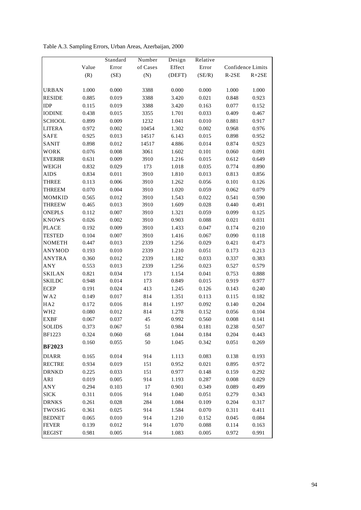Table A.3. Sampling Errors, Urban Areas, Azerbaijan, 2000

|                 |       | Standard | Number   | Design | Relative  |                |                   |
|-----------------|-------|----------|----------|--------|-----------|----------------|-------------------|
|                 | Value | Error    | of Cases | Effect | Error     |                | Confidence Limits |
|                 | (R)   | (SE)     | (N)      | (DEFT) | (SE/R)    | $R-2SE$        | $R+2SE$           |
|                 |       |          |          |        |           |                |                   |
| URBAN           | 1.000 | 0.000    | 3388     | 0.000  | $0.000\,$ | 1.000          | $1.000\,$         |
| <b>RESIDE</b>   | 0.885 | 0.019    | 3388     | 3.420  | 0.021     | 0.848          | 0.923             |
| <b>IDP</b>      | 0.115 | 0.019    | 3388     | 3.420  | 0.163     | 0.077          | 0.152             |
| <b>IODINE</b>   | 0.438 | 0.015    | 3355     | 1.701  | 0.033     | 0.409          | 0.467             |
| <b>SCHOOL</b>   | 0.899 | 0.009    | 1232     | 1.041  | 0.010     | 0.881          | 0.917             |
| <b>LITERA</b>   | 0.972 | 0.002    | 10454    | 1.302  | 0.002     | 0.968          | 0.976             |
| <b>SAFE</b>     | 0.925 | 0.013    | 14517    | 6.143  | 0.015     | 0.898          | 0.952             |
| SANIT           | 0.898 | 0.012    | 14517    | 4.886  | 0.014     | 0.874          | 0.923             |
| WORK            | 0.076 | 0.008    | 3061     | 1.602  | 0.101     | 0.060          | 0.091             |
| <b>EVERBR</b>   | 0.631 | 0.009    | 3910     | 1.216  | 0.015     | 0.612          | 0.649             |
| WEIGH           | 0.832 | 0.029    | 173      | 1.018  | 0.035     | 0.774          | 0.890             |
| <b>AIDS</b>     | 0.834 | 0.011    | 3910     | 1.810  | 0.013     | 0.813          | 0.856             |
| <b>THREE</b>    | 0.113 | 0.006    | 3910     | 1.262  | 0.056     | 0.101          | 0.126             |
| THREEM          | 0.070 | 0.004    | 3910     | 1.020  | 0.059     | 0.062          | 0.079             |
| MOMKID          | 0.565 | 0.012    | 3910     | 1.543  | 0.022     | 0.541          | 0.590             |
| <b>THREEW</b>   | 0.465 | 0.013    | 3910     | 1.609  | 0.028     | 0.440          | 0.491             |
| <b>ONEPLS</b>   | 0.112 | 0.007    | 3910     | 1.321  | 0.059     | 0.099          | 0.125             |
| <b>KNOWS</b>    | 0.026 | 0.002    | 3910     | 0.903  | 0.088     | 0.021          | 0.031             |
| <b>PLACE</b>    | 0.192 | 0.009    | 3910     | 1.433  | 0.047     | 0.174          | 0.210             |
| <b>TESTED</b>   | 0.104 | 0.007    | 3910     | 1.416  | 0.067     | 0.090          | 0.118             |
| <b>NOMETH</b>   | 0.447 | 0.013    | 2339     | 1.256  | 0.029     | 0.421          | 0.473             |
| <b>ANYMOD</b>   | 0.193 | 0.010    | 2339     | 1.210  | 0.051     | 0.173          | 0.213             |
| <b>ANYTRA</b>   | 0.360 | 0.012    | 2339     | 1.182  | 0.033     | 0.337          | 0.383             |
| ANY             | 0.553 | 0.013    | 2339     | 1.256  | 0.023     | 0.527          | 0.579             |
| <b>SKILAN</b>   | 0.821 | 0.034    | 173      | 1.154  | 0.041     | 0.753          | 0.888             |
| <b>SKILDC</b>   | 0.948 | 0.014    | 173      | 0.849  | 0.015     | 0.919          | 0.977             |
| <b>ECEP</b>     | 0.191 | 0.024    | 413      | 1.245  | 0.126     | 0.143          | 0.240             |
| WA2             | 0.149 | 0.017    | 814      | 1.351  | 0.113     | 0.115          | 0.182             |
| HA <sub>2</sub> | 0.172 | 0.016    | 814      | 1.197  | 0.092     | 0.140          | 0.204             |
| WH <sub>2</sub> | 0.080 | 0.012    | 814      | 1.278  | 0.152     | 0.056          | 0.104             |
| <b>EXBF</b>     | 0.067 | 0.037    | 45       | 0.992  | 0.560     | 0.008          | 0.141             |
| <b>SOLIDS</b>   | 0.373 | 0.067    | 51       | 0.984  | 0.181     | 0.238          | 0.507             |
| BF1223          | 0.324 | 0.060    | 68       | 1.044  | 0.184     | 0.204          | 0.443             |
| <b>BF2023</b>   | 0.160 | 0.055    | 50       | 1.045  | 0.342     | 0.051          | 0.269             |
|                 |       |          |          |        |           |                |                   |
| <b>DIARR</b>    | 0.165 | 0.014    | 914      | 1.113  | 0.083     | 0.138          | 0.193             |
| <b>RECTRE</b>   | 0.934 | 0.019    | 151      | 0.952  | 0.021     | 0.895          | 0.972             |
| <b>DRNKD</b>    | 0.225 | 0.033    | 151      | 0.977  | 0.148     | 0.159          | 0.292             |
| ARI             | 0.019 | 0.005    | 914      | 1.193  | 0.287     | 0.008<br>0.089 | 0.029             |
| ANY             | 0.294 | 0.103    | 17       | 0.901  | 0.349     |                | 0.499             |
| <b>SICK</b>     | 0.311 | 0.016    | 914      | 1.040  | 0.051     | 0.279          | 0.343             |
| <b>DRNKS</b>    | 0.261 | 0.028    | 284      | 1.084  | 0.109     | 0.204          | 0.317             |
| TWOSIG          | 0.361 | 0.025    | 914      | 1.584  | 0.070     | 0.311          | 0.411             |
| <b>BEDNET</b>   | 0.065 | 0.010    | 914      | 1.210  | 0.152     | 0.045          | 0.084             |
| <b>FEVER</b>    | 0.139 | 0.012    | 914      | 1.070  | 0.088     | 0.114          | 0.163             |
| <b>REGIST</b>   | 0.981 | 0.005    | 914      | 1.083  | 0.005     | 0.972          | 0.991             |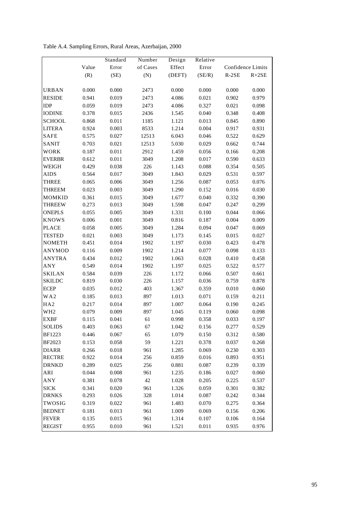Table A.4. Sampling Errors, Rural Areas, Azerbaijan, 2000

|                 |       | Standard | Number   | Design | Relative  |           |                   |
|-----------------|-------|----------|----------|--------|-----------|-----------|-------------------|
|                 | Value | Error    | of Cases | Effect | Error     |           | Confidence Limits |
|                 | (R)   | (SE)     | (N)      | (DEFT) | (SE/R)    | $R-2SE$   | $R+2SE$           |
|                 |       |          |          |        |           |           |                   |
| URBAN           | 0.000 | 0.000    | 2473     | 0.000  | $0.000\,$ | $0.000\,$ | $0.000\,$         |
| <b>RESIDE</b>   | 0.941 | 0.019    | 2473     | 4.086  | 0.021     | 0.902     | 0.979             |
| <b>IDP</b>      | 0.059 | 0.019    | 2473     | 4.086  | 0.327     | 0.021     | 0.098             |
| <b>IODINE</b>   | 0.378 | 0.015    | 2436     | 1.545  | 0.040     | 0.348     | 0.408             |
| <b>SCHOOL</b>   | 0.868 | 0.011    | 1185     | 1.121  | 0.013     | 0.845     | 0.890             |
| <b>LITERA</b>   | 0.924 | 0.003    | 8533     | 1.214  | 0.004     | 0.917     | 0.931             |
| SAFE            | 0.575 | 0.027    | 12513    | 6.043  | 0.046     | 0.522     | 0.629             |
| SANIT           | 0.703 | 0.021    | 12513    | 5.030  | 0.029     | 0.662     | 0.744             |
| WORK            | 0.187 | 0.011    | 2912     | 1.459  | 0.056     | 0.166     | 0.208             |
| <b>EVERBR</b>   | 0.612 | 0.011    | 3049     | 1.208  | 0.017     | 0.590     | 0.633             |
| WEIGH           | 0.429 | 0.038    | 226      | 1.143  | 0.088     | 0.354     | 0.505             |
| <b>AIDS</b>     | 0.564 | 0.017    | 3049     | 1.843  | 0.029     | 0.531     | 0.597             |
| THREE           | 0.065 | 0.006    | 3049     | 1.256  | 0.087     | 0.053     | 0.076             |
| <b>THREEM</b>   | 0.023 | 0.003    | 3049     | 1.290  | 0.152     | 0.016     | 0.030             |
| MOMKID          | 0.361 | 0.015    | 3049     | 1.677  | 0.040     | 0.332     | 0.390             |
| <b>THREEW</b>   | 0.273 | 0.013    | 3049     | 1.598  | 0.047     | 0.247     | 0.299             |
| <b>ONEPLS</b>   | 0.055 | 0.005    | 3049     | 1.331  | $0.100\,$ | 0.044     | 0.066             |
| <b>KNOWS</b>    | 0.006 | 0.001    | 3049     | 0.816  | 0.187     | 0.004     | 0.009             |
| <b>PLACE</b>    | 0.058 | 0.005    | 3049     | 1.284  | 0.094     | 0.047     | 0.069             |
| <b>TESTED</b>   | 0.021 | 0.003    | 3049     | 1.173  | 0.145     | 0.015     | 0.027             |
| <b>NOMETH</b>   | 0.451 | 0.014    | 1902     | 1.197  | 0.030     | 0.423     | 0.478             |
| <b>ANYMOD</b>   | 0.116 | 0.009    | 1902     | 1.214  | 0.077     | 0.098     | 0.133             |
| <b>ANYTRA</b>   | 0.434 | 0.012    | 1902     | 1.063  | 0.028     | 0.410     | 0.458             |
| ANY             | 0.549 | 0.014    | 1902     | 1.197  | 0.025     | 0.522     | 0.577             |
| <b>SKILAN</b>   | 0.584 | 0.039    | 226      | 1.172  | 0.066     | 0.507     | 0.661             |
| <b>SKILDC</b>   | 0.819 | 0.030    | 226      | 1.157  | 0.036     | 0.759     | 0.878             |
| <b>ECEP</b>     | 0.035 | 0.012    | 403      | 1.367  | 0.359     | 0.010     | 0.060             |
| WA2             | 0.185 | 0.013    | 897      | 1.013  | 0.071     | 0.159     | 0.211             |
| HA <sub>2</sub> | 0.217 | 0.014    | 897      | 1.007  | 0.064     | 0.190     | 0.245             |
| WH <sub>2</sub> | 0.079 | 0.009    | 897      | 1.045  | 0.119     | 0.060     | 0.098             |
| <b>EXBF</b>     | 0.115 | 0.041    | 61       | 0.998  | 0.358     | 0.033     | 0.197             |
| <b>SOLIDS</b>   | 0.403 | 0.063    | 67       | 1.042  | 0.156     | 0.277     | 0.529             |
| <b>BF1223</b>   | 0.446 | 0.067    | 65       | 1.079  | 0.150     | 0.312     | 0.580             |
| BF2023          | 0.153 | 0.058    | 59       | 1.221  | 0.378     | 0.037     | 0.268             |
| <b>DIARR</b>    | 0.266 | 0.018    | 961      | 1.285  | 0.069     | 0.230     | 0.303             |
| <b>RECTRE</b>   | 0.922 | 0.014    | 256      | 0.859  | 0.016     | 0.893     | 0.951             |
| <b>DRNKD</b>    | 0.289 | 0.025    | 256      | 0.881  | 0.087     | 0.239     | 0.339             |
| ARI             | 0.044 | 0.008    | 961      | 1.235  | 0.186     | 0.027     | 0.060             |
| <b>ANY</b>      | 0.381 | 0.078    | 42       | 1.028  | 0.205     | 0.225     | 0.537             |
| <b>SICK</b>     | 0.341 | 0.020    | 961      | 1.326  | 0.059     | 0.301     | 0.382             |
| <b>DRNKS</b>    | 0.293 | 0.026    | 328      | 1.014  | 0.087     | 0.242     | 0.344             |
| TWOSIG          | 0.319 | 0.022    | 961      | 1.483  | 0.070     | 0.275     | 0.364             |
| <b>BEDNET</b>   | 0.181 | 0.013    | 961      | 1.009  | 0.069     | 0.156     | 0.206             |
| <b>FEVER</b>    | 0.135 | 0.015    | 961      | 1.314  | 0.107     | 0.106     | 0.164             |
| <b>REGIST</b>   | 0.955 | 0.010    | 961      | 1.521  | 0.011     | 0.935     | 0.976             |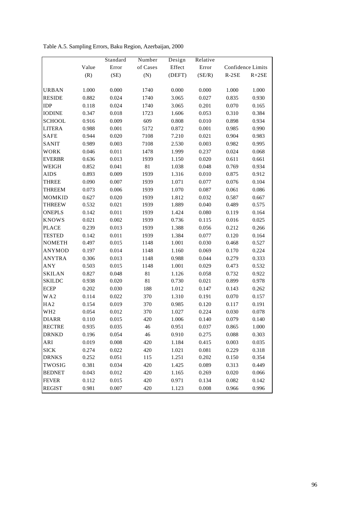Table A.5. Sampling Errors, Baku Region, Azerbaijan, 2000

|                 |       | Standard | Number   | Design | Relative |         |                   |
|-----------------|-------|----------|----------|--------|----------|---------|-------------------|
|                 | Value | Error    | of Cases | Effect | Error    |         | Confidence Limits |
|                 | (R)   | (SE)     | (N)      | (DEFT) | (SE/R)   | $R-2SE$ | $R+2SE$           |
|                 |       |          |          |        |          |         |                   |
| <b>URBAN</b>    | 1.000 | 0.000    | 1740     | 0.000  | 0.000    | 1.000   | 1.000             |
| <b>RESIDE</b>   | 0.882 | 0.024    | 1740     | 3.065  | 0.027    | 0.835   | 0.930             |
| IDP             | 0.118 | 0.024    | 1740     | 3.065  | 0.201    | 0.070   | 0.165             |
| <b>IODINE</b>   | 0.347 | 0.018    | 1723     | 1.606  | 0.053    | 0.310   | 0.384             |
| <b>SCHOOL</b>   | 0.916 | 0.009    | 609      | 0.808  | 0.010    | 0.898   | 0.934             |
| <b>LITERA</b>   | 0.988 | 0.001    | 5172     | 0.872  | 0.001    | 0.985   | 0.990             |
| <b>SAFE</b>     | 0.944 | 0.020    | 7108     | 7.210  | 0.021    | 0.904   | 0.983             |
| SANIT           | 0.989 | 0.003    | 7108     | 2.530  | 0.003    | 0.982   | 0.995             |
| WORK            | 0.046 | 0.011    | 1478     | 1.999  | 0.237    | 0.024   | 0.068             |
| <b>EVERBR</b>   | 0.636 | 0.013    | 1939     | 1.150  | 0.020    | 0.611   | 0.661             |
| WEIGH           | 0.852 | 0.041    | 81       | 1.038  | 0.048    | 0.769   | 0.934             |
| <b>AIDS</b>     | 0.893 | 0.009    | 1939     | 1.316  | 0.010    | 0.875   | 0.912             |
| THREE           | 0.090 | 0.007    | 1939     | 1.071  | 0.077    | 0.076   | 0.104             |
| <b>THREEM</b>   | 0.073 | 0.006    | 1939     | 1.070  | 0.087    | 0.061   | 0.086             |
| <b>MOMKID</b>   | 0.627 | 0.020    | 1939     | 1.812  | 0.032    | 0.587   | 0.667             |
| <b>THREEW</b>   | 0.532 | 0.021    | 1939     | 1.889  | 0.040    | 0.489   | 0.575             |
| <b>ONEPLS</b>   | 0.142 | 0.011    | 1939     | 1.424  | 0.080    | 0.119   | 0.164             |
| <b>KNOWS</b>    | 0.021 | 0.002    | 1939     | 0.736  | 0.115    | 0.016   | 0.025             |
| <b>PLACE</b>    | 0.239 | 0.013    | 1939     | 1.388  | 0.056    | 0.212   | 0.266             |
| <b>TESTED</b>   | 0.142 | 0.011    | 1939     | 1.384  | 0.077    | 0.120   | 0.164             |
| <b>NOMETH</b>   | 0.497 | 0.015    | 1148     | 1.001  | 0.030    | 0.468   | 0.527             |
| <b>ANYMOD</b>   | 0.197 | 0.014    | 1148     | 1.160  | 0.069    | 0.170   | 0.224             |
| <b>ANYTRA</b>   | 0.306 | 0.013    | 1148     | 0.988  | 0.044    | 0.279   | 0.333             |
| ANY             | 0.503 | 0.015    | 1148     | 1.001  | 0.029    | 0.473   | 0.532             |
| <b>SKILAN</b>   | 0.827 | 0.048    | 81       | 1.126  | 0.058    | 0.732   | 0.922             |
| <b>SKILDC</b>   | 0.938 | 0.020    | 81       | 0.730  | 0.021    | 0.899   | 0.978             |
| <b>ECEP</b>     | 0.202 | 0.030    | 188      | 1.012  | 0.147    | 0.143   | 0.262             |
| WA2             | 0.114 | 0.022    | 370      | 1.310  | 0.191    | 0.070   | 0.157             |
| HA <sub>2</sub> | 0.154 | 0.019    | 370      | 0.985  | 0.120    | 0.117   | 0.191             |
| WH <sub>2</sub> | 0.054 | 0.012    | 370      | 1.027  | 0.224    | 0.030   | 0.078             |
| <b>DIARR</b>    | 0.110 | 0.015    | 420      | 1.006  | 0.140    | 0.079   | 0.140             |
| <b>RECTRE</b>   | 0.935 | 0.035    | 46       | 0.951  | 0.037    | 0.865   | 1.000             |
| <b>DRNKD</b>    | 0.196 | 0.054    | 46       | 0.910  | 0.275    | 0.088   | 0.303             |
| ARI             | 0.019 | 0.008    | 420      | 1.184  | 0.415    | 0.003   | 0.035             |
| <b>SICK</b>     | 0.274 | 0.022    | 420      | 1.021  | 0.081    | 0.229   | 0.318             |
| <b>DRNKS</b>    | 0.252 | 0.051    | 115      | 1.251  | 0.202    | 0.150   | 0.354             |
| TWOSIG          | 0.381 | 0.034    | 420      | 1.425  | 0.089    | 0.313   | 0.449             |
| <b>BEDNET</b>   | 0.043 | 0.012    | 420      | 1.165  | 0.269    | 0.020   | 0.066             |
| <b>FEVER</b>    | 0.112 | 0.015    | 420      | 0.971  | 0.134    | 0.082   | 0.142             |
| <b>REGIST</b>   | 0.981 | 0.007    | 420      | 1.123  | 0.008    | 0.966   | 0.996             |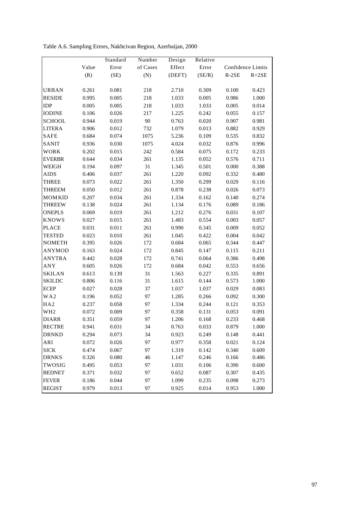Table A.6. Sampling Errors, Nakhcivan Region, Azerbaijan, 2000

|                 |       | Standard | Number   | Design | Relative |         |                   |
|-----------------|-------|----------|----------|--------|----------|---------|-------------------|
|                 | Value | Error    | of Cases | Effect | Error    |         | Confidence Limits |
|                 | (R)   | (SE)     | (N)      | (DEFT) | (SE/R)   | $R-2SE$ | $R+2SE$           |
|                 |       |          |          |        |          |         |                   |
| <b>URBAN</b>    | 0.261 | 0.081    | 218      | 2.710  | 0.309    | 0.100   | 0.423             |
| <b>RESIDE</b>   | 0.995 | 0.005    | 218      | 1.033  | 0.005    | 0.986   | 1.000             |
| <b>IDP</b>      | 0.005 | 0.005    | 218      | 1.033  | 1.033    | 0.005   | 0.014             |
| <b>IODINE</b>   | 0.106 | 0.026    | 217      | 1.225  | 0.242    | 0.055   | 0.157             |
| <b>SCHOOL</b>   | 0.944 | 0.019    | 90       | 0.763  | 0.020    | 0.907   | 0.981             |
| <b>LITERA</b>   | 0.906 | 0.012    | 732      | 1.079  | 0.013    | 0.882   | 0.929             |
| <b>SAFE</b>     | 0.684 | 0.074    | 1075     | 5.236  | 0.109    | 0.535   | 0.832             |
| <b>SANIT</b>    | 0.936 | 0.030    | 1075     | 4.024  | 0.032    | 0.876   | 0.996             |
| <b>WORK</b>     | 0.202 | 0.015    | 242      | 0.584  | 0.075    | 0.172   | 0.233             |
| <b>EVERBR</b>   | 0.644 | 0.034    | 261      | 1.135  | 0.052    | 0.576   | 0.711             |
| WEIGH           | 0.194 | 0.097    | 31       | 1.345  | 0.501    | 0.000   | 0.388             |
| <b>AIDS</b>     | 0.406 | 0.037    | 261      | 1.220  | 0.092    | 0.332   | 0.480             |
| THREE           | 0.073 | 0.022    | 261      | 1.350  | 0.299    | 0.029   | 0.116             |
| <b>THREEM</b>   | 0.050 | 0.012    | 261      | 0.878  | 0.238    | 0.026   | 0.073             |
| <b>MOMKID</b>   | 0.207 | 0.034    | 261      | 1.334  | 0.162    | 0.140   | 0.274             |
| <b>THREEW</b>   | 0.138 | 0.024    | 261      | 1.134  | 0.176    | 0.089   | 0.186             |
| <b>ONEPLS</b>   | 0.069 | 0.019    | 261      | 1.212  | 0.276    | 0.031   | 0.107             |
| <b>KNOWS</b>    | 0.027 | 0.015    | 261      | 1.483  | 0.554    | 0.003   | 0.057             |
| <b>PLACE</b>    | 0.031 | 0.011    | 261      | 0.990  | 0.345    | 0.009   | 0.052             |
| <b>TESTED</b>   | 0.023 | 0.010    | 261      | 1.045  | 0.422    | 0.004   | 0.042             |
| <b>NOMETH</b>   | 0.395 | 0.026    | 172      | 0.684  | 0.065    | 0.344   | 0.447             |
| <b>ANYMOD</b>   | 0.163 | 0.024    | 172      | 0.845  | 0.147    | 0.115   | 0.211             |
| <b>ANYTRA</b>   | 0.442 | 0.028    | 172      | 0.741  | 0.064    | 0.386   | 0.498             |
| ANY             | 0.605 | 0.026    | 172      | 0.684  | 0.042    | 0.553   | 0.656             |
| <b>SKILAN</b>   | 0.613 | 0.139    | 31       | 1.563  | 0.227    | 0.335   | 0.891             |
| <b>SKILDC</b>   | 0.806 | 0.116    | 31       | 1.615  | 0.144    | 0.573   | 1.000             |
| <b>ECEP</b>     | 0.027 | 0.028    | 37       | 1.037  | 1.037    | 0.029   | 0.083             |
| WA2             | 0.196 | 0.052    | 97       | 1.285  | 0.266    | 0.092   | 0.300             |
| HA <sub>2</sub> | 0.237 | 0.058    | 97       | 1.334  | 0.244    | 0.121   | 0.353             |
| WH <sub>2</sub> | 0.072 | 0.009    | 97       | 0.358  | 0.131    | 0.053   | 0.091             |
| <b>DIARR</b>    | 0.351 | 0.059    | 97       | 1.206  | 0.168    | 0.233   | 0.468             |
| <b>RECTRE</b>   | 0.941 | 0.031    | 34       | 0.763  | 0.033    | 0.879   | 1.000             |
| <b>DRNKD</b>    | 0.294 | 0.073    | 34       | 0.923  | 0.249    | 0.148   | 0.441             |
| ARI             | 0.072 | 0.026    | 97       | 0.977  | 0.358    | 0.021   | 0.124             |
| <b>SICK</b>     | 0.474 | 0.067    | 97       | 1.319  | 0.142    | 0.340   | 0.609             |
| <b>DRNKS</b>    | 0.326 | 0.080    | 46       | 1.147  | 0.246    | 0.166   | 0.486             |
| TWOSIG          | 0.495 | 0.053    | 97       | 1.031  | 0.106    | 0.390   | 0.600             |
| <b>BEDNET</b>   | 0.371 | 0.032    | 97       | 0.652  | 0.087    | 0.307   | 0.435             |
| <b>FEVER</b>    | 0.186 | 0.044    | 97       | 1.099  | 0.235    | 0.098   | 0.273             |
| <b>REGIST</b>   | 0.979 | 0.013    | 97       | 0.925  | 0.014    | 0.953   | 1.000             |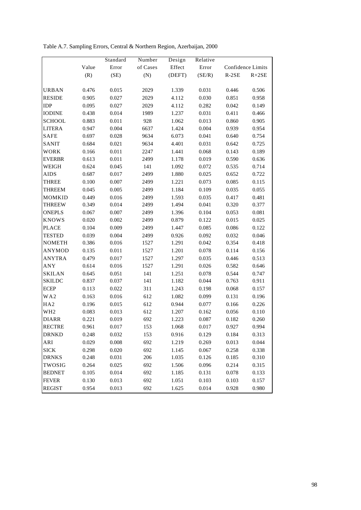Table A.7. Sampling Errors, Central & Northern Region, Azerbaijan, 2000

|                 |           | Standard | Number   | Design | Relative |         |                   |
|-----------------|-----------|----------|----------|--------|----------|---------|-------------------|
|                 | Value     | Error    | of Cases | Effect | Error    |         | Confidence Limits |
|                 | (R)       | (SE)     | (N)      | (DEFT) | (SE/R)   | $R-2SE$ | $R+2SE$           |
|                 |           |          |          |        |          |         |                   |
| <b>URBAN</b>    | $0.476\,$ | 0.015    | 2029     | 1.339  | 0.031    | 0.446   | 0.506             |
| <b>RESIDE</b>   | 0.905     | 0.027    | 2029     | 4.112  | 0.030    | 0.851   | 0.958             |
| <b>IDP</b>      | 0.095     | 0.027    | 2029     | 4.112  | 0.282    | 0.042   | 0.149             |
| <b>IODINE</b>   | 0.438     | 0.014    | 1989     | 1.237  | 0.031    | 0.411   | 0.466             |
| <b>SCHOOL</b>   | 0.883     | 0.011    | 928      | 1.062  | 0.013    | 0.860   | 0.905             |
| <b>LITERA</b>   | 0.947     | 0.004    | 6637     | 1.424  | 0.004    | 0.939   | 0.954             |
| <b>SAFE</b>     | 0.697     | 0.028    | 9634     | 6.073  | 0.041    | 0.640   | 0.754             |
| SANIT           | 0.684     | 0.021    | 9634     | 4.401  | 0.031    | 0.642   | 0.725             |
| WORK            | 0.166     | 0.011    | 2247     | 1.441  | 0.068    | 0.143   | 0.189             |
| <b>EVERBR</b>   | 0.613     | 0.011    | 2499     | 1.178  | 0.019    | 0.590   | 0.636             |
| WEIGH           | 0.624     | 0.045    | 141      | 1.092  | 0.072    | 0.535   | 0.714             |
| <b>AIDS</b>     | 0.687     | 0.017    | 2499     | 1.880  | 0.025    | 0.652   | 0.722             |
| THREE           | 0.100     | 0.007    | 2499     | 1.221  | 0.073    | 0.085   | 0.115             |
| THREEM          | 0.045     | 0.005    | 2499     | 1.184  | 0.109    | 0.035   | 0.055             |
| MOMKID          | 0.449     | 0.016    | 2499     | 1.593  | 0.035    | 0.417   | 0.481             |
| <b>THREEW</b>   | 0.349     | 0.014    | 2499     | 1.494  | 0.041    | 0.320   | 0.377             |
| <b>ONEPLS</b>   | 0.067     | 0.007    | 2499     | 1.396  | 0.104    | 0.053   | 0.081             |
| <b>KNOWS</b>    | 0.020     | 0.002    | 2499     | 0.879  | 0.122    | 0.015   | 0.025             |
| <b>PLACE</b>    | 0.104     | 0.009    | 2499     | 1.447  | 0.085    | 0.086   | 0.122             |
| <b>TESTED</b>   | 0.039     | 0.004    | 2499     | 0.926  | 0.092    | 0.032   | 0.046             |
| <b>NOMETH</b>   | 0.386     | 0.016    | 1527     | 1.291  | 0.042    | 0.354   | 0.418             |
| <b>ANYMOD</b>   | 0.135     | 0.011    | 1527     | 1.201  | 0.078    | 0.114   | 0.156             |
| <b>ANYTRA</b>   | 0.479     | 0.017    | 1527     | 1.297  | 0.035    | 0.446   | 0.513             |
| ANY             | 0.614     | 0.016    | 1527     | 1.291  | 0.026    | 0.582   | 0.646             |
| <b>SKILAN</b>   | 0.645     | 0.051    | 141      | 1.251  | 0.078    | 0.544   | 0.747             |
| <b>SKILDC</b>   | 0.837     | 0.037    | 141      | 1.182  | 0.044    | 0.763   | 0.911             |
| <b>ECEP</b>     | 0.113     | 0.022    | 311      | 1.243  | 0.198    | 0.068   | 0.157             |
| WA2             | 0.163     | 0.016    | 612      | 1.082  | 0.099    | 0.131   | 0.196             |
| HA <sub>2</sub> | 0.196     | 0.015    | 612      | 0.944  | 0.077    | 0.166   | 0.226             |
| WH <sub>2</sub> | 0.083     | 0.013    | 612      | 1.207  | 0.162    | 0.056   | 0.110             |
| <b>DIARR</b>    | 0.221     | 0.019    | 692      | 1.223  | 0.087    | 0.182   | 0.260             |
| <b>RECTRE</b>   | 0.961     | 0.017    | 153      | 1.068  | 0.017    | 0.927   | 0.994             |
| <b>DRNKD</b>    | 0.248     | 0.032    | 153      | 0.916  | 0.129    | 0.184   | 0.313             |
| ARI             | 0.029     | 0.008    | 692      | 1.219  | 0.269    | 0.013   | 0.044             |
| <b>SICK</b>     | 0.298     | 0.020    | 692      | 1.145  | 0.067    | 0.258   | 0.338             |
| <b>DRNKS</b>    | 0.248     | 0.031    | 206      | 1.035  | 0.126    | 0.185   | 0.310             |
| TWOSIG          | 0.264     | 0.025    | 692      | 1.506  | 0.096    | 0.214   | 0.315             |
| <b>BEDNET</b>   | 0.105     | 0.014    | 692      | 1.185  | 0.131    | 0.078   | 0.133             |
| <b>FEVER</b>    | 0.130     | 0.013    | 692      | 1.051  | 0.103    | 0.103   | 0.157             |
| <b>REGIST</b>   | 0.954     | 0.013    | 692      | 1.625  | 0.014    | 0.928   | 0.980             |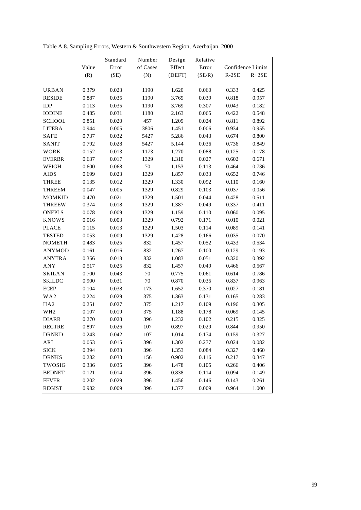Table A.8. Sampling Errors, Western & Southwestern Region, Azerbaijan, 2000

|                 |       | Standard | Number   | Design | Relative  |         |                   |
|-----------------|-------|----------|----------|--------|-----------|---------|-------------------|
|                 | Value | Error    | of Cases | Effect | Error     |         | Confidence Limits |
|                 | (R)   | (SE)     | (N)      | (DEFT) | (SE/R)    | $R-2SE$ | $R+2SE$           |
|                 |       |          |          |        |           |         |                   |
| URBAN           | 0.379 | 0.023    | 1190     | 1.620  | 0.060     | 0.333   | 0.425             |
| <b>RESIDE</b>   | 0.887 | 0.035    | 1190     | 3.769  | 0.039     | 0.818   | 0.957             |
| <b>IDP</b>      | 0.113 | 0.035    | 1190     | 3.769  | 0.307     | 0.043   | 0.182             |
| <b>IODINE</b>   | 0.485 | 0.031    | 1180     | 2.163  | 0.065     | 0.422   | 0.548             |
| <b>SCHOOL</b>   | 0.851 | 0.020    | 457      | 1.209  | 0.024     | 0.811   | 0.892             |
| <b>LITERA</b>   | 0.944 | 0.005    | 3806     | 1.451  | 0.006     | 0.934   | 0.955             |
| SAFE            | 0.737 | 0.032    | 5427     | 5.286  | 0.043     | 0.674   | 0.800             |
| SANIT           | 0.792 | 0.028    | 5427     | 5.144  | 0.036     | 0.736   | 0.849             |
| WORK            | 0.152 | 0.013    | 1173     | 1.270  | 0.088     | 0.125   | 0.178             |
| <b>EVERBR</b>   | 0.637 | 0.017    | 1329     | 1.310  | 0.027     | 0.602   | 0.671             |
| WEIGH           | 0.600 | 0.068    | $70\,$   | 1.153  | 0.113     | 0.464   | 0.736             |
| <b>AIDS</b>     | 0.699 | 0.023    | 1329     | 1.857  | 0.033     | 0.652   | 0.746             |
| THREE           | 0.135 | 0.012    | 1329     | 1.330  | 0.092     | 0.110   | 0.160             |
| THREEM          | 0.047 | 0.005    | 1329     | 0.829  | 0.103     | 0.037   | 0.056             |
| MOMKID          | 0.470 | 0.021    | 1329     | 1.501  | 0.044     | 0.428   | 0.511             |
| <b>THREEW</b>   | 0.374 | 0.018    | 1329     | 1.387  | 0.049     | 0.337   | 0.411             |
| <b>ONEPLS</b>   | 0.078 | 0.009    | 1329     | 1.159  | $0.110\,$ | 0.060   | 0.095             |
| <b>KNOWS</b>    | 0.016 | 0.003    | 1329     | 0.792  | 0.171     | 0.010   | 0.021             |
| <b>PLACE</b>    | 0.115 | 0.013    | 1329     | 1.503  | 0.114     | 0.089   | 0.141             |
| <b>TESTED</b>   | 0.053 | 0.009    | 1329     | 1.428  | 0.166     | 0.035   | 0.070             |
| <b>NOMETH</b>   | 0.483 | 0.025    | 832      | 1.457  | 0.052     | 0.433   | 0.534             |
| <b>ANYMOD</b>   | 0.161 | 0.016    | 832      | 1.267  | 0.100     | 0.129   | 0.193             |
| <b>ANYTRA</b>   | 0.356 | 0.018    | 832      | 1.083  | 0.051     | 0.320   | 0.392             |
| ANY             | 0.517 | 0.025    | 832      | 1.457  | 0.049     | 0.466   | 0.567             |
| <b>SKILAN</b>   | 0.700 | 0.043    | $70\,$   | 0.775  | 0.061     | 0.614   | 0.786             |
| <b>SKILDC</b>   | 0.900 | 0.031    | $70\,$   | 0.870  | 0.035     | 0.837   | 0.963             |
| <b>ECEP</b>     | 0.104 | 0.038    | 173      | 1.652  | 0.370     | 0.027   | 0.181             |
| WA2             | 0.224 | 0.029    | 375      | 1.363  | 0.131     | 0.165   | 0.283             |
| HA <sub>2</sub> | 0.251 | 0.027    | 375      | 1.217  | 0.109     | 0.196   | 0.305             |
| WH <sub>2</sub> | 0.107 | 0.019    | 375      | 1.188  | 0.178     | 0.069   | 0.145             |
| <b>DIARR</b>    | 0.270 | 0.028    | 396      | 1.232  | 0.102     | 0.215   | 0.325             |
| <b>RECTRE</b>   | 0.897 | 0.026    | 107      | 0.897  | 0.029     | 0.844   | 0.950             |
| <b>DRNKD</b>    | 0.243 | 0.042    | 107      | 1.014  | 0.174     | 0.159   | 0.327             |
| ARI             | 0.053 | 0.015    | 396      | 1.302  | 0.277     | 0.024   | 0.082             |
| <b>SICK</b>     | 0.394 | 0.033    | 396      | 1.353  | 0.084     | 0.327   | 0.460             |
| <b>DRNKS</b>    | 0.282 | 0.033    | 156      | 0.902  | 0.116     | 0.217   | 0.347             |
| TWOSIG          | 0.336 | 0.035    | 396      | 1.478  | 0.105     | 0.266   | 0.406             |
| <b>BEDNET</b>   | 0.121 | 0.014    | 396      | 0.838  | 0.114     | 0.094   | 0.149             |
| <b>FEVER</b>    | 0.202 | 0.029    | 396      | 1.456  | 0.146     | 0.143   | 0.261             |
| <b>REGIST</b>   | 0.982 | 0.009    | 396      | 1.377  | 0.009     | 0.964   | 1.000             |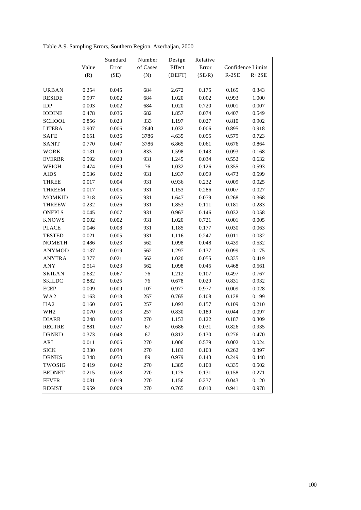Table A.9. Sampling Errors, Southern Region, Azerbaijan, 2000

|                 |       | Standard | Number   | Design | Relative |                   |         |
|-----------------|-------|----------|----------|--------|----------|-------------------|---------|
|                 | Value | Error    | of Cases | Effect | Error    | Confidence Limits |         |
|                 | (R)   | (SE)     | (N)      | (DEFT) | (SE/R)   | $R-2SE$           | $R+2SE$ |
|                 |       |          |          |        |          |                   |         |
| URBAN           | 0.254 | 0.045    | 684      | 2.672  | 0.175    | 0.165             | 0.343   |
| <b>RESIDE</b>   | 0.997 | 0.002    | 684      | 1.020  | 0.002    | 0.993             | 1.000   |
| IDP             | 0.003 | 0.002    | 684      | 1.020  | 0.720    | 0.001             | 0.007   |
| <b>IODINE</b>   | 0.478 | 0.036    | 682      | 1.857  | 0.074    | 0.407             | 0.549   |
| <b>SCHOOL</b>   | 0.856 | 0.023    | 333      | 1.197  | 0.027    | 0.810             | 0.902   |
| <b>LITERA</b>   | 0.907 | 0.006    | 2640     | 1.032  | 0.006    | 0.895             | 0.918   |
| <b>SAFE</b>     | 0.651 | 0.036    | 3786     | 4.635  | 0.055    | 0.579             | 0.723   |
| SANIT           | 0.770 | 0.047    | 3786     | 6.865  | 0.061    | 0.676             | 0.864   |
| WORK            | 0.131 | 0.019    | 833      | 1.598  | 0.143    | 0.093             | 0.168   |
| <b>EVERBR</b>   | 0.592 | 0.020    | 931      | 1.245  | 0.034    | 0.552             | 0.632   |
| WEIGH           | 0.474 | 0.059    | 76       | 1.032  | 0.126    | 0.355             | 0.593   |
| <b>AIDS</b>     | 0.536 | 0.032    | 931      | 1.937  | 0.059    | 0.473             | 0.599   |
| THREE           | 0.017 | 0.004    | 931      | 0.936  | 0.232    | 0.009             | 0.025   |
| THREEM          | 0.017 | 0.005    | 931      | 1.153  | 0.286    | 0.007             | 0.027   |
| MOMKID          | 0.318 | 0.025    | 931      | 1.647  | 0.079    | 0.268             | 0.368   |
| THREEW          | 0.232 | 0.026    | 931      | 1.853  | 0.111    | 0.181             | 0.283   |
| <b>ONEPLS</b>   | 0.045 | 0.007    | 931      | 0.967  | 0.146    | 0.032             | 0.058   |
| <b>KNOWS</b>    | 0.002 | 0.002    | 931      | 1.020  | 0.721    | 0.001             | 0.005   |
| <b>PLACE</b>    | 0.046 | 0.008    | 931      | 1.185  | 0.177    | 0.030             | 0.063   |
| <b>TESTED</b>   | 0.021 | 0.005    | 931      | 1.116  | 0.247    | 0.011             | 0.032   |
| <b>NOMETH</b>   | 0.486 | 0.023    | 562      | 1.098  | 0.048    | 0.439             | 0.532   |
| <b>ANYMOD</b>   | 0.137 | 0.019    | 562      | 1.297  | 0.137    | 0.099             | 0.175   |
| <b>ANYTRA</b>   | 0.377 | 0.021    | 562      | 1.020  | 0.055    | 0.335             | 0.419   |
| ANY             | 0.514 | 0.023    | 562      | 1.098  | 0.045    | 0.468             | 0.561   |
| <b>SKILAN</b>   | 0.632 | 0.067    | 76       | 1.212  | 0.107    | 0.497             | 0.767   |
| <b>SKILDC</b>   | 0.882 | 0.025    | 76       | 0.678  | 0.029    | 0.831             | 0.932   |
| <b>ECEP</b>     | 0.009 | 0.009    | 107      | 0.977  | 0.977    | 0.009             | 0.028   |
| WA2             | 0.163 | 0.018    | 257      | 0.765  | 0.108    | 0.128             | 0.199   |
| HA2             | 0.160 | 0.025    | 257      | 1.093  | 0.157    | 0.109             | 0.210   |
| WH <sub>2</sub> | 0.070 | 0.013    | 257      | 0.830  | 0.189    | 0.044             | 0.097   |
| <b>DIARR</b>    | 0.248 | 0.030    | 270      | 1.153  | 0.122    | 0.187             | 0.309   |
| <b>RECTRE</b>   | 0.881 | 0.027    | 67       | 0.686  | 0.031    | 0.826             | 0.935   |
| <b>DRNKD</b>    | 0.373 | 0.048    | 67       | 0.812  | 0.130    | 0.276             | 0.470   |
| ARI             | 0.011 | 0.006    | 270      | 1.006  | 0.579    | 0.002             | 0.024   |
| <b>SICK</b>     | 0.330 | 0.034    | 270      | 1.183  | 0.103    | 0.262             | 0.397   |
| <b>DRNKS</b>    | 0.348 | 0.050    | 89       | 0.979  | 0.143    | 0.249             | 0.448   |
| TWOSIG          | 0.419 | 0.042    | 270      | 1.385  | 0.100    | 0.335             | 0.502   |
| <b>BEDNET</b>   | 0.215 | 0.028    | 270      | 1.125  | 0.131    | 0.158             | 0.271   |
| <b>FEVER</b>    | 0.081 | 0.019    | 270      | 1.156  | 0.237    | 0.043             | 0.120   |
| <b>REGIST</b>   | 0.959 | 0.009    | 270      | 0.765  | 0.010    | 0.941             | 0.978   |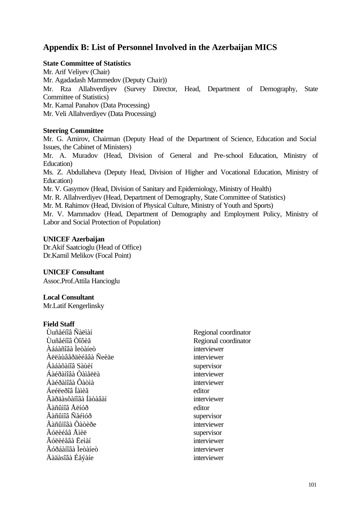# **Appendix B: List of Personnel Involved in the Azerbaijan MICS**

#### **State Committee of Statistics**

Mr. Arif Veliyev (Chair) Mr. Agadadash Mammedov (Deputy Chair)) Mr. Rza Allahverdiyev (Survey Director, Head, Department of Demography, State Committee of Statistics) Mr. Kamal Panahov (Data Processing) Mr. Veli Allahverdiyev (Data Processing)

#### **Steering Committee**

Mr. G. Amirov, Chairman (Deputy Head of the Department of Science, Education and Social Issues, the Cabinet of Ministers)

Mr. A. Muradov (Head, Division of General and Pre-school Education, Ministry of Education)

Ms. Z. Abdullaheva (Deputy Head, Division of Higher and Vocational Education, Ministry of Education)

Mr. V. Gasymov (Head, Division of Sanitary and Epidemiology, Ministry of Health)

Mr. R. Allahverdiyev (Head, Department of Demography, State Committee of Statistics)

Mr. M. Rahimov (Head, Division of Physical Culture, Ministry of Youth and Sports)

Mr. V. Mammadov (Head, Department of Demography and Employment Policy, Ministry of Labor and Social Protection of Population)

#### **UNICEF Azerbaijan**

Dr.Akif Saatcioglu (Head of Office) Dr.Kamil Melikov (Focal Point)

## **UNICEF Consultant**

Assoc.Prof.Attila Hancioglu

#### **Local Consultant**

Mr.Latif Kengerlinsky

#### **Field Staff**

Ùuñåéíîâ Ñàëìàí Regional coordinator Ùuñåéíîâ Òîôèã Regional coordinator Àááàñîâà Ìeòàíeò interviewer Àëëàùâåðäèéåâà Ñeèäe interviewer Áàáàõàíîâ Sàùèí supervisor Áàéðàìîâà Òàìåëëà interviewer Áàéðàìîâà Ôàòìà interviewer Áeéëeðîâ Íàìèã editor Ãàðäàsõàíîâà Íàòàâàí interviewer Ãàñûìîâ Åëíóð editor Ãàñûìîâ Ñåéìóð supervisor Ãàñûìîâà Õàòèðe interviewer Ãóëèéåâ Åìèë supervisor Ãóëèéåâà Ëeìàí interviewer Ãóðáàíîâà Ìeòàíeò interviewer Äàäàsîâà Éåýàíe interviewer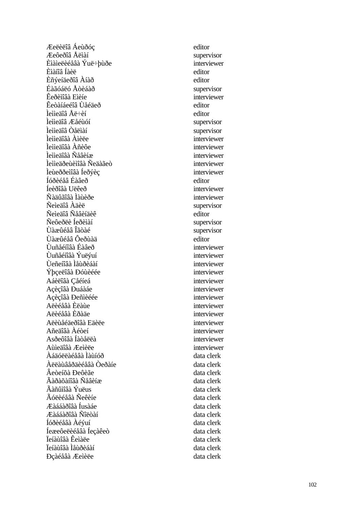Æeëèëîâ Áeùðóç editor Æeôeðîâ Åëìàí supervisor Èìàìeëèéåâà Ýuë÷þùðe interviewer Èìàíîâ Íàèë editor Èñýeíäeðîâ Àíàð editor Éàãóáëó Åòèáàð supervisor Êeðèìîâà Eìèíe interviewer Êeòàíáeéîâ Ùåéäeð editor  $\hat{I}$ eììeäîâ Åë $\div$ èí editor Ìeììeäîâ Æåéùóí supervisor Ìeììeäîâ Òåëìàí supervisor Ìeììeäîâà Àìèëe interviewer Ìeììeäîâà Àñèôe interviewer Ìeììeäîâà Ñåâèíæ interviewer Ìeììeäðeùèìîâà Ñeäàãeò interviewer Ìeùeððeìîâà Íeðýèc<br>
interviewer Íóðèéåâ Éàâeð editor Íeèðîâà Uëêeð interviewer Ñàäûãîâà Ìàùèðe interviewer Ñeìeäîâ Àäèë supervisor Ñeìeäîâ Ñåâèíäèê editor Ñeôeðëè Íeðèìàí supervisor Ùàæûéåâ Îãòàé supervisor Ùàæûéåâ Ôeðùàä editor Ùuñåéíîâà Éàâeð interviewer Ùuñåéíîâà Ýuëýuí interviewer Ùeñeíîâà Ìåùðèáàí interviewer Ýþçeëîâà Đóùèéée interviewer Aáèëîâà Çåéíeá interviewer Açèçîâà Ðuáàáe interviewer Açèçîâà Đeñìèéée interviewer Aëèéåâà Èëàùe interviewer Aëèéåâà Èðàäe interviewer Aëèùåéäeðîâà Eäèëe interviewer Añeäîâà Àéòeí interviewer Asðeôîâà Íàòåëëà interviewer Aùìeäîâà Æeìèëe interviewer Àáäóëëàéåâà Ìàùíóð data clerk Àëëàùâåðäèéåâà Òeðàíe data clerk Âeòeíõà Đeôèãe data clerk Ãàðàõàíîâà Ñåâèíæ data clerk  $\tilde{A}$ àñûìîâà Ýuëus data clerk Ãóëèéåâà Ñeêèíe data clerk Æàááàðîâà Íusàáe data clerk Æàááàðîâà Ñîëòàí data clerk Íóðèéåâà Àéýuí data clerk Íeæeôeëèéåâà Íeçàêeò data clerk Ïeíàùîâà Êeìàëe data clerk Ïeíàùîâà Ìåùðèáàí data clerk Ðçàéåâà Æeìèëe data clerk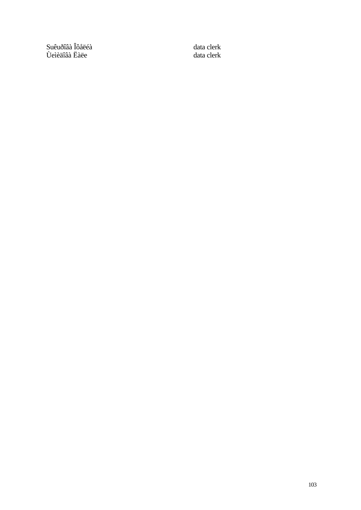Suêuðîâà Îôåëéà data clerk Ùeìèäîâà Ëàëe data clerk